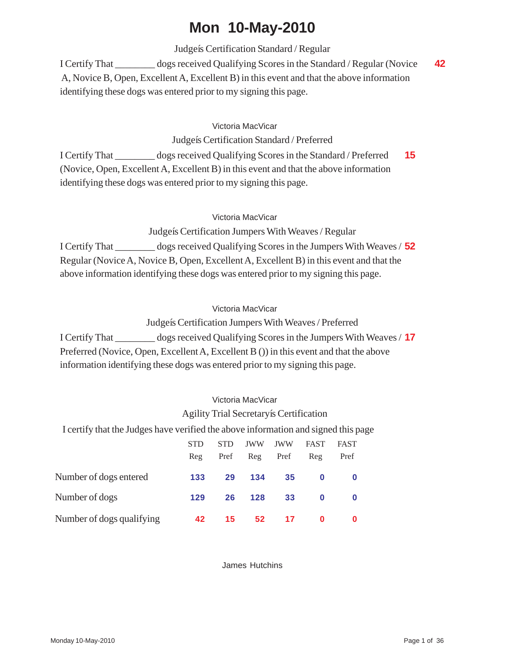# **Mon 10-May-2010**

Judgeís Certification Standard / Regular

I Certify That \_\_\_\_\_\_\_\_ dogs received Qualifying Scores in the Standard / Regular (Novice **42** A, Novice B, Open, Excellent A, Excellent B) in this event and that the above information identifying these dogs was entered prior to my signing this page.

# Victoria MacVicar

Judgeís Certification Standard / Preferred

I Certify That \_\_\_\_\_\_\_\_ dogs received Qualifying Scores in the Standard / Preferred **15** (Novice, Open, Excellent A, Excellent B) in this event and that the above information identifying these dogs was entered prior to my signing this page.

## Victoria MacVicar

Judgeís Certification Jumpers With Weaves / Regular

I Certify That \_\_\_\_\_\_\_\_ dogs received Qualifying Scores in the Jumpers With Weaves / **52** Regular (Novice A, Novice B, Open, Excellent A, Excellent B) in this event and that the above information identifying these dogs was entered prior to my signing this page.

#### Victoria MacVicar

Judgeís Certification Jumpers With Weaves / Preferred

I Certify That \_\_\_\_\_\_\_\_ dogs received Qualifying Scores in the Jumpers With Weaves / **17** Preferred (Novice, Open, Excellent A, Excellent B ()) in this event and that the above information identifying these dogs was entered prior to my signing this page.

# Victoria MacVicar

# Agility Trial Secretaryís Certification

I certify that the Judges have verified the above information and signed this page

|                           | <b>STD</b><br>Reg | <b>STD</b><br>Pref | JWW<br>Reg | JWW<br>Pref | <b>FAST</b><br>Reg | <b>FAST</b><br>Pref |  |
|---------------------------|-------------------|--------------------|------------|-------------|--------------------|---------------------|--|
| Number of dogs entered    | 133               | 29                 | 134        | 35          | $\bf{0}$           |                     |  |
| Number of dogs            | 129               | 26                 | 128        | 33          | $\bf{0}$           |                     |  |
| Number of dogs qualifying | 42                | 15                 | 52         | 17          | 0                  | 0                   |  |

James Hutchins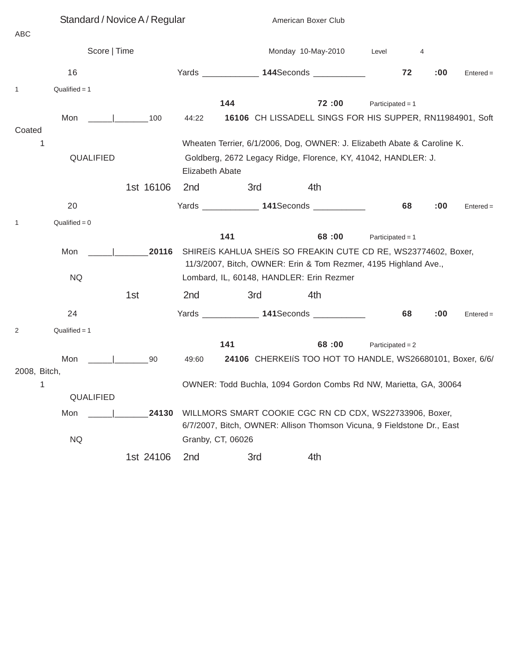|              | Standard / Novice A / Regular          |           |                                                                                                                                   |                    | American Boxer Club                                                                                                               |                    |           |             |
|--------------|----------------------------------------|-----------|-----------------------------------------------------------------------------------------------------------------------------------|--------------------|-----------------------------------------------------------------------------------------------------------------------------------|--------------------|-----------|-------------|
| ABC          |                                        |           |                                                                                                                                   |                    |                                                                                                                                   |                    |           |             |
|              | Score   Time                           |           |                                                                                                                                   | Monday 10-May-2010 |                                                                                                                                   |                    | 4         |             |
|              | 16                                     |           |                                                                                                                                   |                    | Yards _______________ 144Seconds ____________                                                                                     |                    | 72<br>:00 | $Entered =$ |
| $\mathbf{1}$ | $Qualified = 1$                        |           |                                                                                                                                   |                    |                                                                                                                                   |                    |           |             |
|              |                                        |           |                                                                                                                                   | 144                | 72:00                                                                                                                             | Participated = $1$ |           |             |
| Coated       | Mon<br>the contract of the contract of | 100       | 44:22                                                                                                                             |                    | 16106 CH LISSADELL SINGS FOR HIS SUPPER, RN11984901, Soft                                                                         |                    |           |             |
| 1            |                                        |           |                                                                                                                                   |                    | Wheaten Terrier, 6/1/2006, Dog, OWNER: J. Elizabeth Abate & Caroline K.                                                           |                    |           |             |
|              | QUALIFIED                              |           | Elizabeth Abate                                                                                                                   |                    | Goldberg, 2672 Legacy Ridge, Florence, KY, 41042, HANDLER: J.                                                                     |                    |           |             |
|              |                                        | 1st 16106 | 2nd                                                                                                                               | 3rd                | 4th                                                                                                                               |                    |           |             |
|              | 20                                     |           |                                                                                                                                   |                    | Yards ________________ 141Seconds ____________                                                                                    | 68                 | :00       | $Entered =$ |
| $\mathbf{1}$ | $Qualified = 0$                        |           |                                                                                                                                   |                    |                                                                                                                                   |                    |           |             |
|              |                                        |           |                                                                                                                                   | 141                | 68:00                                                                                                                             | Participated = $1$ |           |             |
|              | Mon                                    | 20116     |                                                                                                                                   |                    | SHIREIS KAHLUA SHEIS SO FREAKIN CUTE CD RE, WS23774602, Boxer,<br>11/3/2007, Bitch, OWNER: Erin & Tom Rezmer, 4195 Highland Ave., |                    |           |             |
|              | <b>NQ</b>                              |           |                                                                                                                                   |                    | Lombard, IL, 60148, HANDLER: Erin Rezmer                                                                                          |                    |           |             |
|              |                                        | 1st       | 2nd                                                                                                                               | 3rd                | 4th                                                                                                                               |                    |           |             |
|              | 24                                     |           |                                                                                                                                   |                    | Yards _______________ 141Seconds _____________                                                                                    | 68                 | :00       | $Entered =$ |
| 2            | $Qualified = 1$                        |           |                                                                                                                                   |                    |                                                                                                                                   |                    |           |             |
|              |                                        |           |                                                                                                                                   | 141                | 68:00                                                                                                                             | Participated = $2$ |           |             |
|              | Mon                                    | 90        | 49:60                                                                                                                             |                    | 24106 CHERKEIS TOO HOT TO HANDLE, WS26680101, Boxer, 6/6/                                                                         |                    |           |             |
| 2008, Bitch, |                                        |           |                                                                                                                                   |                    |                                                                                                                                   |                    |           |             |
| 1            |                                        |           |                                                                                                                                   |                    | OWNER: Todd Buchla, 1094 Gordon Combs Rd NW, Marietta, GA, 30064                                                                  |                    |           |             |
|              | QUALIFIED                              |           |                                                                                                                                   |                    |                                                                                                                                   |                    |           |             |
|              | Mon                                    | 24130     | WILLMORS SMART COOKIE CGC RN CD CDX, WS22733906, Boxer,<br>6/7/2007, Bitch, OWNER: Allison Thomson Vicuna, 9 Fieldstone Dr., East |                    |                                                                                                                                   |                    |           |             |
|              | <b>NQ</b>                              |           |                                                                                                                                   | Granby, CT, 06026  |                                                                                                                                   |                    |           |             |
|              |                                        | 1st 24106 | 2 <sub>nd</sub>                                                                                                                   | 3rd                | 4th                                                                                                                               |                    |           |             |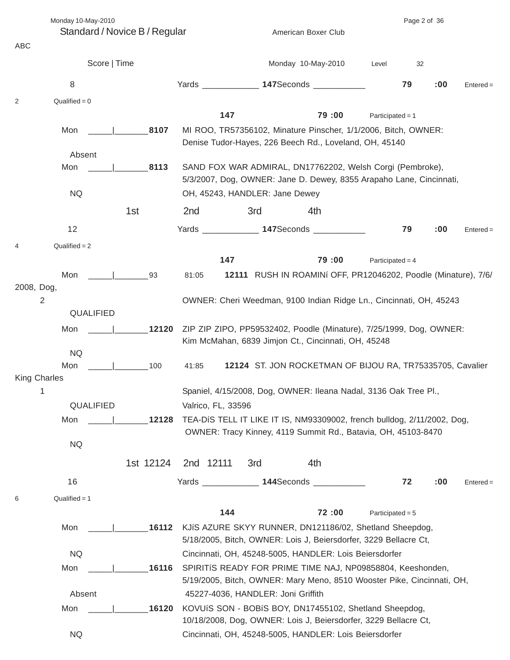Monday 10-May-2010 Page 2 of 36

Standard / Novice B / Regular American Boxer Club

| ABC                               |           |                    |                                                                                                                            |                                                                                                                                      |                    |     |             |  |  |
|-----------------------------------|-----------|--------------------|----------------------------------------------------------------------------------------------------------------------------|--------------------------------------------------------------------------------------------------------------------------------------|--------------------|-----|-------------|--|--|
| Score   Time                      |           |                    |                                                                                                                            | Monday 10-May-2010                                                                                                                   | Level              | 32  |             |  |  |
| 8                                 |           |                    |                                                                                                                            | Yards _______________ 147Seconds ____________                                                                                        | 79                 | :00 | $Entered =$ |  |  |
| $Qualified = 0$<br>2              |           |                    |                                                                                                                            |                                                                                                                                      |                    |     |             |  |  |
|                                   |           | 147                |                                                                                                                            | 79:00                                                                                                                                | Participated = $1$ |     |             |  |  |
| Mon                               | 8107      |                    |                                                                                                                            | MI ROO, TR57356102, Minature Pinscher, 1/1/2006, Bitch, OWNER:                                                                       |                    |     |             |  |  |
|                                   |           |                    |                                                                                                                            | Denise Tudor-Hayes, 226 Beech Rd., Loveland, OH, 45140                                                                               |                    |     |             |  |  |
| Absent<br>Mon                     | 8113      |                    |                                                                                                                            | SAND FOX WAR ADMIRAL, DN17762202, Welsh Corgi (Pembroke),                                                                            |                    |     |             |  |  |
|                                   |           |                    |                                                                                                                            | 5/3/2007, Dog, OWNER: Jane D. Dewey, 8355 Arapaho Lane, Cincinnati,                                                                  |                    |     |             |  |  |
| <b>NQ</b>                         |           |                    | OH, 45243, HANDLER: Jane Dewey                                                                                             |                                                                                                                                      |                    |     |             |  |  |
|                                   | 1st       | 2 <sub>nd</sub>    | 3rd                                                                                                                        | 4th                                                                                                                                  |                    |     |             |  |  |
| 12                                |           |                    |                                                                                                                            | Yards 147Seconds 1978                                                                                                                | 79                 | :00 | $Entered =$ |  |  |
| $Qualified = 2$<br>$\overline{4}$ |           |                    |                                                                                                                            |                                                                                                                                      |                    |     |             |  |  |
|                                   |           | 147                |                                                                                                                            | 79:00                                                                                                                                | Participated = $4$ |     |             |  |  |
| Mon                               | 93        | 81:05              |                                                                                                                            | 12111 RUSH IN ROAMINI OFF, PR12046202, Poodle (Minature), 7/6/                                                                       |                    |     |             |  |  |
| 2008, Dog,                        |           |                    |                                                                                                                            |                                                                                                                                      |                    |     |             |  |  |
| $\overline{2}$<br>QUALIFIED       |           |                    |                                                                                                                            | OWNER: Cheri Weedman, 9100 Indian Ridge Ln., Cincinnati, OH, 45243                                                                   |                    |     |             |  |  |
| Mon                               | 12120     |                    |                                                                                                                            |                                                                                                                                      |                    |     |             |  |  |
|                                   |           |                    | ZIP ZIP ZIPO, PP59532402, Poodle (Minature), 7/25/1999, Dog, OWNER:<br>Kim McMahan, 6839 Jimjon Ct., Cincinnati, OH, 45248 |                                                                                                                                      |                    |     |             |  |  |
| <b>NQ</b>                         |           |                    |                                                                                                                            |                                                                                                                                      |                    |     |             |  |  |
| Mon                               | 100       | 41:85              |                                                                                                                            | 12124 ST. JON ROCKETMAN OF BIJOU RA, TR75335705, Cavalier                                                                            |                    |     |             |  |  |
| <b>King Charles</b><br>1          |           |                    |                                                                                                                            | Spaniel, 4/15/2008, Dog, OWNER: Ileana Nadal, 3136 Oak Tree Pl.,                                                                     |                    |     |             |  |  |
| <b>QUALIFIED</b>                  |           | Valrico, FL, 33596 |                                                                                                                            |                                                                                                                                      |                    |     |             |  |  |
| Mon                               | 12128     |                    |                                                                                                                            | TEA-DIS TELL IT LIKE IT IS, NM93309002, french bulldog, 2/11/2002, Dog,                                                              |                    |     |             |  |  |
|                                   |           |                    |                                                                                                                            | OWNER: Tracy Kinney, 4119 Summit Rd., Batavia, OH, 45103-8470                                                                        |                    |     |             |  |  |
| <b>NQ</b>                         |           |                    |                                                                                                                            |                                                                                                                                      |                    |     |             |  |  |
|                                   | 1st 12124 | 2nd 12111          | 3rd                                                                                                                        | 4th                                                                                                                                  |                    |     |             |  |  |
| 16                                |           | Yards _________    |                                                                                                                            | 144Seconds ___________                                                                                                               | 72                 | :00 | $Entered =$ |  |  |
| $Qualified = 1$<br>6              |           |                    |                                                                                                                            |                                                                                                                                      |                    |     |             |  |  |
|                                   |           | 144                |                                                                                                                            | 72:00                                                                                                                                | Participated = $5$ |     |             |  |  |
| Mon                               | 16112     |                    |                                                                                                                            | KJIS AZURE SKYY RUNNER, DN121186/02, Shetland Sheepdog,                                                                              |                    |     |             |  |  |
|                                   |           |                    |                                                                                                                            | 5/18/2005, Bitch, OWNER: Lois J, Beiersdorfer, 3229 Bellacre Ct,                                                                     |                    |     |             |  |  |
| <b>NQ</b>                         |           |                    |                                                                                                                            | Cincinnati, OH, 45248-5005, HANDLER: Lois Beiersdorfer                                                                               |                    |     |             |  |  |
| Mon                               | 16116     |                    |                                                                                                                            | SPIRITIS READY FOR PRIME TIME NAJ, NP09858804, Keeshonden,<br>5/19/2005, Bitch, OWNER: Mary Meno, 8510 Wooster Pike, Cincinnati, OH, |                    |     |             |  |  |
| Absent                            |           |                    | 45227-4036, HANDLER: Joni Griffith                                                                                         |                                                                                                                                      |                    |     |             |  |  |
| Mon                               | 16120     |                    |                                                                                                                            | KOVUÍS SON - BOBÍS BOY, DN17455102, Shetland Sheepdog,                                                                               |                    |     |             |  |  |
|                                   |           |                    |                                                                                                                            | 10/18/2008, Dog, OWNER: Lois J, Beiersdorfer, 3229 Bellacre Ct,                                                                      |                    |     |             |  |  |
| <b>NQ</b>                         |           |                    |                                                                                                                            | Cincinnati, OH, 45248-5005, HANDLER: Lois Beiersdorfer                                                                               |                    |     |             |  |  |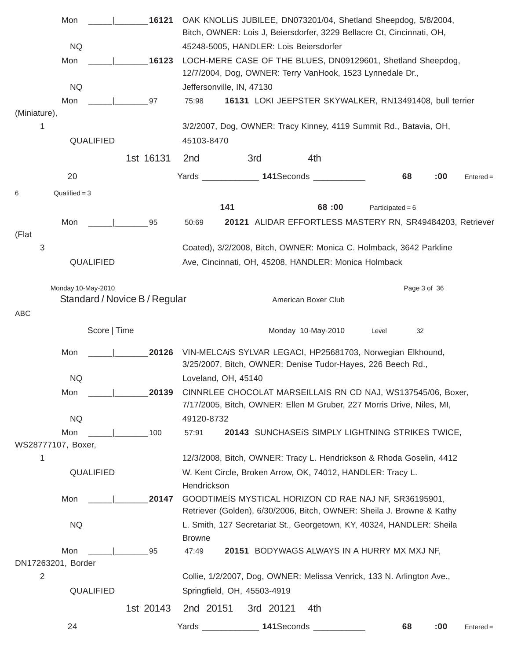|                | Mon                |                               | 16121     |                 |                           |                             | OAK KNOLLIS JUBILEE, DN073201/04, Shetland Sheepdog, 5/8/2004,                                                                  |                    |              |     |             |
|----------------|--------------------|-------------------------------|-----------|-----------------|---------------------------|-----------------------------|---------------------------------------------------------------------------------------------------------------------------------|--------------------|--------------|-----|-------------|
|                |                    |                               |           |                 |                           |                             | Bitch, OWNER: Lois J, Beiersdorfer, 3229 Bellacre Ct, Cincinnati, OH,                                                           |                    |              |     |             |
|                | <b>NQ</b>          |                               |           |                 |                           |                             | 45248-5005, HANDLER: Lois Beiersdorfer                                                                                          |                    |              |     |             |
|                | Mon                |                               | 16123     |                 |                           |                             | LOCH-MERE CASE OF THE BLUES, DN09129601, Shetland Sheepdog,<br>12/7/2004, Dog, OWNER: Terry VanHook, 1523 Lynnedale Dr.,        |                    |              |     |             |
|                | <b>NQ</b>          |                               |           |                 | Jeffersonville, IN, 47130 |                             |                                                                                                                                 |                    |              |     |             |
|                | Mon                |                               | 97        | 75:98           |                           |                             | 16131 LOKI JEEPSTER SKYWALKER, RN13491408, bull terrier                                                                         |                    |              |     |             |
| (Miniature),   |                    |                               |           |                 |                           |                             |                                                                                                                                 |                    |              |     |             |
| 1              |                    |                               |           |                 |                           |                             | 3/2/2007, Dog, OWNER: Tracy Kinney, 4119 Summit Rd., Batavia, OH,                                                               |                    |              |     |             |
|                | QUALIFIED          |                               |           | 45103-8470      |                           |                             |                                                                                                                                 |                    |              |     |             |
|                |                    |                               | 1st 16131 | 2 <sub>nd</sub> |                           | 3rd                         | 4th                                                                                                                             |                    |              |     |             |
|                | 20                 |                               |           |                 |                           |                             | Yards _______________ 141Seconds __________                                                                                     |                    | 68           | :00 | $Entered =$ |
| 6              | Qualified $= 3$    |                               |           |                 |                           |                             |                                                                                                                                 |                    |              |     |             |
|                |                    |                               |           |                 | 141                       |                             | 68:00                                                                                                                           | Participated = $6$ |              |     |             |
|                | Mon                |                               | 95        | 50:69           |                           |                             | 20121 ALIDAR EFFORTLESS MASTERY RN, SR49484203, Retriever                                                                       |                    |              |     |             |
| (Flat          |                    |                               |           |                 |                           |                             |                                                                                                                                 |                    |              |     |             |
| 3              |                    |                               |           |                 |                           |                             | Coated), 3/2/2008, Bitch, OWNER: Monica C. Holmback, 3642 Parkline                                                              |                    |              |     |             |
|                | QUALIFIED          |                               |           |                 |                           |                             | Ave, Cincinnati, OH, 45208, HANDLER: Monica Holmback                                                                            |                    |              |     |             |
|                | Monday 10-May-2010 |                               |           |                 |                           |                             |                                                                                                                                 |                    | Page 3 of 36 |     |             |
|                |                    | Standard / Novice B / Regular |           |                 |                           |                             | American Boxer Club                                                                                                             |                    |              |     |             |
| ABC            |                    |                               |           |                 |                           |                             |                                                                                                                                 |                    |              |     |             |
|                |                    | Score   Time                  |           |                 |                           |                             | Monday 10-May-2010                                                                                                              | Level              | 32           |     |             |
|                | Mon                |                               |           |                 |                           |                             | 20126 VIN-MELCAIS SYLVAR LEGACI, HP25681703, Norwegian Elkhound,<br>3/25/2007, Bitch, OWNER: Denise Tudor-Hayes, 226 Beech Rd., |                    |              |     |             |
|                | <b>NQ</b>          |                               |           |                 | Loveland, OH, 45140       |                             |                                                                                                                                 |                    |              |     |             |
|                | Mon                |                               | 20139     |                 |                           |                             | CINNRLEE CHOCOLAT MARSEILLAIS RN CD NAJ, WS137545/06, Boxer,                                                                    |                    |              |     |             |
|                |                    |                               |           |                 |                           |                             | 7/17/2005, Bitch, OWNER: Ellen M Gruber, 227 Morris Drive, Niles, MI,                                                           |                    |              |     |             |
|                | <b>NQ</b>          |                               |           | 49120-8732      |                           |                             |                                                                                                                                 |                    |              |     |             |
|                | Mon                |                               | 100       | 57:91           |                           |                             | 20143 SUNCHASEIS SIMPLY LIGHTNING STRIKES TWICE,                                                                                |                    |              |     |             |
|                | WS28777107, Boxer, |                               |           |                 |                           |                             |                                                                                                                                 |                    |              |     |             |
| 1              |                    |                               |           |                 |                           |                             | 12/3/2008, Bitch, OWNER: Tracy L. Hendrickson & Rhoda Goselin, 4412                                                             |                    |              |     |             |
|                | QUALIFIED          |                               |           | Hendrickson     |                           |                             | W. Kent Circle, Broken Arrow, OK, 74012, HANDLER: Tracy L.                                                                      |                    |              |     |             |
|                | Mon                |                               | 20147     |                 |                           |                             | GOODTIMEIS MYSTICAL HORIZON CD RAE NAJ NF, SR36195901,                                                                          |                    |              |     |             |
|                |                    |                               |           |                 |                           |                             | Retriever (Golden), 6/30/2006, Bitch, OWNER: Sheila J. Browne & Kathy                                                           |                    |              |     |             |
|                | <b>NQ</b>          |                               |           |                 |                           |                             | L. Smith, 127 Secretariat St., Georgetown, KY, 40324, HANDLER: Sheila                                                           |                    |              |     |             |
|                |                    |                               |           | <b>Browne</b>   |                           |                             |                                                                                                                                 |                    |              |     |             |
|                | Mon                |                               | 95        | 47:49           |                           |                             | 20151 BODYWAGS ALWAYS IN A HURRY MX MXJ NF,                                                                                     |                    |              |     |             |
|                | DN17263201, Border |                               |           |                 |                           |                             |                                                                                                                                 |                    |              |     |             |
| $\overline{2}$ |                    |                               |           |                 |                           |                             | Collie, 1/2/2007, Dog, OWNER: Melissa Venrick, 133 N. Arlington Ave.,                                                           |                    |              |     |             |
|                | QUALIFIED          |                               |           |                 |                           | Springfield, OH, 45503-4919 |                                                                                                                                 |                    |              |     |             |
|                |                    |                               | 1st 20143 | 2nd 20151       |                           | 3rd 20121                   | 4th                                                                                                                             |                    |              |     |             |
|                | 24                 |                               |           | Yards           |                           | 141Seconds                  |                                                                                                                                 |                    | 68           | :00 | $Entered =$ |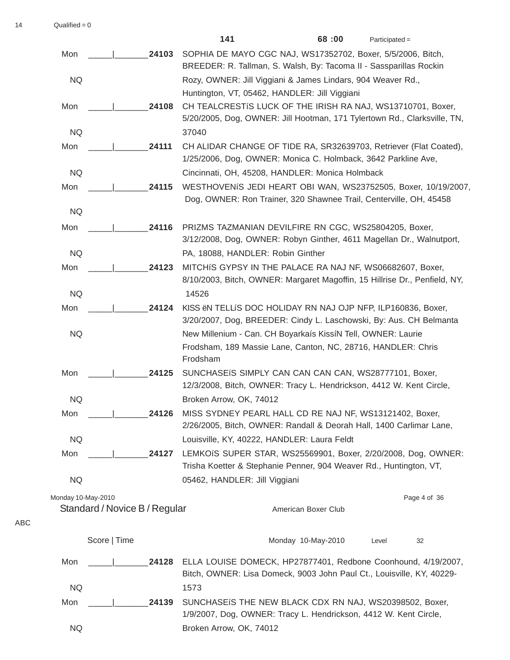$14$  Qualified = 0

|                    |                               | 141                                                                                                                                      | 68:00                                                              | $Participated =$ |              |
|--------------------|-------------------------------|------------------------------------------------------------------------------------------------------------------------------------------|--------------------------------------------------------------------|------------------|--------------|
| Mon                | 24103                         | SOPHIA DE MAYO CGC NAJ, WS17352702, Boxer, 5/5/2006, Bitch,<br>BREEDER: R. Tallman, S. Walsh, By: Tacoma II - Sassparillas Rockin        |                                                                    |                  |              |
| <b>NQ</b>          |                               | Rozy, OWNER: Jill Viggiani & James Lindars, 904 Weaver Rd.,<br>Huntington, VT, 05462, HANDLER: Jill Viggiani                             |                                                                    |                  |              |
| Mon                | 24108                         | CH TEALCRESTIS LUCK OF THE IRISH RA NAJ, WS13710701, Boxer,<br>5/20/2005, Dog, OWNER: Jill Hootman, 171 Tylertown Rd., Clarksville, TN,  |                                                                    |                  |              |
| <b>NQ</b>          |                               | 37040                                                                                                                                    |                                                                    |                  |              |
| Mon                | 24111                         | CH ALIDAR CHANGE OF TIDE RA, SR32639703, Retriever (Flat Coated),<br>1/25/2006, Dog, OWNER: Monica C. Holmback, 3642 Parkline Ave,       |                                                                    |                  |              |
| <b>NQ</b>          |                               | Cincinnati, OH, 45208, HANDLER: Monica Holmback                                                                                          |                                                                    |                  |              |
| Mon                | 24115                         | WESTHOVENIS JEDI HEART OBI WAN, WS23752505, Boxer, 10/19/2007,                                                                           | Dog, OWNER: Ron Trainer, 320 Shawnee Trail, Centerville, OH, 45458 |                  |              |
| <b>NQ</b>          |                               |                                                                                                                                          |                                                                    |                  |              |
| Mon                | 24116                         | PRIZMS TAZMANIAN DEVILFIRE RN CGC, WS25804205, Boxer,<br>3/12/2008, Dog, OWNER: Robyn Ginther, 4611 Magellan Dr., Walnutport,            |                                                                    |                  |              |
| <b>NQ</b>          |                               | PA, 18088, HANDLER: Robin Ginther                                                                                                        |                                                                    |                  |              |
| Mon                | 24123                         | MITCHIS GYPSY IN THE PALACE RA NAJ NF, WS06682607, Boxer,                                                                                |                                                                    |                  |              |
|                    |                               | 8/10/2003, Bitch, OWNER: Margaret Magoffin, 15 Hillrise Dr., Penfield, NY,                                                               |                                                                    |                  |              |
| <b>NQ</b>          |                               | 14526                                                                                                                                    |                                                                    |                  |              |
| Mon                | 24124                         | KISS EN TELLIS DOC HOLIDAY RN NAJ OJP NFP, ILP160836, Boxer,<br>3/20/2007, Dog, BREEDER: Cindy L. Laschowski, By: Aus. CH Belmanta       |                                                                    |                  |              |
| <b>NQ</b>          |                               | New Millenium - Can. CH Boyarkaís KissíN Tell, OWNER: Laurie<br>Frodsham, 189 Massie Lane, Canton, NC, 28716, HANDLER: Chris<br>Frodsham |                                                                    |                  |              |
| Mon                | 24125                         | SUNCHASEIS SIMPLY CAN CAN CAN CAN, WS28777101, Boxer,<br>12/3/2008, Bitch, OWNER: Tracy L. Hendrickson, 4412 W. Kent Circle,             |                                                                    |                  |              |
| <b>NQ</b>          |                               | Broken Arrow, OK, 74012                                                                                                                  |                                                                    |                  |              |
| Mon                | 24126                         | MISS SYDNEY PEARL HALL CD RE NAJ NF, WS13121402, Boxer,<br>2/26/2005, Bitch, OWNER: Randall & Deorah Hall, 1400 Carlimar Lane,           |                                                                    |                  |              |
| <b>NQ</b>          |                               | Louisville, KY, 40222, HANDLER: Laura Feldt                                                                                              |                                                                    |                  |              |
| Mon                | 24127                         | LEMKOIS SUPER STAR, WS25569901, Boxer, 2/20/2008, Dog, OWNER:<br>Trisha Koetter & Stephanie Penner, 904 Weaver Rd., Huntington, VT,      |                                                                    |                  |              |
| <b>NQ</b>          |                               | 05462, HANDLER: Jill Viggiani                                                                                                            |                                                                    |                  |              |
| Monday 10-May-2010 |                               |                                                                                                                                          |                                                                    |                  | Page 4 of 36 |
|                    | Standard / Novice B / Regular |                                                                                                                                          | American Boxer Club                                                |                  |              |
|                    | Score   Time                  |                                                                                                                                          | Monday 10-May-2010                                                 | Level            | 32           |
| Mon                | 24128                         | ELLA LOUISE DOMECK, HP27877401, Redbone Coonhound, 4/19/2007,<br>Bitch, OWNER: Lisa Domeck, 9003 John Paul Ct., Louisville, KY, 40229-   |                                                                    |                  |              |
| <b>NQ</b>          |                               | 1573                                                                                                                                     |                                                                    |                  |              |
| Mon                | 24139                         | SUNCHASEIS THE NEW BLACK CDX RN NAJ, WS20398502, Boxer,<br>1/9/2007, Dog, OWNER: Tracy L. Hendrickson, 4412 W. Kent Circle,              |                                                                    |                  |              |

NQ Broken Arrow, OK, 74012

ABC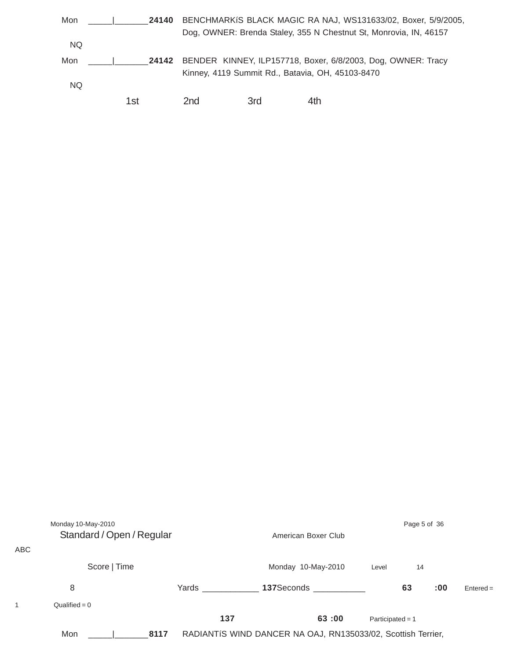| 24140 |                 | BENCHMARKIS BLACK MAGIC RA NAJ, WS131633/02, Boxer, 5/9/2005,<br>Dog, OWNER: Brenda Staley, 355 N Chestnut St, Monrovia, IN, 46157 |     |  |  |  |  |  |  |
|-------|-----------------|------------------------------------------------------------------------------------------------------------------------------------|-----|--|--|--|--|--|--|
|       |                 |                                                                                                                                    |     |  |  |  |  |  |  |
|       |                 |                                                                                                                                    |     |  |  |  |  |  |  |
| 24142 |                 | BENDER KINNEY, ILP157718, Boxer, 6/8/2003, Dog, OWNER: Tracy                                                                       |     |  |  |  |  |  |  |
|       |                 | Kinney, 4119 Summit Rd., Batavia, OH, 45103-8470                                                                                   |     |  |  |  |  |  |  |
|       |                 |                                                                                                                                    |     |  |  |  |  |  |  |
| 1st   | 2 <sub>nd</sub> | 3rd                                                                                                                                | 4th |  |  |  |  |  |  |
|       |                 |                                                                                                                                    |     |  |  |  |  |  |  |

| ABC | Monday 10-May-2010<br>Standard / Open / Regular |       | American Boxer Club                                          |                    | Page 5 of 36 |             |  |
|-----|-------------------------------------------------|-------|--------------------------------------------------------------|--------------------|--------------|-------------|--|
|     | Score   Time                                    |       | Monday 10-May-2010<br>Level                                  |                    |              |             |  |
|     | 8                                               | Yards | 137Seconds                                                   |                    | 63<br>:00    | $Entered =$ |  |
| 1   | $Qualified = 0$                                 |       |                                                              |                    |              |             |  |
|     |                                                 | 137   | 63:00                                                        | Participated = $1$ |              |             |  |
|     | Mon<br>8117                                     |       | RADIANTÍS WIND DANCER NA OAJ, RN135033/02, Scottish Terrier, |                    |              |             |  |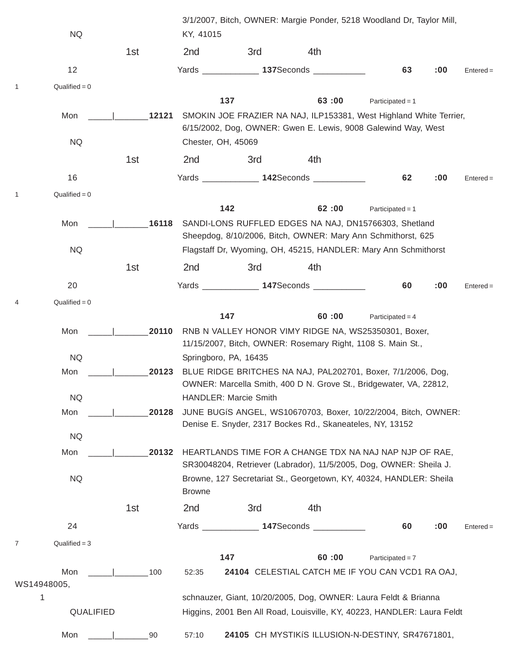|   | NQ               |             | KY, 41015                                     |                       | 3/1/2007, Bitch, OWNER: Margie Ponder, 5218 Woodland Dr, Taylor Mill,                                                                                                                                                          |                    |     |             |
|---|------------------|-------------|-----------------------------------------------|-----------------------|--------------------------------------------------------------------------------------------------------------------------------------------------------------------------------------------------------------------------------|--------------------|-----|-------------|
|   |                  | 1st         | 2nd                                           | 3rd                   | 4th                                                                                                                                                                                                                            |                    |     |             |
|   | 12               |             | <b>Transfer State State State State State</b> |                       | 137Seconds and the state of the state of the state of the state of the state of the state of the state of the state of the state of the state of the state of the state of the state of the state of the state of the state of | 63                 | :00 | $Entered =$ |
|   | $Qualified = 0$  |             |                                               |                       |                                                                                                                                                                                                                                |                    |     |             |
|   |                  |             |                                               | 137                   | 63:00                                                                                                                                                                                                                          | Participated = $1$ |     |             |
|   | Mon<br><b>NQ</b> | 12121       |                                               | Chester, OH, 45069    | SMOKIN JOE FRAZIER NA NAJ, ILP153381, West Highland White Terrier,<br>6/15/2002, Dog, OWNER: Gwen E. Lewis, 9008 Galewind Way, West                                                                                            |                    |     |             |
|   |                  | 1st         | 2nd                                           | 3rd                   | 4th                                                                                                                                                                                                                            |                    |     |             |
|   | 16               |             |                                               |                       | 142Seconds ____________                                                                                                                                                                                                        | 62                 | :00 | $Entered =$ |
|   | $Qualified = 0$  |             |                                               |                       |                                                                                                                                                                                                                                |                    |     |             |
|   |                  |             |                                               | 142                   | 62:00                                                                                                                                                                                                                          | Participated = $1$ |     |             |
|   | Mon              | 16118       |                                               |                       | SANDI-LONS RUFFLED EDGES NA NAJ, DN15766303, Shetland                                                                                                                                                                          |                    |     |             |
|   |                  |             |                                               |                       | Sheepdog, 8/10/2006, Bitch, OWNER: Mary Ann Schmithorst, 625                                                                                                                                                                   |                    |     |             |
|   | <b>NQ</b>        |             |                                               |                       | Flagstaff Dr, Wyoming, OH, 45215, HANDLER: Mary Ann Schmithorst                                                                                                                                                                |                    |     |             |
|   |                  | 1st         | 2 <sub>nd</sub>                               | 3rd                   | 4th                                                                                                                                                                                                                            |                    |     |             |
|   | 20               |             |                                               |                       | Yards 147Seconds 1978                                                                                                                                                                                                          | 60                 | :00 | $Entered =$ |
| 4 | $Qualified = 0$  |             |                                               |                       |                                                                                                                                                                                                                                |                    |     |             |
|   |                  |             |                                               | 147                   | 60:00                                                                                                                                                                                                                          | Participated = $4$ |     |             |
|   | Mon              | 20110       |                                               |                       | RNB N VALLEY HONOR VIMY RIDGE NA, WS25350301, Boxer,<br>11/15/2007, Bitch, OWNER: Rosemary Right, 1108 S. Main St.,                                                                                                            |                    |     |             |
|   | <b>NQ</b>        |             |                                               | Springboro, PA, 16435 |                                                                                                                                                                                                                                |                    |     |             |
|   | Mon              | 20123       |                                               |                       | BLUE RIDGE BRITCHES NA NAJ, PAL202701, Boxer, 7/1/2006, Dog,<br>OWNER: Marcella Smith, 400 D N. Grove St., Bridgewater, VA, 22812,                                                                                             |                    |     |             |
|   | <b>NQ</b>        |             |                                               | HANDLER: Marcie Smith |                                                                                                                                                                                                                                |                    |     |             |
|   | Mon              | 20128       |                                               |                       | JUNE BUGÍS ANGEL, WS10670703, Boxer, 10/22/2004, Bitch, OWNER:                                                                                                                                                                 |                    |     |             |
|   | <b>NQ</b>        |             |                                               |                       | Denise E. Snyder, 2317 Bockes Rd., Skaneateles, NY, 13152                                                                                                                                                                      |                    |     |             |
|   | Mon              | 20132       |                                               |                       | HEARTLANDS TIME FOR A CHANGE TDX NA NAJ NAP NJP OF RAE,                                                                                                                                                                        |                    |     |             |
|   |                  |             |                                               |                       | SR30048204, Retriever (Labrador), 11/5/2005, Dog, OWNER: Sheila J.                                                                                                                                                             |                    |     |             |
|   | <b>NQ</b>        |             | <b>Browne</b>                                 |                       | Browne, 127 Secretariat St., Georgetown, KY, 40324, HANDLER: Sheila                                                                                                                                                            |                    |     |             |
|   |                  | 1st         | 2nd                                           | 3rd                   | 4th                                                                                                                                                                                                                            |                    |     |             |
|   | 24               |             |                                               |                       | Yards ______________ 147Seconds __________                                                                                                                                                                                     | 60                 | :00 | $Entered =$ |
| 7 | $Qualified = 3$  |             |                                               |                       |                                                                                                                                                                                                                                |                    |     |             |
|   |                  |             |                                               | 147                   | 60:00                                                                                                                                                                                                                          | Participated = $7$ |     |             |
|   | Mon              | $\vert$ 100 | 52:35                                         |                       | 24104 CELESTIAL CATCH ME IF YOU CAN VCD1 RA OAJ,                                                                                                                                                                               |                    |     |             |
|   | WS14948005,      |             |                                               |                       |                                                                                                                                                                                                                                |                    |     |             |
|   | 1<br>QUALIFIED   |             |                                               |                       | schnauzer, Giant, 10/20/2005, Dog, OWNER: Laura Feldt & Brianna<br>Higgins, 2001 Ben All Road, Louisville, KY, 40223, HANDLER: Laura Feldt                                                                                     |                    |     |             |
|   | Mon              | 90          | 57:10                                         |                       | 24105 CH MYSTIKIS ILLUSION-N-DESTINY, SR47671801,                                                                                                                                                                              |                    |     |             |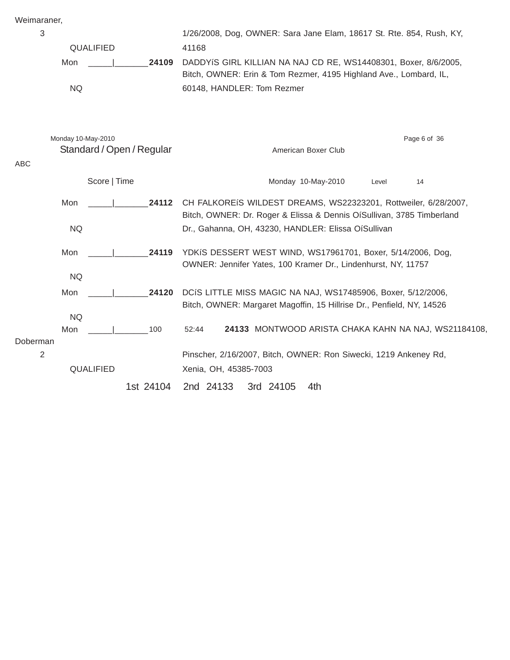| Weimaraner |  |
|------------|--|
|            |  |

| Weimaraner,    |                    |                           |                                                                                                                                          |  |  |  |  |
|----------------|--------------------|---------------------------|------------------------------------------------------------------------------------------------------------------------------------------|--|--|--|--|
| 3              |                    |                           | 1/26/2008, Dog, OWNER: Sara Jane Elam, 18617 St. Rte. 854, Rush, KY,                                                                     |  |  |  |  |
|                | QUALIFIED          |                           | 41168                                                                                                                                    |  |  |  |  |
|                | Mon                | 24109                     | DADDYIS GIRL KILLIAN NA NAJ CD RE, WS14408301, Boxer, 8/6/2005,<br>Bitch, OWNER: Erin & Tom Rezmer, 4195 Highland Ave., Lombard, IL,     |  |  |  |  |
|                | <b>NQ</b>          |                           | 60148, HANDLER: Tom Rezmer                                                                                                               |  |  |  |  |
|                | Monday 10-May-2010 | Standard / Open / Regular | Page 6 of 36<br>American Boxer Club                                                                                                      |  |  |  |  |
| ABC            |                    |                           |                                                                                                                                          |  |  |  |  |
|                |                    | Score   Time              | Monday 10-May-2010<br>14<br>Level                                                                                                        |  |  |  |  |
|                | Mon                | 24112                     | CH FALKOREIS WILDEST DREAMS, WS22323201, Rottweiler, 6/28/2007,<br>Bitch, OWNER: Dr. Roger & Elissa & Dennis OíSullivan, 3785 Timberland |  |  |  |  |
|                | <b>NQ</b>          |                           | Dr., Gahanna, OH, 43230, HANDLER: Elissa OíSullivan                                                                                      |  |  |  |  |
|                | Mon                | 24119                     | YDKIS DESSERT WEST WIND, WS17961701, Boxer, 5/14/2006, Dog,                                                                              |  |  |  |  |
|                | <b>NQ</b>          |                           | OWNER: Jennifer Yates, 100 Kramer Dr., Lindenhurst, NY, 11757                                                                            |  |  |  |  |
|                | Mon                | 24120                     | DCIS LITTLE MISS MAGIC NA NAJ, WS17485906, Boxer, 5/12/2006,<br>Bitch, OWNER: Margaret Magoffin, 15 Hillrise Dr., Penfield, NY, 14526    |  |  |  |  |
|                | <b>NQ</b>          |                           |                                                                                                                                          |  |  |  |  |
| Doberman       | Mon                | 100                       | 24133 MONTWOOD ARISTA CHAKA KAHN NA NAJ, WS21184108,<br>52:44                                                                            |  |  |  |  |
| $\overline{2}$ |                    |                           | Pinscher, 2/16/2007, Bitch, OWNER: Ron Siwecki, 1219 Ankeney Rd,                                                                         |  |  |  |  |
|                | QUALIFIED          |                           | Xenia, OH, 45385-7003                                                                                                                    |  |  |  |  |
|                |                    | 1st 24104                 | 2nd 24133<br>3rd 24105<br>4th                                                                                                            |  |  |  |  |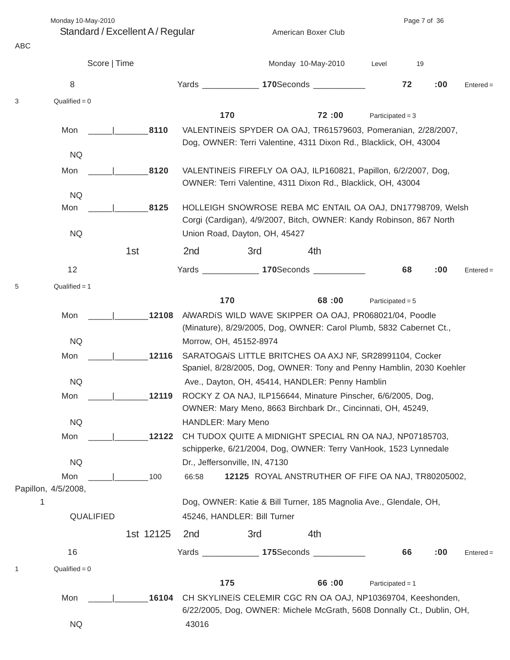Monday 10-May-2010 Page 7 of 36

Standard / Excellent A / Regular American Boxer Club

| ABC          |                     |              |           |                 |                                |                    |                                                                                                                                                                                                                                |                    |    |     |             |
|--------------|---------------------|--------------|-----------|-----------------|--------------------------------|--------------------|--------------------------------------------------------------------------------------------------------------------------------------------------------------------------------------------------------------------------------|--------------------|----|-----|-------------|
|              |                     | Score   Time |           |                 |                                | Monday 10-May-2010 |                                                                                                                                                                                                                                | Level              | 19 |     |             |
|              | 8                   |              |           | Yards _________ |                                |                    | 170Seconds and the second state of the second state of the second state of the second state of the second state of the second state of the second state of the second state of the second state state state state state state  |                    | 72 | :00 | $Entered =$ |
| 3            | $Qualified = 0$     |              |           |                 |                                |                    |                                                                                                                                                                                                                                |                    |    |     |             |
|              |                     |              |           |                 | 170                            |                    | 72:00                                                                                                                                                                                                                          | Participated = $3$ |    |     |             |
|              | Mon                 |              | 8110      |                 |                                |                    | VALENTINEIS SPYDER OA OAJ, TR61579603, Pomeranian, 2/28/2007,                                                                                                                                                                  |                    |    |     |             |
|              | <b>NQ</b>           |              |           |                 |                                |                    | Dog, OWNER: Terri Valentine, 4311 Dixon Rd., Blacklick, OH, 43004                                                                                                                                                              |                    |    |     |             |
|              | Mon                 |              | 8120      |                 |                                |                    | VALENTINEIS FIREFLY OA OAJ, ILP160821, Papillon, 6/2/2007, Dog,                                                                                                                                                                |                    |    |     |             |
|              |                     |              |           |                 |                                |                    | OWNER: Terri Valentine, 4311 Dixon Rd., Blacklick, OH, 43004                                                                                                                                                                   |                    |    |     |             |
|              | <b>NQ</b>           |              |           |                 |                                |                    |                                                                                                                                                                                                                                |                    |    |     |             |
|              | Mon                 |              | 8125      |                 |                                |                    | HOLLEIGH SNOWROSE REBA MC ENTAIL OA OAJ, DN17798709, Welsh                                                                                                                                                                     |                    |    |     |             |
|              |                     |              |           |                 |                                |                    | Corgi (Cardigan), 4/9/2007, Bitch, OWNER: Kandy Robinson, 867 North                                                                                                                                                            |                    |    |     |             |
|              | <b>NQ</b>           |              |           |                 | Union Road, Dayton, OH, 45427  |                    |                                                                                                                                                                                                                                |                    |    |     |             |
|              |                     |              | 1st       | 2nd             | 3rd                            |                    | 4th                                                                                                                                                                                                                            |                    |    |     |             |
|              | 12                  |              |           | Yards ____      |                                |                    | 170Seconds and the second state of the second state of the second state of the second state of the second state of the second state state and state state state state state state state state state state state state state st |                    | 68 | :00 | $Entered =$ |
| 5            | $Qualified = 1$     |              |           |                 |                                |                    |                                                                                                                                                                                                                                |                    |    |     |             |
|              |                     |              |           |                 | 170                            |                    | 68:00                                                                                                                                                                                                                          | Participated = $5$ |    |     |             |
|              | Mon                 |              | 12108     |                 |                                |                    | AIWARDIS WILD WAVE SKIPPER OA OAJ, PR068021/04, Poodle                                                                                                                                                                         |                    |    |     |             |
|              |                     |              |           |                 |                                |                    | (Minature), 8/29/2005, Dog, OWNER: Carol Plumb, 5832 Cabernet Ct.,                                                                                                                                                             |                    |    |     |             |
|              | <b>NQ</b><br>Mon    |              | 12116     |                 | Morrow, OH, 45152-8974         |                    | SARATOGAIS LITTLE BRITCHES OA AXJ NF, SR28991104, Cocker                                                                                                                                                                       |                    |    |     |             |
|              |                     |              |           |                 |                                |                    | Spaniel, 8/28/2005, Dog, OWNER: Tony and Penny Hamblin, 2030 Koehler                                                                                                                                                           |                    |    |     |             |
|              | <b>NQ</b>           |              |           |                 |                                |                    | Ave., Dayton, OH, 45414, HANDLER: Penny Hamblin                                                                                                                                                                                |                    |    |     |             |
|              | Mon                 |              | 12119     |                 |                                |                    | ROCKY Z OA NAJ, ILP156644, Minature Pinscher, 6/6/2005, Dog,                                                                                                                                                                   |                    |    |     |             |
|              |                     |              |           |                 |                                |                    | OWNER: Mary Meno, 8663 Birchbark Dr., Cincinnati, OH, 45249,                                                                                                                                                                   |                    |    |     |             |
|              | <b>NQ</b>           |              |           |                 | <b>HANDLER: Mary Meno</b>      |                    |                                                                                                                                                                                                                                |                    |    |     |             |
|              | Mon                 |              | 12122     |                 |                                |                    | CH TUDOX QUITE A MIDNIGHT SPECIAL RN OA NAJ, NP07185703,<br>schipperke, 6/21/2004, Dog, OWNER: Terry VanHook, 1523 Lynnedale                                                                                                   |                    |    |     |             |
|              | <b>NQ</b>           |              |           |                 | Dr., Jeffersonville, IN, 47130 |                    |                                                                                                                                                                                                                                |                    |    |     |             |
|              | Mon                 |              | 100       | 66:58           |                                |                    | 12125 ROYAL ANSTRUTHER OF FIFE OA NAJ, TR80205002,                                                                                                                                                                             |                    |    |     |             |
|              | Papillon, 4/5/2008, |              |           |                 |                                |                    |                                                                                                                                                                                                                                |                    |    |     |             |
| 1            |                     |              |           |                 |                                |                    | Dog, OWNER: Katie & Bill Turner, 185 Magnolia Ave., Glendale, OH,                                                                                                                                                              |                    |    |     |             |
|              |                     | QUALIFIED    |           |                 | 45246, HANDLER: Bill Turner    |                    |                                                                                                                                                                                                                                |                    |    |     |             |
|              |                     |              | 1st 12125 | 2 <sub>nd</sub> | 3rd                            |                    | 4th                                                                                                                                                                                                                            |                    |    |     |             |
|              | 16                  |              |           |                 |                                |                    | Yards _______________ 175Seconds ____________                                                                                                                                                                                  |                    | 66 | :00 | $Entered =$ |
| $\mathbf{1}$ | $Qualified = 0$     |              |           |                 |                                |                    |                                                                                                                                                                                                                                |                    |    |     |             |
|              |                     |              |           |                 | 175                            |                    | 66:00                                                                                                                                                                                                                          | Participated = $1$ |    |     |             |
|              | Mon                 |              | 16104     |                 |                                |                    | CH SKYLINEIS CELEMIR CGC RN OA OAJ, NP10369704, Keeshonden,<br>6/22/2005, Dog, OWNER: Michele McGrath, 5608 Donnally Ct., Dublin, OH,                                                                                          |                    |    |     |             |
|              | NQ                  |              |           | 43016           |                                |                    |                                                                                                                                                                                                                                |                    |    |     |             |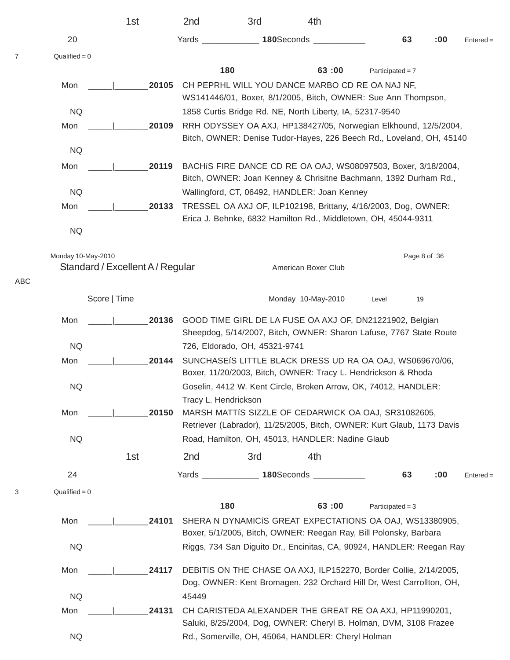|     |                    | 1st                              |       | 2nd                                                                                                                                       | 3rd                           | 4th                                                                                                                                     |                    |              |             |  |
|-----|--------------------|----------------------------------|-------|-------------------------------------------------------------------------------------------------------------------------------------------|-------------------------------|-----------------------------------------------------------------------------------------------------------------------------------------|--------------------|--------------|-------------|--|
|     | 20                 |                                  |       | Yards                                                                                                                                     |                               | 180Seconds _                                                                                                                            | 63                 | :00          | $Entered =$ |  |
| 7   | $Qualified = 0$    |                                  |       |                                                                                                                                           |                               |                                                                                                                                         |                    |              |             |  |
|     |                    |                                  |       |                                                                                                                                           | 180                           | 63:00                                                                                                                                   | Participated = $7$ |              |             |  |
|     | Mon                |                                  | 20105 |                                                                                                                                           |                               | CH PEPRHL WILL YOU DANCE MARBO CD RE OA NAJ NF,<br>WS141446/01, Boxer, 8/1/2005, Bitch, OWNER: Sue Ann Thompson,                        |                    |              |             |  |
|     | <b>NQ</b>          |                                  |       |                                                                                                                                           |                               | 1858 Curtis Bridge Rd. NE, North Liberty, IA, 52317-9540                                                                                |                    |              |             |  |
|     | Mon                |                                  | 20109 |                                                                                                                                           |                               | RRH ODYSSEY OA AXJ, HP138427/05, Norwegian Elkhound, 12/5/2004,<br>Bitch, OWNER: Denise Tudor-Hayes, 226 Beech Rd., Loveland, OH, 45140 |                    |              |             |  |
|     | <b>NQ</b>          |                                  |       |                                                                                                                                           |                               |                                                                                                                                         |                    |              |             |  |
|     | Mon                |                                  | 20119 |                                                                                                                                           |                               | BACHIS FIRE DANCE CD RE OA OAJ, WS08097503, Boxer, 3/18/2004,<br>Bitch, OWNER: Joan Kenney & Chrisitne Bachmann, 1392 Durham Rd.,       |                    |              |             |  |
|     | <b>NQ</b>          |                                  |       |                                                                                                                                           |                               | Wallingford, CT, 06492, HANDLER: Joan Kenney                                                                                            |                    |              |             |  |
|     | Mon                |                                  | 20133 |                                                                                                                                           |                               | TRESSEL OA AXJ OF, ILP102198, Brittany, 4/16/2003, Dog, OWNER:<br>Erica J. Behnke, 6832 Hamilton Rd., Middletown, OH, 45044-9311        |                    |              |             |  |
|     | <b>NQ</b>          |                                  |       |                                                                                                                                           |                               |                                                                                                                                         |                    |              |             |  |
|     | Monday 10-May-2010 | Standard / Excellent A / Regular |       |                                                                                                                                           |                               | American Boxer Club                                                                                                                     |                    | Page 8 of 36 |             |  |
| ABC |                    |                                  |       |                                                                                                                                           |                               |                                                                                                                                         |                    |              |             |  |
|     |                    | Score   Time                     |       |                                                                                                                                           |                               | Monday 10-May-2010                                                                                                                      | Level              | 19           |             |  |
|     | Mon<br>20136       |                                  |       |                                                                                                                                           |                               | GOOD TIME GIRL DE LA FUSE OA AXJ OF, DN21221902, Belgian<br>Sheepdog, 5/14/2007, Bitch, OWNER: Sharon Lafuse, 7767 State Route          |                    |              |             |  |
|     | <b>NQ</b>          |                                  |       |                                                                                                                                           | 726, Eldorado, OH, 45321-9741 |                                                                                                                                         |                    |              |             |  |
|     | Mon                |                                  | 20144 |                                                                                                                                           |                               | SUNCHASEIS LITTLE BLACK DRESS UD RA OA OAJ, WS069670/06,<br>Boxer, 11/20/2003, Bitch, OWNER: Tracy L. Hendrickson & Rhoda               |                    |              |             |  |
|     | <b>NQ</b>          |                                  |       | Tracy L. Hendrickson                                                                                                                      |                               | Goselin, 4412 W. Kent Circle, Broken Arrow, OK, 74012, HANDLER:                                                                         |                    |              |             |  |
|     | Mon                |                                  | 20150 |                                                                                                                                           |                               | MARSH MATTIS SIZZLE OF CEDARWICK OA OAJ, SR31082605,<br>Retriever (Labrador), 11/25/2005, Bitch, OWNER: Kurt Glaub, 1173 Davis          |                    |              |             |  |
|     | <b>NQ</b>          |                                  |       |                                                                                                                                           |                               | Road, Hamilton, OH, 45013, HANDLER: Nadine Glaub                                                                                        |                    |              |             |  |
|     |                    | 1st                              |       | 2 <sub>nd</sub>                                                                                                                           | 3rd                           | 4th                                                                                                                                     |                    |              |             |  |
|     | 24                 |                                  |       | Yards ______________                                                                                                                      |                               | 180Seconds _____________                                                                                                                | 63                 | :00          | $Entered =$ |  |
| 3   | $Qualified = 0$    |                                  |       |                                                                                                                                           |                               |                                                                                                                                         |                    |              |             |  |
|     |                    |                                  |       |                                                                                                                                           | 180                           | 63:00                                                                                                                                   | Participated = $3$ |              |             |  |
|     | Mon                |                                  | 24101 |                                                                                                                                           |                               | SHERA N DYNAMICIS GREAT EXPECTATIONS OA OAJ, WS13380905,<br>Boxer, 5/1/2005, Bitch, OWNER: Reegan Ray, Bill Polonsky, Barbara           |                    |              |             |  |
|     | <b>NQ</b>          |                                  |       |                                                                                                                                           |                               | Riggs, 734 San Diguito Dr., Encinitas, CA, 90924, HANDLER: Reegan Ray                                                                   |                    |              |             |  |
|     | Mon                |                                  | 24117 | DEBITIS ON THE CHASE OA AXJ, ILP152270, Border Collie, 2/14/2005,<br>Dog, OWNER: Kent Bromagen, 232 Orchard Hill Dr, West Carrollton, OH, |                               |                                                                                                                                         |                    |              |             |  |
|     | <b>NQ</b>          |                                  |       | 45449                                                                                                                                     |                               |                                                                                                                                         |                    |              |             |  |
|     | Mon                |                                  | 24131 |                                                                                                                                           |                               | CH CARISTEDA ALEXANDER THE GREAT RE OA AXJ, HP11990201,<br>Saluki, 8/25/2004, Dog, OWNER: Cheryl B. Holman, DVM, 3108 Frazee            |                    |              |             |  |
|     | <b>NQ</b>          |                                  |       |                                                                                                                                           |                               | Rd., Somerville, OH, 45064, HANDLER: Cheryl Holman                                                                                      |                    |              |             |  |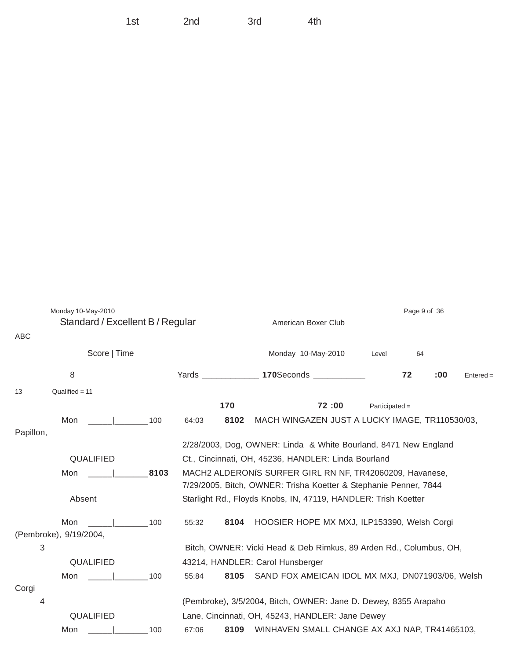| ABC       | Monday 10-May-2010<br>Standard / Excellent B / Regular |     |                                                                | Page 9 of 36<br>American Boxer Club |                                                                                                                              |                  |    |     |             |  |
|-----------|--------------------------------------------------------|-----|----------------------------------------------------------------|-------------------------------------|------------------------------------------------------------------------------------------------------------------------------|------------------|----|-----|-------------|--|
|           | Score   Time                                           |     |                                                                |                                     | Monday 10-May-2010                                                                                                           | Level            | 64 |     |             |  |
|           | 8                                                      |     | Yards 170Seconds 1999                                          |                                     |                                                                                                                              |                  | 72 | :00 | $Entered =$ |  |
| 13        | $Qualified = 11$                                       |     |                                                                |                                     |                                                                                                                              |                  |    |     |             |  |
|           |                                                        |     |                                                                | 170                                 | 72:00                                                                                                                        | $Participated =$ |    |     |             |  |
|           | Mon<br>the contract of the contract of                 | 100 | 64:03                                                          | 8102                                | MACH WINGAZEN JUST A LUCKY IMAGE, TR110530/03,                                                                               |                  |    |     |             |  |
| Papillon, |                                                        |     |                                                                |                                     |                                                                                                                              |                  |    |     |             |  |
|           |                                                        |     |                                                                |                                     | 2/28/2003, Dog, OWNER: Linda & White Bourland, 8471 New England                                                              |                  |    |     |             |  |
|           | QUALIFIED                                              |     |                                                                |                                     | Ct., Cincinnati, OH, 45236, HANDLER: Linda Bourland                                                                          |                  |    |     |             |  |
|           | 8103<br>Mon                                            |     |                                                                |                                     | MACH2 ALDERONIS SURFER GIRL RN NF, TR42060209, Havanese,<br>7/29/2005, Bitch, OWNER: Trisha Koetter & Stephanie Penner, 7844 |                  |    |     |             |  |
|           | Absent                                                 |     | Starlight Rd., Floyds Knobs, IN, 47119, HANDLER: Trish Koetter |                                     |                                                                                                                              |                  |    |     |             |  |
|           | Mon<br>(Pembroke), 9/19/2004,                          | 100 | 55:32                                                          | 8104                                | HOOSIER HOPE MX MXJ, ILP153390, Welsh Corgi                                                                                  |                  |    |     |             |  |
| 3         |                                                        |     |                                                                |                                     | Bitch, OWNER: Vicki Head & Deb Rimkus, 89 Arden Rd., Columbus, OH,                                                           |                  |    |     |             |  |
|           | QUALIFIED                                              |     |                                                                |                                     | 43214, HANDLER: Carol Hunsberger                                                                                             |                  |    |     |             |  |
|           | Mon                                                    | 100 | 55:84                                                          | 8105                                | SAND FOX AMEICAN IDOL MX MXJ, DN071903/06, Welsh                                                                             |                  |    |     |             |  |
| Corgi     |                                                        |     |                                                                |                                     |                                                                                                                              |                  |    |     |             |  |
| 4         |                                                        |     |                                                                |                                     | (Pembroke), 3/5/2004, Bitch, OWNER: Jane D. Dewey, 8355 Arapaho                                                              |                  |    |     |             |  |
|           | QUALIFIED                                              |     |                                                                |                                     | Lane, Cincinnati, OH, 45243, HANDLER: Jane Dewey                                                                             |                  |    |     |             |  |
|           | Mon                                                    | 100 | 67:06                                                          | 8109                                | WINHAVEN SMALL CHANGE AX AXJ NAP, TR41465103,                                                                                |                  |    |     |             |  |

1st 2nd 3rd 4th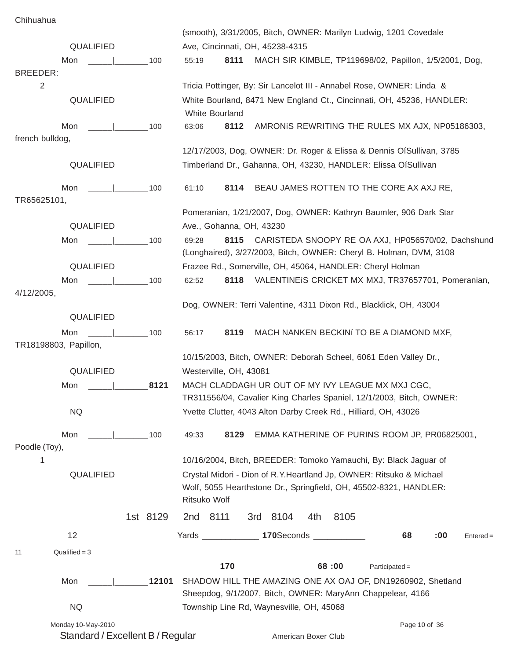Chihuahua

|                                        |            | (smooth), 3/31/2005, Bitch, OWNER: Marilyn Ludwig, 1201 Covedale                                                                          |  |  |  |  |  |  |  |  |  |
|----------------------------------------|------------|-------------------------------------------------------------------------------------------------------------------------------------------|--|--|--|--|--|--|--|--|--|
| QUALIFIED                              |            | Ave, Cincinnati, OH, 45238-4315                                                                                                           |  |  |  |  |  |  |  |  |  |
| Mon                                    | 100        | 8111<br>MACH SIR KIMBLE, TP119698/02, Papillon, 1/5/2001, Dog,<br>55:19                                                                   |  |  |  |  |  |  |  |  |  |
| <b>BREEDER:</b>                        |            |                                                                                                                                           |  |  |  |  |  |  |  |  |  |
| 2                                      |            | Tricia Pottinger, By: Sir Lancelot III - Annabel Rose, OWNER: Linda &                                                                     |  |  |  |  |  |  |  |  |  |
| QUALIFIED                              |            | White Bourland, 8471 New England Ct., Cincinnati, OH, 45236, HANDLER:<br>White Bourland                                                   |  |  |  |  |  |  |  |  |  |
| Mon<br>the contract of the contract of | 100        | 8112<br>AMRONIS REWRITING THE RULES MX AJX, NP05186303,<br>63:06                                                                          |  |  |  |  |  |  |  |  |  |
| french bulldog,                        |            | 12/17/2003, Dog, OWNER: Dr. Roger & Elissa & Dennis OíSullivan, 3785                                                                      |  |  |  |  |  |  |  |  |  |
| QUALIFIED                              |            | Timberland Dr., Gahanna, OH, 43230, HANDLER: Elissa OíSullivan                                                                            |  |  |  |  |  |  |  |  |  |
| Mon<br>the contract of the contract of | 100        | BEAU JAMES ROTTEN TO THE CORE AX AXJ RE,<br>61:10<br>8114                                                                                 |  |  |  |  |  |  |  |  |  |
| TR65625101,                            |            |                                                                                                                                           |  |  |  |  |  |  |  |  |  |
| QUALIFIED                              |            | Pomeranian, 1/21/2007, Dog, OWNER: Kathryn Baumler, 906 Dark Star<br>Ave., Gohanna, OH, 43230                                             |  |  |  |  |  |  |  |  |  |
|                                        |            |                                                                                                                                           |  |  |  |  |  |  |  |  |  |
| Mon                                    | 100        | 8115<br>CARISTEDA SNOOPY RE OA AXJ, HP056570/02, Dachshund<br>69:28<br>(Longhaired), 3/27/2003, Bitch, OWNER: Cheryl B. Holman, DVM, 3108 |  |  |  |  |  |  |  |  |  |
| QUALIFIED                              |            | Frazee Rd., Somerville, OH, 45064, HANDLER: Cheryl Holman                                                                                 |  |  |  |  |  |  |  |  |  |
| Mon                                    | 100        | VALENTINEIS CRICKET MX MXJ, TR37657701, Pomeranian,<br>62:52<br>8118                                                                      |  |  |  |  |  |  |  |  |  |
| 4/12/2005,                             |            | Dog, OWNER: Terri Valentine, 4311 Dixon Rd., Blacklick, OH, 43004                                                                         |  |  |  |  |  |  |  |  |  |
| QUALIFIED                              |            |                                                                                                                                           |  |  |  |  |  |  |  |  |  |
| Mon<br>TR18198803, Papillon,           | $\sim$ 100 | 8119<br>MACH NANKEN BECKINÍ TO BE A DIAMOND MXF,<br>56:17                                                                                 |  |  |  |  |  |  |  |  |  |
|                                        |            | 10/15/2003, Bitch, OWNER: Deborah Scheel, 6061 Eden Valley Dr.,                                                                           |  |  |  |  |  |  |  |  |  |
| QUALIFIED                              |            | Westerville, OH, 43081                                                                                                                    |  |  |  |  |  |  |  |  |  |
|                                        |            | MACH CLADDAGH UR OUT OF MY IVY LEAGUE MX MXJ CGC,                                                                                         |  |  |  |  |  |  |  |  |  |
| Mon                                    | 8121       | TR311556/04, Cavalier King Charles Spaniel, 12/1/2003, Bitch, OWNER:                                                                      |  |  |  |  |  |  |  |  |  |
| <b>NQ</b>                              |            | Yvette Clutter, 4043 Alton Darby Creek Rd., Hilliard, OH, 43026                                                                           |  |  |  |  |  |  |  |  |  |
| Mon                                    | 100        | EMMA KATHERINE OF PURINS ROOM JP, PR06825001,<br>49:33<br>8129                                                                            |  |  |  |  |  |  |  |  |  |
| Poodle (Toy),                          |            |                                                                                                                                           |  |  |  |  |  |  |  |  |  |
| 1                                      |            | 10/16/2004, Bitch, BREEDER: Tomoko Yamauchi, By: Black Jaguar of                                                                          |  |  |  |  |  |  |  |  |  |
| QUALIFIED                              |            | Crystal Midori - Dion of R.Y. Heartland Jp, OWNER: Ritsuko & Michael                                                                      |  |  |  |  |  |  |  |  |  |
|                                        |            | Wolf, 5055 Hearthstone Dr., Springfield, OH, 45502-8321, HANDLER:<br>Ritsuko Wolf                                                         |  |  |  |  |  |  |  |  |  |
|                                        | 1st 8129   | 2nd 8111<br>3rd 8104<br>8105<br>4th                                                                                                       |  |  |  |  |  |  |  |  |  |
| 12                                     |            | Yards ________________ 170Seconds ____________<br>68<br>:00<br>$Entered =$                                                                |  |  |  |  |  |  |  |  |  |
| $Qualified = 3$<br>11                  |            |                                                                                                                                           |  |  |  |  |  |  |  |  |  |
|                                        |            | 170<br>68:00<br>$Participated =$                                                                                                          |  |  |  |  |  |  |  |  |  |
| Mon                                    | 12101      | SHADOW HILL THE AMAZING ONE AX OAJ OF, DN19260902, Shetland<br>Sheepdog, 9/1/2007, Bitch, OWNER: MaryAnn Chappelear, 4166                 |  |  |  |  |  |  |  |  |  |
| <b>NQ</b>                              |            | Township Line Rd, Waynesville, OH, 45068                                                                                                  |  |  |  |  |  |  |  |  |  |
| Monday 10-May-2010                     |            | Page 10 of 36                                                                                                                             |  |  |  |  |  |  |  |  |  |

Standard / Excellent B / Regular American Boxer Club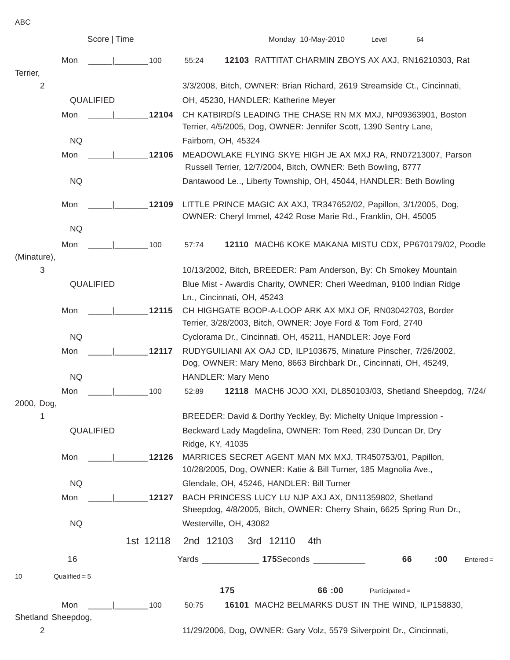ABC

|                    |                 | Score   Time |           |                                                                              |                                                                                                                                          |           | Monday 10-May-2010                                                   | Level            | 64  |             |  |  |  |
|--------------------|-----------------|--------------|-----------|------------------------------------------------------------------------------|------------------------------------------------------------------------------------------------------------------------------------------|-----------|----------------------------------------------------------------------|------------------|-----|-------------|--|--|--|
|                    | Mon             |              | 100       | 55:24                                                                        |                                                                                                                                          |           | 12103 RATTITAT CHARMIN ZBOYS AX AXJ, RN16210303, Rat                 |                  |     |             |  |  |  |
| Terrier,<br>2      |                 |              |           |                                                                              | 3/3/2008, Bitch, OWNER: Brian Richard, 2619 Streamside Ct., Cincinnati,                                                                  |           |                                                                      |                  |     |             |  |  |  |
|                    |                 | QUALIFIED    |           |                                                                              | OH, 45230, HANDLER: Katherine Meyer                                                                                                      |           |                                                                      |                  |     |             |  |  |  |
|                    | Mon             |              | 12104     |                                                                              |                                                                                                                                          |           | CH KATBIRDIS LEADING THE CHASE RN MX MXJ, NP09363901, Boston         |                  |     |             |  |  |  |
|                    |                 |              |           |                                                                              |                                                                                                                                          |           | Terrier, 4/5/2005, Dog, OWNER: Jennifer Scott, 1390 Sentry Lane,     |                  |     |             |  |  |  |
|                    | <b>NQ</b>       |              |           |                                                                              | Fairborn, OH, 45324                                                                                                                      |           |                                                                      |                  |     |             |  |  |  |
|                    | Mon             |              | 12106     |                                                                              |                                                                                                                                          |           | MEADOWLAKE FLYING SKYE HIGH JE AX MXJ RA, RN07213007, Parson         |                  |     |             |  |  |  |
|                    |                 |              |           |                                                                              |                                                                                                                                          |           | Russell Terrier, 12/7/2004, Bitch, OWNER: Beth Bowling, 8777         |                  |     |             |  |  |  |
|                    | <b>NQ</b>       |              |           |                                                                              | Dantawood Le, Liberty Township, OH, 45044, HANDLER: Beth Bowling                                                                         |           |                                                                      |                  |     |             |  |  |  |
|                    | Mon             |              | 12109     |                                                                              |                                                                                                                                          |           | LITTLE PRINCE MAGIC AX AXJ, TR347652/02, Papillon, 3/1/2005, Dog,    |                  |     |             |  |  |  |
|                    |                 |              |           |                                                                              |                                                                                                                                          |           | OWNER: Cheryl Immel, 4242 Rose Marie Rd., Franklin, OH, 45005        |                  |     |             |  |  |  |
|                    | <b>NQ</b>       |              |           |                                                                              |                                                                                                                                          |           |                                                                      |                  |     |             |  |  |  |
|                    | Mon             |              | 100       | 57:74                                                                        |                                                                                                                                          |           | 12110 MACH6 KOKE MAKANA MISTU CDX, PP670179/02, Poodle               |                  |     |             |  |  |  |
| (Minature),        |                 |              |           |                                                                              |                                                                                                                                          |           |                                                                      |                  |     |             |  |  |  |
| 3                  |                 |              |           |                                                                              | 10/13/2002, Bitch, BREEDER: Pam Anderson, By: Ch Smokey Mountain<br>Blue Mist - Awardís Charity, OWNER: Cheri Weedman, 9100 Indian Ridge |           |                                                                      |                  |     |             |  |  |  |
|                    |                 | QUALIFIED    |           |                                                                              | Ln., Cincinnati, OH, 45243                                                                                                               |           |                                                                      |                  |     |             |  |  |  |
|                    | Mon             |              | 12115     |                                                                              |                                                                                                                                          |           |                                                                      |                  |     |             |  |  |  |
|                    |                 |              |           |                                                                              | CH HIGHGATE BOOP-A-LOOP ARK AX MXJ OF, RN03042703, Border<br>Terrier, 3/28/2003, Bitch, OWNER: Joye Ford & Tom Ford, 2740                |           |                                                                      |                  |     |             |  |  |  |
|                    | <b>NQ</b>       |              |           |                                                                              | Cyclorama Dr., Cincinnati, OH, 45211, HANDLER: Joye Ford                                                                                 |           |                                                                      |                  |     |             |  |  |  |
|                    | Mon             |              | 12117     | RUDYGUILIANI AX OAJ CD, ILP103675, Minature Pinscher, 7/26/2002,             |                                                                                                                                          |           |                                                                      |                  |     |             |  |  |  |
|                    |                 |              |           |                                                                              |                                                                                                                                          |           | Dog, OWNER: Mary Meno, 8663 Birchbark Dr., Cincinnati, OH, 45249,    |                  |     |             |  |  |  |
|                    | <b>NQ</b>       |              |           |                                                                              | <b>HANDLER: Mary Meno</b>                                                                                                                |           |                                                                      |                  |     |             |  |  |  |
|                    | Mon             |              | 100       | 52:89                                                                        |                                                                                                                                          |           | 12118 MACH6 JOJO XXI, DL850103/03, Shetland Sheepdog, 7/24/          |                  |     |             |  |  |  |
| 2000, Dog,         |                 |              |           |                                                                              |                                                                                                                                          |           |                                                                      |                  |     |             |  |  |  |
| 1                  |                 |              |           | BREEDER: David & Dorthy Yeckley, By: Michelty Unique Impression -            |                                                                                                                                          |           |                                                                      |                  |     |             |  |  |  |
|                    |                 | QUALIFIED    |           | Beckward Lady Magdelina, OWNER: Tom Reed, 230 Duncan Dr, Dry                 |                                                                                                                                          |           |                                                                      |                  |     |             |  |  |  |
|                    | Mon             |              | 12126     | Ridge, KY, 41035<br>MARRICES SECRET AGENT MAN MX MXJ, TR450753/01, Papillon, |                                                                                                                                          |           |                                                                      |                  |     |             |  |  |  |
|                    |                 |              |           |                                                                              |                                                                                                                                          |           | 10/28/2005, Dog, OWNER: Katie & Bill Turner, 185 Magnolia Ave.,      |                  |     |             |  |  |  |
|                    | <b>NQ</b>       |              |           |                                                                              |                                                                                                                                          |           | Glendale, OH, 45246, HANDLER: Bill Turner                            |                  |     |             |  |  |  |
|                    | Mon             |              | 12127     |                                                                              |                                                                                                                                          |           | BACH PRINCESS LUCY LU NJP AXJ AX, DN11359802, Shetland               |                  |     |             |  |  |  |
|                    |                 |              |           |                                                                              |                                                                                                                                          |           | Sheepdog, 4/8/2005, Bitch, OWNER: Cherry Shain, 6625 Spring Run Dr., |                  |     |             |  |  |  |
|                    | <b>NQ</b>       |              |           |                                                                              | Westerville, OH, 43082                                                                                                                   |           |                                                                      |                  |     |             |  |  |  |
|                    |                 |              | 1st 12118 | 2nd 12103                                                                    |                                                                                                                                          | 3rd 12110 | 4th                                                                  |                  |     |             |  |  |  |
|                    | 16              |              |           |                                                                              |                                                                                                                                          |           | Yards ________________ 175Seconds ____________                       | 66               | :00 | $Entered =$ |  |  |  |
| 10                 | $Qualified = 5$ |              |           |                                                                              |                                                                                                                                          |           |                                                                      |                  |     |             |  |  |  |
|                    |                 |              |           |                                                                              | 175                                                                                                                                      |           | 66:00                                                                | $Participated =$ |     |             |  |  |  |
|                    | Mon             |              | 100       | 50:75                                                                        |                                                                                                                                          |           | 16101 MACH2 BELMARKS DUST IN THE WIND, ILP158830,                    |                  |     |             |  |  |  |
| Shetland Sheepdog, |                 |              |           |                                                                              |                                                                                                                                          |           |                                                                      |                  |     |             |  |  |  |
| 2                  |                 |              |           |                                                                              |                                                                                                                                          |           | 11/29/2006, Dog, OWNER: Gary Volz, 5579 Silverpoint Dr., Cincinnati, |                  |     |             |  |  |  |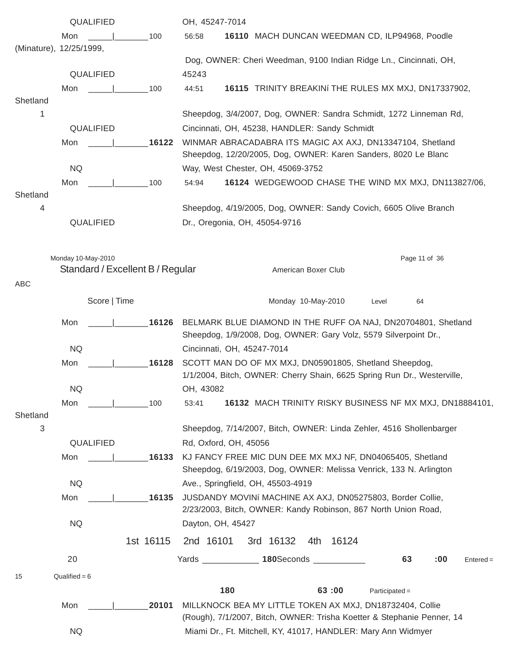|            | QUALIFIED                                              |           | OH, 45247-7014                                                                                                                  |  |  |  |  |  |  |
|------------|--------------------------------------------------------|-----------|---------------------------------------------------------------------------------------------------------------------------------|--|--|--|--|--|--|
|            | Mon                                                    | 100       | 16110 MACH DUNCAN WEEDMAN CD, ILP94968, Poodle<br>56:58                                                                         |  |  |  |  |  |  |
|            | (Minature), 12/25/1999,                                |           |                                                                                                                                 |  |  |  |  |  |  |
|            |                                                        |           | Dog, OWNER: Cheri Weedman, 9100 Indian Ridge Ln., Cincinnati, OH,                                                               |  |  |  |  |  |  |
|            | QUALIFIED                                              |           | 45243                                                                                                                           |  |  |  |  |  |  |
| Shetland   | Mon                                                    | 100       | 16115 TRINITY BREAKINI THE RULES MX MXJ, DN17337902,<br>44:51                                                                   |  |  |  |  |  |  |
| 1          |                                                        |           | Sheepdog, 3/4/2007, Dog, OWNER: Sandra Schmidt, 1272 Linneman Rd,                                                               |  |  |  |  |  |  |
|            | QUALIFIED                                              |           | Cincinnati, OH, 45238, HANDLER: Sandy Schmidt                                                                                   |  |  |  |  |  |  |
|            | Mon                                                    | 16122     | WINMAR ABRACADABRA ITS MAGIC AX AXJ, DN13347104, Shetland                                                                       |  |  |  |  |  |  |
|            |                                                        |           | Sheepdog, 12/20/2005, Dog, OWNER: Karen Sanders, 8020 Le Blanc                                                                  |  |  |  |  |  |  |
|            | <b>NQ</b>                                              |           | Way, West Chester, OH, 45069-3752                                                                                               |  |  |  |  |  |  |
|            | Mon                                                    | 100       | 16124 WEDGEWOOD CHASE THE WIND MX MXJ, DN113827/06,<br>54:94                                                                    |  |  |  |  |  |  |
| Shetland   |                                                        |           |                                                                                                                                 |  |  |  |  |  |  |
| 4          |                                                        |           | Sheepdog, 4/19/2005, Dog, OWNER: Sandy Covich, 6605 Olive Branch                                                                |  |  |  |  |  |  |
|            | QUALIFIED                                              |           | Dr., Oregonia, OH, 45054-9716                                                                                                   |  |  |  |  |  |  |
|            |                                                        |           |                                                                                                                                 |  |  |  |  |  |  |
|            |                                                        |           |                                                                                                                                 |  |  |  |  |  |  |
|            | Monday 10-May-2010<br>Standard / Excellent B / Regular |           | Page 11 of 36<br>American Boxer Club                                                                                            |  |  |  |  |  |  |
| ABC        |                                                        |           |                                                                                                                                 |  |  |  |  |  |  |
|            |                                                        |           |                                                                                                                                 |  |  |  |  |  |  |
|            | Score   Time                                           |           | Monday 10-May-2010<br>64<br>Level                                                                                               |  |  |  |  |  |  |
|            | Mon                                                    | 16126     | BELMARK BLUE DIAMOND IN THE RUFF OA NAJ, DN20704801, Shetland                                                                   |  |  |  |  |  |  |
|            |                                                        |           | Sheepdog, 1/9/2008, Dog, OWNER: Gary Volz, 5579 Silverpoint Dr.,                                                                |  |  |  |  |  |  |
|            | <b>NQ</b>                                              |           | Cincinnati, OH, 45247-7014                                                                                                      |  |  |  |  |  |  |
|            | Mon                                                    | 16128     | SCOTT MAN DO OF MX MXJ, DN05901805, Shetland Sheepdog,                                                                          |  |  |  |  |  |  |
|            |                                                        |           | 1/1/2004, Bitch, OWNER: Cherry Shain, 6625 Spring Run Dr., Westerville,                                                         |  |  |  |  |  |  |
|            | <b>NQ</b>                                              |           | OH, 43082                                                                                                                       |  |  |  |  |  |  |
|            | Mon<br>the company of the company of                   | 100       | 16132 MACH TRINITY RISKY BUSINESS NF MX MXJ, DN18884101,<br>53:41                                                               |  |  |  |  |  |  |
| Shetland   |                                                        |           |                                                                                                                                 |  |  |  |  |  |  |
| $\sqrt{3}$ |                                                        |           | Sheepdog, 7/14/2007, Bitch, OWNER: Linda Zehler, 4516 Shollenbarger                                                             |  |  |  |  |  |  |
|            | QUALIFIED                                              |           | Rd, Oxford, OH, 45056                                                                                                           |  |  |  |  |  |  |
|            | Mon                                                    | 16133     | KJ FANCY FREE MIC DUN DEE MX MXJ NF, DN04065405, Shetland<br>Sheepdog, 6/19/2003, Dog, OWNER: Melissa Venrick, 133 N. Arlington |  |  |  |  |  |  |
|            | <b>NQ</b>                                              |           | Ave., Springfield, OH, 45503-4919                                                                                               |  |  |  |  |  |  |
|            | Mon                                                    | 16135     | JUSDANDY MOVINí MACHINE AX AXJ, DN05275803, Border Collie,                                                                      |  |  |  |  |  |  |
|            |                                                        |           | 2/23/2003, Bitch, OWNER: Kandy Robinson, 867 North Union Road,                                                                  |  |  |  |  |  |  |
|            | <b>NQ</b>                                              |           | Dayton, OH, 45427                                                                                                               |  |  |  |  |  |  |
|            |                                                        |           |                                                                                                                                 |  |  |  |  |  |  |
|            |                                                        | 1st 16115 | 3rd 16132<br>2nd 16101<br>16124<br>4th                                                                                          |  |  |  |  |  |  |
|            | 20                                                     |           | Yards _______________ 180Seconds ____________<br>63<br>:00<br>$Entered =$                                                       |  |  |  |  |  |  |
| 15         | Qualified = $6$                                        |           |                                                                                                                                 |  |  |  |  |  |  |
|            |                                                        |           | 180<br>63:00<br>$Participated =$                                                                                                |  |  |  |  |  |  |
|            | Mon                                                    | 20101     | MILLKNOCK BEA MY LITTLE TOKEN AX MXJ, DN18732404, Collie                                                                        |  |  |  |  |  |  |
|            |                                                        |           | (Rough), 7/1/2007, Bitch, OWNER: Trisha Koetter & Stephanie Penner, 14                                                          |  |  |  |  |  |  |
|            | <b>NQ</b>                                              |           | Miami Dr., Ft. Mitchell, KY, 41017, HANDLER: Mary Ann Widmyer                                                                   |  |  |  |  |  |  |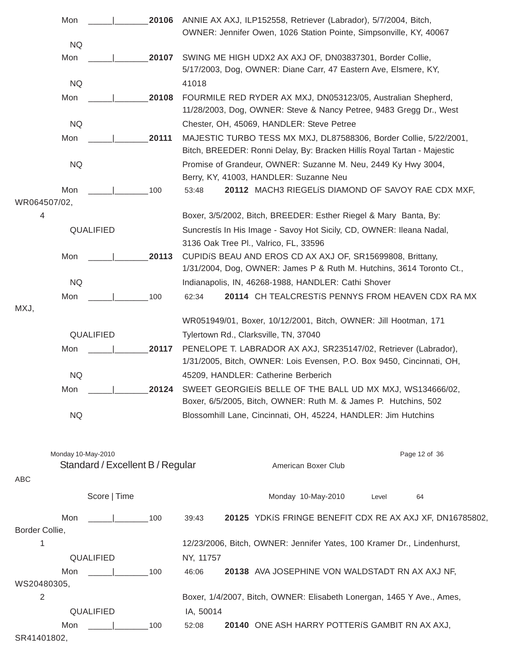|                | Mon       |                                                        |       | 20106 ANNIE AX AXJ, ILP152558, Retriever (Labrador), 5/7/2004, Bitch,<br>OWNER: Jennifer Owen, 1026 Station Pointe, Simpsonville, KY, 40067  |  |  |  |  |  |  |
|----------------|-----------|--------------------------------------------------------|-------|----------------------------------------------------------------------------------------------------------------------------------------------|--|--|--|--|--|--|
|                | <b>NQ</b> |                                                        |       |                                                                                                                                              |  |  |  |  |  |  |
|                | Mon       |                                                        | 20107 | SWING ME HIGH UDX2 AX AXJ OF, DN03837301, Border Collie,<br>5/17/2003, Dog, OWNER: Diane Carr, 47 Eastern Ave, Elsmere, KY,                  |  |  |  |  |  |  |
|                | <b>NQ</b> |                                                        |       | 41018                                                                                                                                        |  |  |  |  |  |  |
|                | Mon       |                                                        | 20108 | FOURMILE RED RYDER AX MXJ, DN053123/05, Australian Shepherd,<br>11/28/2003, Dog, OWNER: Steve & Nancy Petree, 9483 Gregg Dr., West           |  |  |  |  |  |  |
|                | <b>NQ</b> |                                                        |       | Chester, OH, 45069, HANDLER: Steve Petree                                                                                                    |  |  |  |  |  |  |
|                | Mon       |                                                        | 20111 | MAJESTIC TURBO TESS MX MXJ, DL87588306, Border Collie, 5/22/2001,<br>Bitch, BREEDER: Ronni Delay, By: Bracken Hillís Royal Tartan - Majestic |  |  |  |  |  |  |
|                | <b>NQ</b> |                                                        |       | Promise of Grandeur, OWNER: Suzanne M. Neu, 2449 Ky Hwy 3004,<br>Berry, KY, 41003, HANDLER: Suzanne Neu                                      |  |  |  |  |  |  |
|                | Mon       |                                                        | 100   | 20112 MACH3 RIEGELIS DIAMOND OF SAVOY RAE CDX MXF,<br>53:48                                                                                  |  |  |  |  |  |  |
| WR064507/02,   |           |                                                        |       |                                                                                                                                              |  |  |  |  |  |  |
| 4              |           |                                                        |       | Boxer, 3/5/2002, Bitch, BREEDER: Esther Riegel & Mary Banta, By:                                                                             |  |  |  |  |  |  |
| QUALIFIED      |           |                                                        |       | Suncrestís In His Image - Savoy Hot Sicily, CD, OWNER: Ileana Nadal,<br>3136 Oak Tree Pl., Valrico, FL, 33596                                |  |  |  |  |  |  |
|                | Mon       |                                                        | 20113 | CUPIDIS BEAU AND EROS CD AX AXJ OF, SR15699808, Brittany,<br>1/31/2004, Dog, OWNER: James P & Ruth M. Hutchins, 3614 Toronto Ct.,            |  |  |  |  |  |  |
|                | <b>NQ</b> |                                                        |       | Indianapolis, IN, 46268-1988, HANDLER: Cathi Shover                                                                                          |  |  |  |  |  |  |
|                | Mon       |                                                        | 100   | 20114 CH TEALCRESTIS PENNYS FROM HEAVEN CDX RAMX<br>62:34                                                                                    |  |  |  |  |  |  |
| MXJ,           |           |                                                        |       |                                                                                                                                              |  |  |  |  |  |  |
|                |           |                                                        |       | WR051949/01, Boxer, 10/12/2001, Bitch, OWNER: Jill Hootman, 171                                                                              |  |  |  |  |  |  |
|                |           | QUALIFIED                                              |       | Tylertown Rd., Clarksville, TN, 37040                                                                                                        |  |  |  |  |  |  |
|                | Mon       |                                                        | 20117 | PENELOPE T. LABRADOR AX AXJ, SR235147/02, Retriever (Labrador),                                                                              |  |  |  |  |  |  |
|                |           |                                                        |       | 1/31/2005, Bitch, OWNER: Lois Evensen, P.O. Box 9450, Cincinnati, OH,                                                                        |  |  |  |  |  |  |
|                | <b>NQ</b> |                                                        |       | 45209, HANDLER: Catherine Berberich                                                                                                          |  |  |  |  |  |  |
|                | Mon       |                                                        | 20124 | SWEET GEORGIEIS BELLE OF THE BALL UD MX MXJ, WS134666/02,<br>Boxer, 6/5/2005, Bitch, OWNER: Ruth M. & James P. Hutchins, 502                 |  |  |  |  |  |  |
|                | <b>NQ</b> |                                                        |       | Blossomhill Lane, Cincinnati, OH, 45224, HANDLER: Jim Hutchins                                                                               |  |  |  |  |  |  |
|                |           |                                                        |       |                                                                                                                                              |  |  |  |  |  |  |
|                |           | Monday 10-May-2010<br>Standard / Excellent B / Regular |       | Page 12 of 36<br>American Boxer Club                                                                                                         |  |  |  |  |  |  |
| ABC            |           |                                                        |       |                                                                                                                                              |  |  |  |  |  |  |
|                |           | Score   Time                                           |       | Monday 10-May-2010<br>Level<br>64                                                                                                            |  |  |  |  |  |  |
|                | Mon       |                                                        | 100   | 20125 YDKIS FRINGE BENEFIT CDX RE AX AXJ XF, DN16785802,<br>39:43                                                                            |  |  |  |  |  |  |
| Border Collie, |           |                                                        |       |                                                                                                                                              |  |  |  |  |  |  |
| 1              |           |                                                        |       | 12/23/2006, Bitch, OWNER: Jennifer Yates, 100 Kramer Dr., Lindenhurst,                                                                       |  |  |  |  |  |  |
|                |           | QUALIFIED                                              |       | NY, 11757                                                                                                                                    |  |  |  |  |  |  |
|                | Mon       |                                                        | 100   | 46:06<br>20138 AVA JOSEPHINE VON WALDSTADT RN AX AXJ NF,                                                                                     |  |  |  |  |  |  |
| WS20480305,    |           |                                                        |       |                                                                                                                                              |  |  |  |  |  |  |
| $\overline{2}$ |           |                                                        |       | Boxer, 1/4/2007, Bitch, OWNER: Elisabeth Lonergan, 1465 Y Ave., Ames,                                                                        |  |  |  |  |  |  |
|                |           | QUALIFIED                                              |       | IA, 50014                                                                                                                                    |  |  |  |  |  |  |
|                | Mon       |                                                        | 100   | 20140 ONE ASH HARRY POTTERIS GAMBIT RN AX AXJ,<br>52:08                                                                                      |  |  |  |  |  |  |
| SR41401802,    |           |                                                        |       |                                                                                                                                              |  |  |  |  |  |  |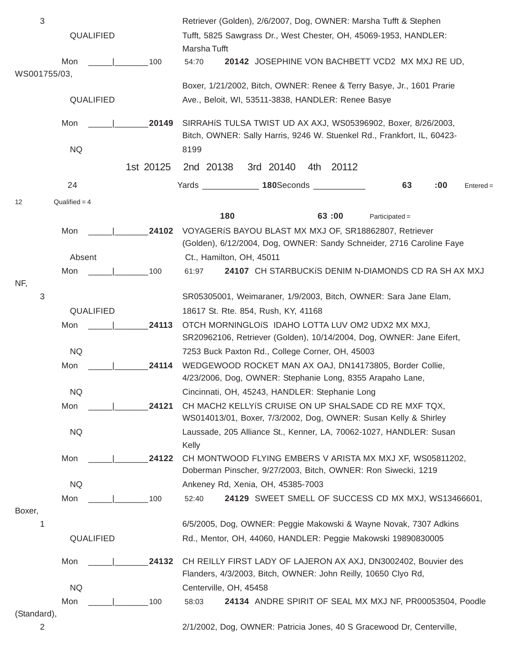| $\sqrt{3}$   |                 |           | Retriever (Golden), 2/6/2007, Dog, OWNER: Marsha Tufft & Stephen                                                            |  |  |  |  |  |  |  |
|--------------|-----------------|-----------|-----------------------------------------------------------------------------------------------------------------------------|--|--|--|--|--|--|--|
|              | QUALIFIED       |           | Tufft, 5825 Sawgrass Dr., West Chester, OH, 45069-1953, HANDLER:<br>Marsha Tufft                                            |  |  |  |  |  |  |  |
|              | Mon             | 100       | 20142 JOSEPHINE VON BACHBETT VCD2 MX MXJ RE UD,<br>54:70                                                                    |  |  |  |  |  |  |  |
| WS001755/03, |                 |           |                                                                                                                             |  |  |  |  |  |  |  |
|              | QUALIFIED       |           | Boxer, 1/21/2002, Bitch, OWNER: Renee & Terry Basye, Jr., 1601 Prarie<br>Ave., Beloit, WI, 53511-3838, HANDLER: Renee Basye |  |  |  |  |  |  |  |
|              |                 |           |                                                                                                                             |  |  |  |  |  |  |  |
|              | Mon             | 20149     | SIRRAHIS TULSA TWIST UD AX AXJ, WS05396902, Boxer, 8/26/2003,                                                               |  |  |  |  |  |  |  |
|              |                 |           | Bitch, OWNER: Sally Harris, 9246 W. Stuenkel Rd., Frankfort, IL, 60423-                                                     |  |  |  |  |  |  |  |
|              | <b>NQ</b>       |           | 8199                                                                                                                        |  |  |  |  |  |  |  |
|              |                 | 1st 20125 | 2nd 20138<br>3rd 20140<br>4th 20112                                                                                         |  |  |  |  |  |  |  |
|              | 24              |           | Yards _______________ 180Seconds _____<br>63<br>:00<br>$Entered =$                                                          |  |  |  |  |  |  |  |
| 12           | Qualified $=$ 4 |           |                                                                                                                             |  |  |  |  |  |  |  |
|              |                 |           | 180<br>63:00<br>$Participated =$                                                                                            |  |  |  |  |  |  |  |
|              | Mon             | 24102     | VOYAGERIS BAYOU BLAST MX MXJ OF, SR18862807, Retriever                                                                      |  |  |  |  |  |  |  |
|              |                 |           | (Golden), 6/12/2004, Dog, OWNER: Sandy Schneider, 2716 Caroline Faye                                                        |  |  |  |  |  |  |  |
|              | Absent          |           | Ct., Hamilton, OH, 45011                                                                                                    |  |  |  |  |  |  |  |
| NF,          | Mon             | 100       | 24107 CH STARBUCKIS DENIM N-DIAMONDS CD RA SH AX MXJ<br>61:97                                                               |  |  |  |  |  |  |  |
| 3            |                 |           | SR05305001, Weimaraner, 1/9/2003, Bitch, OWNER: Sara Jane Elam,                                                             |  |  |  |  |  |  |  |
|              | QUALIFIED       |           | 18617 St. Rte. 854, Rush, KY, 41168                                                                                         |  |  |  |  |  |  |  |
|              | Mon             | 24113     | OTCH MORNINGLOIS IDAHO LOTTA LUV OM2 UDX2 MX MXJ,                                                                           |  |  |  |  |  |  |  |
|              |                 |           | SR20962106, Retriever (Golden), 10/14/2004, Dog, OWNER: Jane Eifert,                                                        |  |  |  |  |  |  |  |
|              | <b>NQ</b>       |           | 7253 Buck Paxton Rd., College Corner, OH, 45003                                                                             |  |  |  |  |  |  |  |
|              | Mon             | 24114     | WEDGEWOOD ROCKET MAN AX OAJ, DN14173805, Border Collie,<br>4/23/2006, Dog, OWNER: Stephanie Long, 8355 Arapaho Lane,        |  |  |  |  |  |  |  |
|              | <b>NQ</b>       |           | Cincinnati, OH, 45243, HANDLER: Stephanie Long                                                                              |  |  |  |  |  |  |  |
|              | Mon             | 24121     | CH MACH2 KELLYIS CRUISE ON UP SHALSADE CD RE MXF TQX,                                                                       |  |  |  |  |  |  |  |
|              |                 |           | WS014013/01, Boxer, 7/3/2002, Dog, OWNER: Susan Kelly & Shirley                                                             |  |  |  |  |  |  |  |
|              | <b>NQ</b>       |           | Laussade, 205 Alliance St., Kenner, LA, 70062-1027, HANDLER: Susan                                                          |  |  |  |  |  |  |  |
|              |                 |           | Kelly                                                                                                                       |  |  |  |  |  |  |  |
|              | Mon             | 24122     | CH MONTWOOD FLYING EMBERS V ARISTA MX MXJ XF, WS05811202,<br>Doberman Pinscher, 9/27/2003, Bitch, OWNER: Ron Siwecki, 1219  |  |  |  |  |  |  |  |
|              | <b>NQ</b>       |           | Ankeney Rd, Xenia, OH, 45385-7003                                                                                           |  |  |  |  |  |  |  |
|              | Mon             | 100       | 24129 SWEET SMELL OF SUCCESS CD MX MXJ, WS13466601,<br>52:40                                                                |  |  |  |  |  |  |  |
| Boxer,       |                 |           |                                                                                                                             |  |  |  |  |  |  |  |
| 1            |                 |           | 6/5/2005, Dog, OWNER: Peggie Makowski & Wayne Novak, 7307 Adkins                                                            |  |  |  |  |  |  |  |
|              | QUALIFIED       |           | Rd., Mentor, OH, 44060, HANDLER: Peggie Makowski 19890830005                                                                |  |  |  |  |  |  |  |
|              | Mon             | 24132     | CH REILLY FIRST LADY OF LAJERON AX AXJ, DN3002402, Bouvier des                                                              |  |  |  |  |  |  |  |
|              |                 |           | Flanders, 4/3/2003, Bitch, OWNER: John Reilly, 10650 Clyo Rd,                                                               |  |  |  |  |  |  |  |
|              | <b>NQ</b>       |           | Centerville, OH, 45458                                                                                                      |  |  |  |  |  |  |  |
|              | Mon             | 100       | 24134 ANDRE SPIRIT OF SEAL MX MXJ NF, PR00053504, Poodle<br>58:03                                                           |  |  |  |  |  |  |  |
| (Standard),  |                 |           |                                                                                                                             |  |  |  |  |  |  |  |
| 2            |                 |           | 2/1/2002, Dog, OWNER: Patricia Jones, 40 S Gracewood Dr, Centerville,                                                       |  |  |  |  |  |  |  |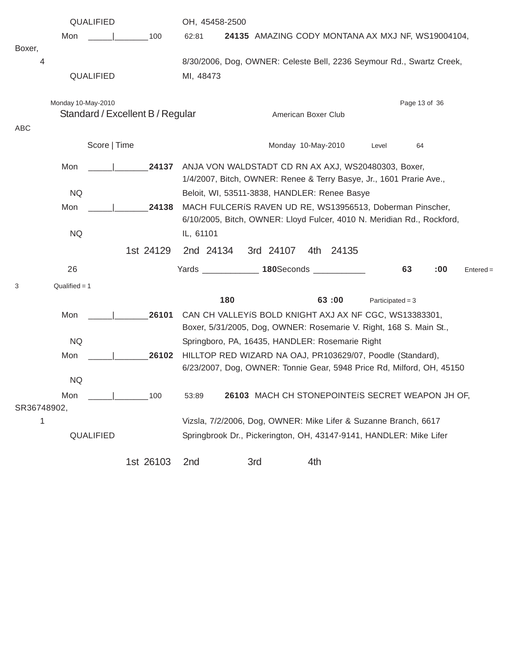|             | QUALIFIED          |              |                                  |           | OH, 45458-2500                                                                                                                      |                                                   |           |                    |    |     |             |  |
|-------------|--------------------|--------------|----------------------------------|-----------|-------------------------------------------------------------------------------------------------------------------------------------|---------------------------------------------------|-----------|--------------------|----|-----|-------------|--|
|             | Mon                |              | 100                              | 62:81     |                                                                                                                                     | 24135 AMAZING CODY MONTANA AX MXJ NF, WS19004104, |           |                    |    |     |             |  |
| Boxer,<br>4 |                    | QUALIFIED    |                                  |           | 8/30/2006, Dog, OWNER: Celeste Bell, 2236 Seymour Rd., Swartz Creek,<br>MI, 48473                                                   |                                                   |           |                    |    |     |             |  |
| ABC         | Monday 10-May-2010 |              | Standard / Excellent B / Regular |           | Page 13 of 36<br>American Boxer Club                                                                                                |                                                   |           |                    |    |     |             |  |
|             |                    | Score   Time |                                  |           |                                                                                                                                     | Monday 10-May-2010                                |           | Level              | 64 |     |             |  |
|             | Mon                |              | 24137                            |           | ANJA VON WALDSTADT CD RN AX AXJ, WS20480303, Boxer,<br>1/4/2007, Bitch, OWNER: Renee & Terry Basye, Jr., 1601 Prarie Ave.,          |                                                   |           |                    |    |     |             |  |
|             | <b>NQ</b>          |              |                                  |           | Beloit, WI, 53511-3838, HANDLER: Renee Basye                                                                                        |                                                   |           |                    |    |     |             |  |
|             | Mon                |              | 24138                            |           | MACH FULCERIS RAVEN UD RE, WS13956513, Doberman Pinscher,<br>6/10/2005, Bitch, OWNER: Lloyd Fulcer, 4010 N. Meridian Rd., Rockford, |                                                   |           |                    |    |     |             |  |
|             | <b>NQ</b>          |              |                                  | IL, 61101 |                                                                                                                                     |                                                   |           |                    |    |     |             |  |
|             |                    |              | 1st 24129                        | 2nd 24134 |                                                                                                                                     | 3rd 24107                                         | 4th 24135 |                    |    |     |             |  |
|             | 26                 |              |                                  |           | Yards _______________ 180Seconds ____________                                                                                       |                                                   |           |                    | 63 | :00 | $Entered =$ |  |
| 3           | $Qualified = 1$    |              |                                  |           |                                                                                                                                     |                                                   |           |                    |    |     |             |  |
|             |                    |              |                                  |           | 180                                                                                                                                 |                                                   | 63:00     | Participated = $3$ |    |     |             |  |
|             | Mon                |              | 26101                            |           | CAN CH VALLEYIS BOLD KNIGHT AXJ AX NF CGC, WS13383301,<br>Boxer, 5/31/2005, Dog, OWNER: Rosemarie V. Right, 168 S. Main St.,        |                                                   |           |                    |    |     |             |  |
|             | <b>NQ</b>          |              |                                  |           | Springboro, PA, 16435, HANDLER: Rosemarie Right                                                                                     |                                                   |           |                    |    |     |             |  |
|             | Mon                |              | 26102                            |           | HILLTOP RED WIZARD NA OAJ, PR103629/07, Poodle (Standard),<br>6/23/2007, Dog, OWNER: Tonnie Gear, 5948 Price Rd, Milford, OH, 45150 |                                                   |           |                    |    |     |             |  |
|             | NQ                 |              |                                  |           |                                                                                                                                     |                                                   |           |                    |    |     |             |  |
| SR36748902, | Mon                |              | 100                              | 53:89     |                                                                                                                                     | 26103 MACH CH STONEPOINTEIS SECRET WEAPON JH OF,  |           |                    |    |     |             |  |
| 1           |                    |              |                                  |           | Vizsla, 7/2/2006, Dog, OWNER: Mike Lifer & Suzanne Branch, 6617                                                                     |                                                   |           |                    |    |     |             |  |
|             |                    | QUALIFIED    |                                  |           | Springbrook Dr., Pickerington, OH, 43147-9141, HANDLER: Mike Lifer                                                                  |                                                   |           |                    |    |     |             |  |
|             |                    |              | 1st 26103                        | 2nd       | 3rd                                                                                                                                 | 4th                                               |           |                    |    |     |             |  |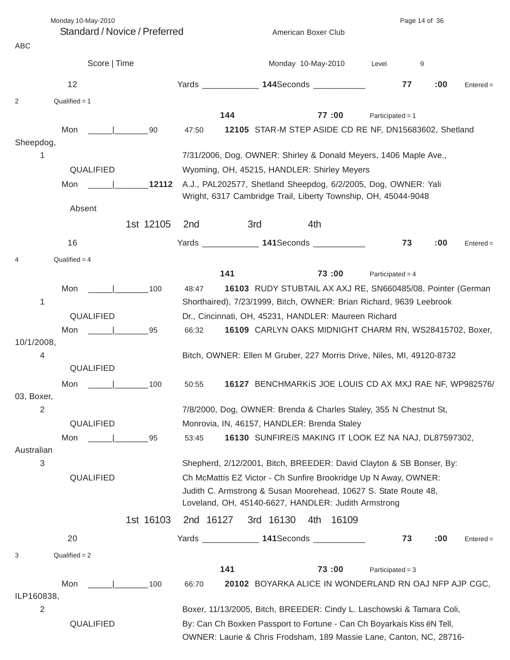| Monday 10-May-2010              | Page 14 of 36 |                 |                                                                     |           |                                                                        |                    |    |     |             |
|---------------------------------|---------------|-----------------|---------------------------------------------------------------------|-----------|------------------------------------------------------------------------|--------------------|----|-----|-------------|
| Standard / Novice / Preferred   |               |                 | American Boxer Club                                                 |           |                                                                        |                    |    |     |             |
| <b>ABC</b>                      |               |                 |                                                                     |           |                                                                        |                    |    |     |             |
|                                 | Score   Time  |                 |                                                                     |           | Monday 10-May-2010                                                     | Level              | 9  |     |             |
| 12                              |               |                 |                                                                     |           | Yards ______________ 144Seconds ___________                            |                    | 77 | :00 | $Entered =$ |
| Qualified $= 1$<br>2            |               |                 |                                                                     |           |                                                                        |                    |    |     |             |
|                                 |               |                 | 144                                                                 |           | 77:00                                                                  | Participated = $1$ |    |     |             |
| Mon   90                        |               | 47:50           |                                                                     |           | 12105 STAR-M STEP ASIDE CD RE NF, DN15683602, Shetland                 |                    |    |     |             |
| Sheepdog,                       |               |                 |                                                                     |           |                                                                        |                    |    |     |             |
| 1                               |               |                 |                                                                     |           | 7/31/2006, Dog, OWNER: Shirley & Donald Meyers, 1406 Maple Ave.,       |                    |    |     |             |
| QUALIFIED                       |               |                 |                                                                     |           | Wyoming, OH, 45215, HANDLER: Shirley Meyers                            |                    |    |     |             |
| Mon                             | 12112         |                 |                                                                     |           | A.J., PAL202577, Shetland Sheepdog, 6/2/2005, Dog, OWNER: Yali         |                    |    |     |             |
|                                 |               |                 |                                                                     |           | Wright, 6317 Cambridge Trail, Liberty Township, OH, 45044-9048         |                    |    |     |             |
| Absent                          |               |                 |                                                                     |           |                                                                        |                    |    |     |             |
|                                 | 1st 12105     | 2 <sub>nd</sub> | 3rd                                                                 |           | 4th                                                                    |                    |    |     |             |
| 16                              |               |                 |                                                                     |           | Yards _______________ 141Seconds ____________                          |                    | 73 | :00 | $Entered =$ |
| Qualified $=$ 4                 |               |                 |                                                                     |           |                                                                        |                    |    |     |             |
|                                 |               |                 | 141                                                                 |           | 73:00                                                                  | Participated = $4$ |    |     |             |
|                                 |               |                 |                                                                     |           |                                                                        |                    |    |     |             |
| Mon<br>1                        | $\sim$ 100    | 48:47           |                                                                     |           | 16103 RUDY STUBTAIL AX AXJ RE, SN660485/08, Pointer (German            |                    |    |     |             |
|                                 |               |                 |                                                                     |           | Shorthaired), 7/23/1999, Bitch, OWNER: Brian Richard, 9639 Leebrook    |                    |    |     |             |
| QUALIFIED                       |               |                 |                                                                     |           | Dr., Cincinnati, OH, 45231, HANDLER: Maureen Richard                   |                    |    |     |             |
| Mon                             | 95            | 66:32           |                                                                     |           | 16109 CARLYN OAKS MIDNIGHT CHARM RN, WS28415702, Boxer,                |                    |    |     |             |
| 10/1/2008,                      |               |                 |                                                                     |           |                                                                        |                    |    |     |             |
| 4<br>QUALIFIED                  |               |                 |                                                                     |           | Bitch, OWNER: Ellen M Gruber, 227 Morris Drive, Niles, MI, 49120-8732  |                    |    |     |             |
|                                 |               |                 |                                                                     |           |                                                                        |                    |    |     |             |
| Mon<br>03, Boxer,               | 100           | 50:55           |                                                                     |           | 16127 BENCHMARKIS JOE LOUIS CD AX MXJ RAE NF, WP982576/                |                    |    |     |             |
| $\overline{2}$                  |               |                 |                                                                     |           | 7/8/2000, Dog, OWNER: Brenda & Charles Staley, 355 N Chestnut St,      |                    |    |     |             |
| QUALIFIED                       |               |                 |                                                                     |           | Monrovia, IN, 46157, HANDLER: Brenda Staley                            |                    |    |     |             |
|                                 |               |                 |                                                                     |           |                                                                        |                    |    |     |             |
| Mon<br>Australian               | 95            | 53:45           |                                                                     |           | 16130 SUNFIREIS MAKING IT LOOK EZ NA NAJ, DL87597302,                  |                    |    |     |             |
| 3                               |               |                 |                                                                     |           | Shepherd, 2/12/2001, Bitch, BREEDER: David Clayton & SB Bonser, By:    |                    |    |     |             |
| QUALIFIED                       |               |                 |                                                                     |           | Ch McMattís EZ Victor - Ch Sunfire Brookridge Up N Away, OWNER:        |                    |    |     |             |
|                                 |               |                 |                                                                     |           | Judith C. Armstrong & Susan Moorehead, 10627 S. State Route 48,        |                    |    |     |             |
|                                 |               |                 |                                                                     |           | Loveland, OH, 45140-6627, HANDLER: Judith Armstrong                    |                    |    |     |             |
|                                 |               |                 |                                                                     |           |                                                                        |                    |    |     |             |
|                                 | 1st 16103     | 2nd 16127       |                                                                     | 3rd 16130 | 4th<br>16109                                                           |                    |    |     |             |
| 20                              |               |                 |                                                                     |           | Yards ________________ 141Seconds _____________                        |                    | 73 | :00 | $Entered =$ |
| $Qualified = 2$<br>3            |               |                 |                                                                     |           |                                                                        |                    |    |     |             |
|                                 |               |                 | 141                                                                 |           | 73:00                                                                  | Participated = $3$ |    |     |             |
| Mon<br><b>Contract Contract</b> | 100           | 66:70           |                                                                     |           | 20102 BOYARKA ALICE IN WONDERLAND RN OAJ NFP AJP CGC,                  |                    |    |     |             |
| ILP160838,                      |               |                 |                                                                     |           |                                                                        |                    |    |     |             |
| $\overline{2}$                  |               |                 |                                                                     |           | Boxer, 11/13/2005, Bitch, BREEDER: Cindy L. Laschowski & Tamara Coli,  |                    |    |     |             |
| QUALIFIED                       |               |                 |                                                                     |           | By: Can Ch Boxken Passport to Fortune - Can Ch Boyarkaís Kiss ëN Tell, |                    |    |     |             |
|                                 |               |                 | OWNER: Laurie & Chris Frodsham, 189 Massie Lane, Canton, NC, 28716- |           |                                                                        |                    |    |     |             |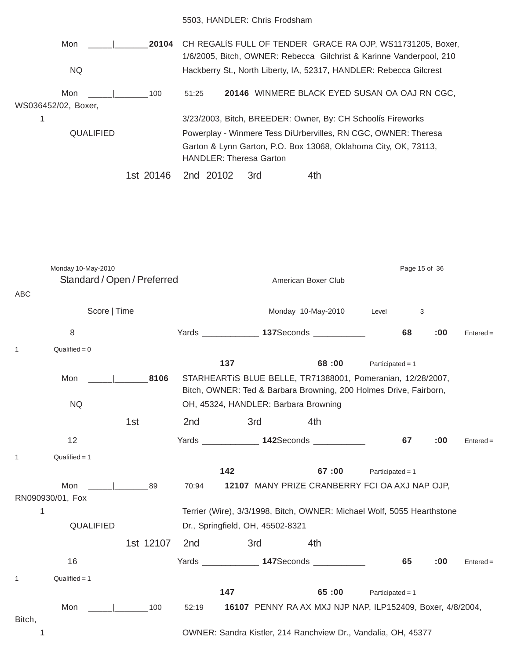#### 5503, HANDLER: Chris Frodsham

| Mon<br>20104<br>NQ.               | CH REGALIS FULL OF TENDER GRACE RA OJP, WS11731205, Boxer,<br>1/6/2005, Bitch, OWNER: Rebecca Gilchrist & Karinne Vanderpool, 210<br>Hackberry St., North Liberty, IA, 52317, HANDLER: Rebecca Gilcrest |  |  |  |  |  |
|-----------------------------------|---------------------------------------------------------------------------------------------------------------------------------------------------------------------------------------------------------|--|--|--|--|--|
| Mon<br>100<br>WS036452/02, Boxer, | 20146 WINMERE BLACK EYED SUSAN OA OAJ RN CGC,<br>51:25                                                                                                                                                  |  |  |  |  |  |
| 1                                 | 3/23/2003, Bitch, BREEDER: Owner, By: CH Schoolís Fireworks                                                                                                                                             |  |  |  |  |  |
| QUALIFIED                         | Powerplay - Winmere Tess DíUrbervilles, RN CGC, OWNER: Theresa<br>Garton & Lynn Garton, P.O. Box 13068, Oklahoma City, OK, 73113,<br><b>HANDLER: Theresa Garton</b>                                     |  |  |  |  |  |
| 1st 20146                         | 4th<br>2nd 20102<br>3rd                                                                                                                                                                                 |  |  |  |  |  |

Monday 10-May-2010 **Page 15 of 36** Page 15 of 36 Standard / Open / Preferred American Boxer Club ABC Score | Time **Monday 10-May-2010** Level 3 8 Yards \_\_\_\_\_\_\_\_\_\_\_\_ **137**Seconds \_\_\_\_\_\_\_\_\_\_\_ **68 :00** Entered =  $1$  Qualified = 0 **137 68 :00** Participated = 1 Mon \_\_\_\_\_|\_\_\_\_\_\_\_**8106** STARHEARTíS BLUE BELLE, TR71388001, Pomeranian, 12/28/2007, Bitch, OWNER: Ted & Barbara Browning, 200 Holmes Drive, Fairborn, NQ OH, 45324, HANDLER: Barbara Browning 1st 2nd 3rd 4th 12 Yards \_\_\_\_\_\_\_\_\_\_\_\_ **142**Seconds \_\_\_\_\_\_\_\_\_\_\_ **67 :00** Entered =  $1$  Qualified = 1 **142 67 :00** Participated = 1 Mon \_\_\_\_\_|\_\_\_\_\_\_\_89 70:94 **12107** MANY PRIZE CRANBERRY FCI OA AXJ NAP OJP, RN090930/01, Fox 1 Terrier (Wire), 3/3/1998, Bitch, OWNER: Michael Wolf, 5055 Hearthstone QUALIFIED Dr., Springfield, OH, 45502-8321 1st 12107 2nd 3rd 4th 16 Yards \_\_\_\_\_\_\_\_\_\_\_\_ **147**Seconds \_\_\_\_\_\_\_\_\_\_\_ **65 :00** Entered =  $1$  Qualified = 1 **147 65 :00** Participated = 1 Mon \_\_\_\_\_|\_\_\_\_\_\_\_100 52:19 **16107** PENNY RA AX MXJ NJP NAP, ILP152409, Boxer, 4/8/2004, Bitch, 1 OWNER: Sandra Kistler, 214 Ranchview Dr., Vandalia, OH, 45377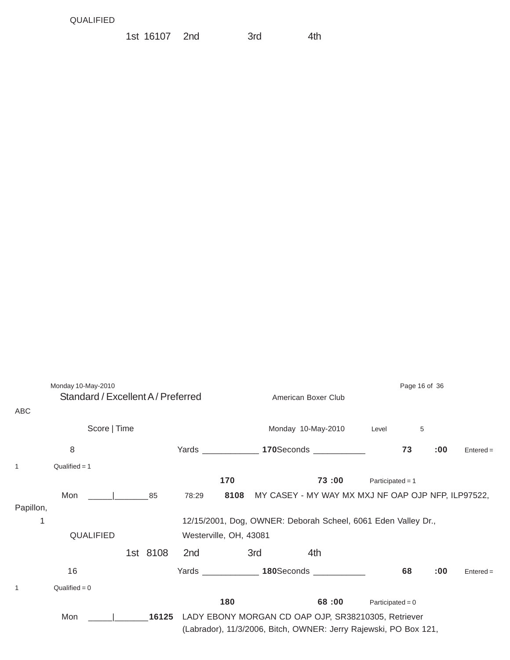| 1st 16107 2nd<br>3rd<br>4th |
|-----------------------------|
|-----------------------------|

| ABC            | Monday 10-May-2010<br>Standard / Excellent A / Preferred |  |          | Page 16 of 36<br>American Boxer Club |                                                               |     |                                                                                                                         |                    |    |     |             |  |
|----------------|----------------------------------------------------------|--|----------|--------------------------------------|---------------------------------------------------------------|-----|-------------------------------------------------------------------------------------------------------------------------|--------------------|----|-----|-------------|--|
|                | Score   Time                                             |  |          |                                      | Monday 10-May-2010                                            |     |                                                                                                                         |                    | 5  |     |             |  |
|                | 8                                                        |  |          |                                      |                                                               |     | Yards _________________ 170Seconds ____________                                                                         |                    | 73 | :00 | $Entered =$ |  |
| $\mathbf{1}$   | $Qualified = 1$                                          |  |          |                                      |                                                               |     |                                                                                                                         |                    |    |     |             |  |
|                |                                                          |  |          |                                      | 170                                                           |     | 73:00                                                                                                                   | Participated = $1$ |    |     |             |  |
|                | Mon<br>$\sim$ 1 85                                       |  |          | 78:29                                |                                                               |     | 8108 MY CASEY - MY WAY MX MXJ NF OAP OJP NFP, ILP97522,                                                                 |                    |    |     |             |  |
| Papillon,<br>1 |                                                          |  |          |                                      |                                                               |     |                                                                                                                         |                    |    |     |             |  |
|                |                                                          |  |          |                                      | 12/15/2001, Dog, OWNER: Deborah Scheel, 6061 Eden Valley Dr., |     |                                                                                                                         |                    |    |     |             |  |
|                | QUALIFIED                                                |  |          |                                      | Westerville, OH, 43081                                        |     |                                                                                                                         |                    |    |     |             |  |
|                |                                                          |  | 1st 8108 | 2nd                                  |                                                               | 3rd | 4th                                                                                                                     |                    |    |     |             |  |
|                | 16                                                       |  |          |                                      |                                                               |     | Yards 180Seconds 1808.                                                                                                  |                    | 68 | :00 | $Entered =$ |  |
| $\mathbf{1}$   | $Qualified = 0$                                          |  |          |                                      |                                                               |     |                                                                                                                         |                    |    |     |             |  |
|                |                                                          |  |          |                                      | 180                                                           |     | 68:00                                                                                                                   | Participated = $0$ |    |     |             |  |
|                | Mon                                                      |  | 16125    |                                      |                                                               |     | LADY EBONY MORGAN CD OAP OJP, SR38210305, Retriever<br>(Labrador), 11/3/2006, Bitch, OWNER: Jerry Rajewski, PO Box 121, |                    |    |     |             |  |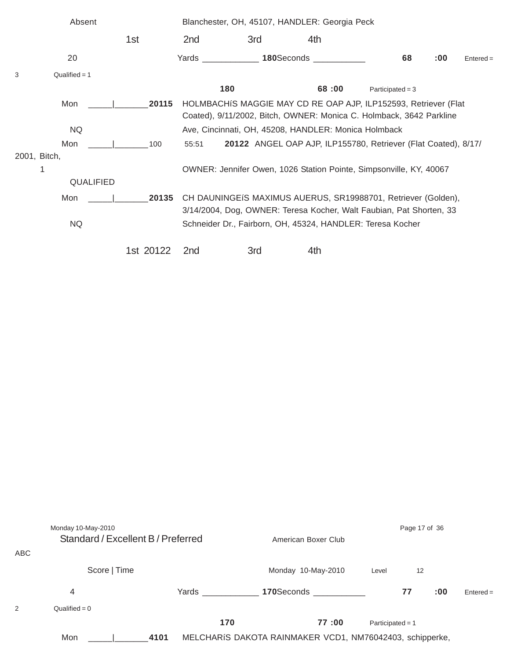|   | Absent          |           |                 | Blanchester, OH, 45107, HANDLER: Georgia Peck                                                                                          |                                                                     |                    |     |             |  |  |  |  |  |
|---|-----------------|-----------|-----------------|----------------------------------------------------------------------------------------------------------------------------------------|---------------------------------------------------------------------|--------------------|-----|-------------|--|--|--|--|--|
|   |                 | 1st       | 2 <sub>nd</sub> | 3rd                                                                                                                                    | 4th                                                                 |                    |     |             |  |  |  |  |  |
|   | 20              |           |                 |                                                                                                                                        | Yards <b>180</b> Seconds <b>180</b>                                 | 68                 | :00 | $Entered =$ |  |  |  |  |  |
| 3 | Qualified = $1$ |           |                 |                                                                                                                                        |                                                                     |                    |     |             |  |  |  |  |  |
|   |                 |           |                 | 180                                                                                                                                    | 68:00                                                               | Participated = $3$ |     |             |  |  |  |  |  |
|   | Mon             | 20115     |                 | HOLMBACHIS MAGGIE MAY CD RE OAP AJP, ILP152593, Retriever (Flat<br>Coated), 9/11/2002, Bitch, OWNER: Monica C. Holmback, 3642 Parkline |                                                                     |                    |     |             |  |  |  |  |  |
|   | <b>NQ</b>       |           |                 | Ave, Cincinnati, OH, 45208, HANDLER: Monica Holmback                                                                                   |                                                                     |                    |     |             |  |  |  |  |  |
|   | Mon             | 100       | 55:51           |                                                                                                                                        | 20122 ANGEL OAP AJP, ILP155780, Retriever (Flat Coated), 8/17/      |                    |     |             |  |  |  |  |  |
|   | 2001, Bitch,    |           |                 |                                                                                                                                        |                                                                     |                    |     |             |  |  |  |  |  |
|   | 1               |           |                 |                                                                                                                                        | OWNER: Jennifer Owen, 1026 Station Pointe, Simpsonville, KY, 40067  |                    |     |             |  |  |  |  |  |
|   | QUALIFIED       |           |                 |                                                                                                                                        |                                                                     |                    |     |             |  |  |  |  |  |
|   | Mon             | 20135     |                 |                                                                                                                                        | CH DAUNINGEIS MAXIMUS AUERUS, SR19988701, Retriever (Golden),       |                    |     |             |  |  |  |  |  |
|   |                 |           |                 |                                                                                                                                        | 3/14/2004, Dog, OWNER: Teresa Kocher, Walt Faubian, Pat Shorten, 33 |                    |     |             |  |  |  |  |  |
|   | <b>NQ</b>       |           |                 |                                                                                                                                        | Schneider Dr., Fairborn, OH, 45324, HANDLER: Teresa Kocher          |                    |     |             |  |  |  |  |  |
|   |                 | 1st 20122 | 2 <sub>nd</sub> | 3rd                                                                                                                                    | 4th                                                                 |                    |     |             |  |  |  |  |  |

| <b>ABC</b> | Monday 10-May-2010<br>Standard / Excellent B / Preferred |       |     | American Boxer Club                                      |                    | Page 17 of 36 |     |             |  |
|------------|----------------------------------------------------------|-------|-----|----------------------------------------------------------|--------------------|---------------|-----|-------------|--|
|            | Score   Time                                             |       |     | Monday 10-May-2010                                       | Level              | 12            |     |             |  |
|            | 4                                                        | Yards |     | 170Seconds ________                                      |                    | 77            | :00 | $Entered =$ |  |
| 2          | Qualified = $0$                                          |       |     |                                                          |                    |               |     |             |  |
|            |                                                          |       | 170 | 77:00                                                    | Participated = $1$ |               |     |             |  |
|            | Mon                                                      | 4101  |     | MELCHARÍS DAKOTA RAINMAKER VCD1, NM76042403, schipperke, |                    |               |     |             |  |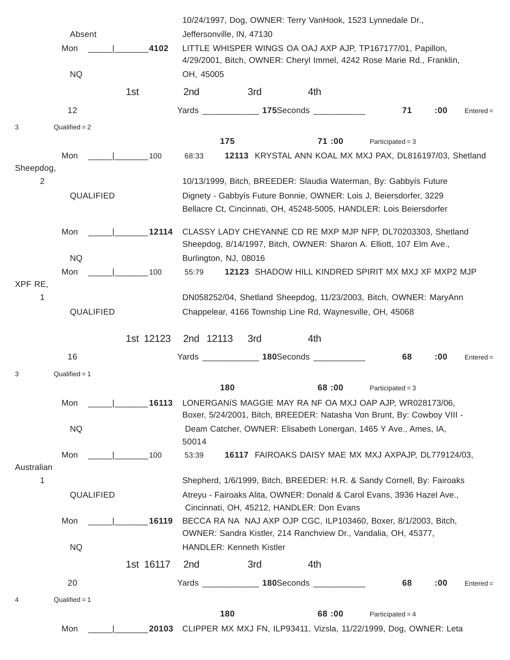|                 |                 |           |                           |                                                                                                                                      |                                                           | 10/24/1997, Dog, OWNER: Terry VanHook, 1523 Lynnedale Dr.,                                                                         |     |             |  |  |  |  |  |
|-----------------|-----------------|-----------|---------------------------|--------------------------------------------------------------------------------------------------------------------------------------|-----------------------------------------------------------|------------------------------------------------------------------------------------------------------------------------------------|-----|-------------|--|--|--|--|--|
|                 | Absent          |           | Jeffersonville, IN, 47130 |                                                                                                                                      |                                                           |                                                                                                                                    |     |             |  |  |  |  |  |
|                 | Mon             | 4102      |                           | LITTLE WHISPER WINGS OA OAJ AXP AJP, TP167177/01, Papillon,<br>4/29/2001, Bitch, OWNER: Cheryl Immel, 4242 Rose Marie Rd., Franklin, |                                                           |                                                                                                                                    |     |             |  |  |  |  |  |
|                 | <b>NQ</b>       |           | OH, 45005                 |                                                                                                                                      |                                                           |                                                                                                                                    |     |             |  |  |  |  |  |
|                 |                 | 1st       | 2 <sub>nd</sub>           | 3rd                                                                                                                                  | 4th                                                       |                                                                                                                                    |     |             |  |  |  |  |  |
|                 | 12              |           |                           |                                                                                                                                      | Yards 175Seconds 1997                                     | 71                                                                                                                                 | :00 | $Entered =$ |  |  |  |  |  |
| 3               | $Qualified = 2$ |           |                           |                                                                                                                                      |                                                           |                                                                                                                                    |     |             |  |  |  |  |  |
|                 |                 |           | 175                       |                                                                                                                                      | 71:00                                                     | Participated = $3$                                                                                                                 |     |             |  |  |  |  |  |
| Sheepdog,       | Mon             | 100       | 68:33                     |                                                                                                                                      |                                                           | 12113 KRYSTAL ANN KOAL MX MXJ PAX, DL816197/03, Shetland                                                                           |     |             |  |  |  |  |  |
| 2               |                 |           |                           |                                                                                                                                      |                                                           | 10/13/1999, Bitch, BREEDER: Slaudia Waterman, By: Gabbyís Future                                                                   |     |             |  |  |  |  |  |
|                 | QUALIFIED       |           |                           |                                                                                                                                      |                                                           | Dignety - Gabbyís Future Bonnie, OWNER: Lois J, Beiersdorfer, 3229                                                                 |     |             |  |  |  |  |  |
|                 |                 |           |                           |                                                                                                                                      |                                                           | Bellacre Ct, Cincinnati, OH, 45248-5005, HANDLER: Lois Beiersdorfer                                                                |     |             |  |  |  |  |  |
|                 | Mon             | 12114     |                           |                                                                                                                                      |                                                           | CLASSY LADY CHEYANNE CD RE MXP MJP NFP, DL70203303, Shetland                                                                       |     |             |  |  |  |  |  |
|                 |                 |           |                           |                                                                                                                                      |                                                           | Sheepdog, 8/14/1997, Bitch, OWNER: Sharon A. Elliott, 107 Elm Ave.,                                                                |     |             |  |  |  |  |  |
|                 | <b>NQ</b>       |           | Burlington, NJ, 08016     |                                                                                                                                      |                                                           |                                                                                                                                    |     |             |  |  |  |  |  |
| XPF RE,         | Mon             | 100       | 55:79                     |                                                                                                                                      |                                                           | 12123 SHADOW HILL KINDRED SPIRIT MX MXJ XF MXP2 MJP                                                                                |     |             |  |  |  |  |  |
| 1               |                 |           |                           |                                                                                                                                      |                                                           | DN058252/04, Shetland Sheepdog, 11/23/2003, Bitch, OWNER: MaryAnn                                                                  |     |             |  |  |  |  |  |
|                 | QUALIFIED       |           |                           |                                                                                                                                      | Chappelear, 4166 Township Line Rd, Waynesville, OH, 45068 |                                                                                                                                    |     |             |  |  |  |  |  |
|                 |                 |           |                           |                                                                                                                                      |                                                           |                                                                                                                                    |     |             |  |  |  |  |  |
|                 |                 | 1st 12123 | 2nd 12113                 | 3rd                                                                                                                                  | 4th                                                       |                                                                                                                                    |     |             |  |  |  |  |  |
|                 | 16              |           |                           |                                                                                                                                      | Yards 180Seconds 1977                                     | 68                                                                                                                                 | :00 | $Entered =$ |  |  |  |  |  |
| 3               | $Qualified = 1$ |           |                           |                                                                                                                                      |                                                           |                                                                                                                                    |     |             |  |  |  |  |  |
|                 |                 |           | 180                       |                                                                                                                                      | 68:00                                                     | Participated = $3$                                                                                                                 |     |             |  |  |  |  |  |
|                 | Mon             | 16113     |                           |                                                                                                                                      |                                                           | LONERGANIS MAGGIE MAY RA NF OA MXJ OAP AJP, WR028173/06,<br>Boxer, 5/24/2001, Bitch, BREEDER: Natasha Von Brunt, By: Cowboy VIII - |     |             |  |  |  |  |  |
|                 | <b>NQ</b>       |           |                           |                                                                                                                                      |                                                           | Deam Catcher, OWNER: Elisabeth Lonergan, 1465 Y Ave., Ames, IA,                                                                    |     |             |  |  |  |  |  |
|                 |                 |           | 50014                     |                                                                                                                                      |                                                           |                                                                                                                                    |     |             |  |  |  |  |  |
|                 | Mon             | 100       | 53:39                     |                                                                                                                                      |                                                           | 16117 FAIROAKS DAISY MAE MX MXJ AXPAJP, DL779124/03,                                                                               |     |             |  |  |  |  |  |
| Australian<br>1 |                 |           |                           |                                                                                                                                      |                                                           | Shepherd, 1/6/1999, Bitch, BREEDER: H.R. & Sandy Cornell, By: Fairoaks                                                             |     |             |  |  |  |  |  |
|                 | QUALIFIED       |           |                           |                                                                                                                                      |                                                           | Atreyu - Fairoaks Alita, OWNER: Donald & Carol Evans, 3936 Hazel Ave.,                                                             |     |             |  |  |  |  |  |
|                 |                 |           |                           |                                                                                                                                      | Cincinnati, OH, 45212, HANDLER: Don Evans                 |                                                                                                                                    |     |             |  |  |  |  |  |
|                 | Mon             | 16119     |                           |                                                                                                                                      |                                                           | BECCA RA NA NAJ AXP OJP CGC, ILP103460, Boxer, 8/1/2003, Bitch,                                                                    |     |             |  |  |  |  |  |
|                 |                 |           |                           |                                                                                                                                      |                                                           | OWNER: Sandra Kistler, 214 Ranchview Dr., Vandalia, OH, 45377,                                                                     |     |             |  |  |  |  |  |
|                 | <b>NQ</b>       |           |                           | HANDLER: Kenneth Kistler                                                                                                             |                                                           |                                                                                                                                    |     |             |  |  |  |  |  |
|                 |                 | 1st 16117 | 2 <sub>nd</sub>           | 3rd                                                                                                                                  | 4th                                                       |                                                                                                                                    |     |             |  |  |  |  |  |
|                 | 20              |           | <b>Yards Example 2008</b> |                                                                                                                                      | 180Seconds ____________                                   | 68                                                                                                                                 | :00 | $Entered =$ |  |  |  |  |  |
| 4               | $Qualified = 1$ |           |                           |                                                                                                                                      |                                                           |                                                                                                                                    |     |             |  |  |  |  |  |
|                 |                 |           | 180                       |                                                                                                                                      | 68:00                                                     | Participated = $4$                                                                                                                 |     |             |  |  |  |  |  |
|                 | Mon             | 20103     |                           |                                                                                                                                      |                                                           | CLIPPER MX MXJ FN, ILP93411, Vizsla, 11/22/1999, Dog, OWNER: Leta                                                                  |     |             |  |  |  |  |  |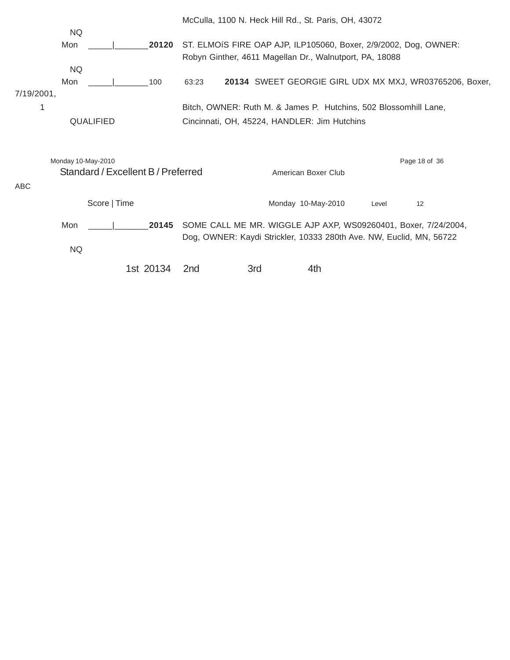|            |                    |                                    |           |                 |     | McCulla, 1100 N. Heck Hill Rd., St. Paris, OH, 43072                |       |                                                                  |  |
|------------|--------------------|------------------------------------|-----------|-----------------|-----|---------------------------------------------------------------------|-------|------------------------------------------------------------------|--|
|            | <b>NQ</b>          |                                    |           |                 |     |                                                                     |       |                                                                  |  |
|            | Mon                |                                    | 20120     |                 |     |                                                                     |       | ST. ELMOIS FIRE OAP AJP, ILP105060, Boxer, 2/9/2002, Dog, OWNER: |  |
|            |                    |                                    |           |                 |     | Robyn Ginther, 4611 Magellan Dr., Walnutport, PA, 18088             |       |                                                                  |  |
|            | <b>NQ</b>          |                                    |           |                 |     |                                                                     |       |                                                                  |  |
|            | Mon                |                                    | 100       | 63:23           |     |                                                                     |       | 20134 SWEET GEORGIE GIRL UDX MX MXJ, WR03765206, Boxer,          |  |
| 7/19/2001, |                    |                                    |           |                 |     |                                                                     |       |                                                                  |  |
|            |                    |                                    |           |                 |     | Bitch, OWNER: Ruth M. & James P. Hutchins, 502 Blossomhill Lane,    |       |                                                                  |  |
|            |                    | QUALIFIED                          |           |                 |     | Cincinnati, OH, 45224, HANDLER: Jim Hutchins                        |       |                                                                  |  |
|            |                    |                                    |           |                 |     |                                                                     |       |                                                                  |  |
|            |                    |                                    |           |                 |     |                                                                     |       |                                                                  |  |
|            | Monday 10-May-2010 |                                    |           |                 |     |                                                                     |       | Page 18 of 36                                                    |  |
|            |                    | Standard / Excellent B / Preferred |           |                 |     | American Boxer Club                                                 |       |                                                                  |  |
| ABC        |                    |                                    |           |                 |     |                                                                     |       |                                                                  |  |
|            |                    |                                    |           |                 |     |                                                                     |       |                                                                  |  |
|            |                    | Score   Time                       |           |                 |     | Monday 10-May-2010                                                  | Level | 12                                                               |  |
|            | Mon                |                                    | 20145     |                 |     |                                                                     |       | SOME CALL ME MR. WIGGLE AJP AXP, WS09260401, Boxer, 7/24/2004,   |  |
|            |                    |                                    |           |                 |     | Dog, OWNER: Kaydi Strickler, 10333 280th Ave. NW, Euclid, MN, 56722 |       |                                                                  |  |
|            | <b>NQ</b>          |                                    |           |                 |     |                                                                     |       |                                                                  |  |
|            |                    |                                    |           |                 |     |                                                                     |       |                                                                  |  |
|            |                    |                                    | 1st 20134 | 2 <sub>nd</sub> | 3rd | 4th                                                                 |       |                                                                  |  |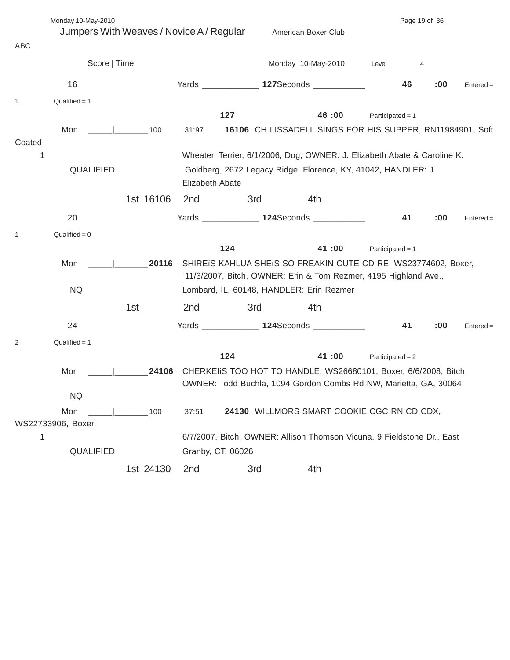| ABC    | Monday 10-May-2010<br>Jumpers With Weaves / Novice A / Regular                                |                                                                         |                   |     | Page 19 of 36                                                                                                                        |                    |    |     |             |  |  |
|--------|-----------------------------------------------------------------------------------------------|-------------------------------------------------------------------------|-------------------|-----|--------------------------------------------------------------------------------------------------------------------------------------|--------------------|----|-----|-------------|--|--|
|        | Score   Time                                                                                  |                                                                         |                   |     | Monday 10-May-2010                                                                                                                   | Level              | 4  |     |             |  |  |
|        | 16                                                                                            |                                                                         |                   |     | Yards _______________ 127Seconds ____________                                                                                        |                    | 46 | :00 | $Entered =$ |  |  |
| 1      | Qualified $= 1$                                                                               |                                                                         |                   |     |                                                                                                                                      |                    |    |     |             |  |  |
|        |                                                                                               |                                                                         |                   | 127 | 46:00                                                                                                                                | Participated = $1$ |    |     |             |  |  |
| Coated | Mon<br>the control of the control of                                                          | 100                                                                     | 31:97             |     | 16106 CH LISSADELL SINGS FOR HIS SUPPER, RN11984901, Soft                                                                            |                    |    |     |             |  |  |
| 1      |                                                                                               | Wheaten Terrier, 6/1/2006, Dog, OWNER: J. Elizabeth Abate & Caroline K. |                   |     |                                                                                                                                      |                    |    |     |             |  |  |
|        | QUALIFIED<br>Goldberg, 2672 Legacy Ridge, Florence, KY, 41042, HANDLER: J.<br>Elizabeth Abate |                                                                         |                   |     |                                                                                                                                      |                    |    |     |             |  |  |
|        |                                                                                               | 1st 16106                                                               | 2 <sub>nd</sub>   | 3rd | 4th                                                                                                                                  |                    |    |     |             |  |  |
|        | 20                                                                                            |                                                                         |                   |     | Yards _______________ 124Seconds ____________                                                                                        |                    | 41 | :00 | $Entered =$ |  |  |
| 1      | $Qualified = 0$                                                                               |                                                                         |                   |     |                                                                                                                                      |                    |    |     |             |  |  |
|        |                                                                                               |                                                                         |                   | 124 | 41:00                                                                                                                                | Participated = $1$ |    |     |             |  |  |
|        | Mon                                                                                           | 20116                                                                   |                   |     | SHIREIS KAHLUA SHEIS SO FREAKIN CUTE CD RE, WS23774602, Boxer,<br>11/3/2007, Bitch, OWNER: Erin & Tom Rezmer, 4195 Highland Ave.,    |                    |    |     |             |  |  |
|        | <b>NQ</b>                                                                                     |                                                                         |                   |     | Lombard, IL, 60148, HANDLER: Erin Rezmer                                                                                             |                    |    |     |             |  |  |
|        |                                                                                               | 1st                                                                     | 2 <sub>nd</sub>   | 3rd | 4th                                                                                                                                  |                    |    |     |             |  |  |
|        | 24                                                                                            |                                                                         |                   |     | Yards ______________ 124Seconds ____________                                                                                         |                    | 41 | :00 | $Entered =$ |  |  |
| 2      | $Qualified = 1$                                                                               |                                                                         |                   |     |                                                                                                                                      |                    |    |     |             |  |  |
|        |                                                                                               |                                                                         |                   | 124 | 41:00                                                                                                                                | Participated = $2$ |    |     |             |  |  |
|        | Mon                                                                                           | 24106                                                                   |                   |     | CHERKEIIS TOO HOT TO HANDLE, WS26680101, Boxer, 6/6/2008, Bitch,<br>OWNER: Todd Buchla, 1094 Gordon Combs Rd NW, Marietta, GA, 30064 |                    |    |     |             |  |  |
|        | <b>NQ</b>                                                                                     |                                                                         |                   |     |                                                                                                                                      |                    |    |     |             |  |  |
|        | Mon<br>WS22733906, Boxer,                                                                     | 100                                                                     | 37:51             |     | 24130 WILLMORS SMART COOKIE CGC RN CD CDX,                                                                                           |                    |    |     |             |  |  |
| 1      |                                                                                               |                                                                         |                   |     | 6/7/2007, Bitch, OWNER: Allison Thomson Vicuna, 9 Fieldstone Dr., East                                                               |                    |    |     |             |  |  |
|        | QUALIFIED                                                                                     |                                                                         | Granby, CT, 06026 |     |                                                                                                                                      |                    |    |     |             |  |  |
|        |                                                                                               | 1st 24130                                                               | 2nd               | 3rd | 4th                                                                                                                                  |                    |    |     |             |  |  |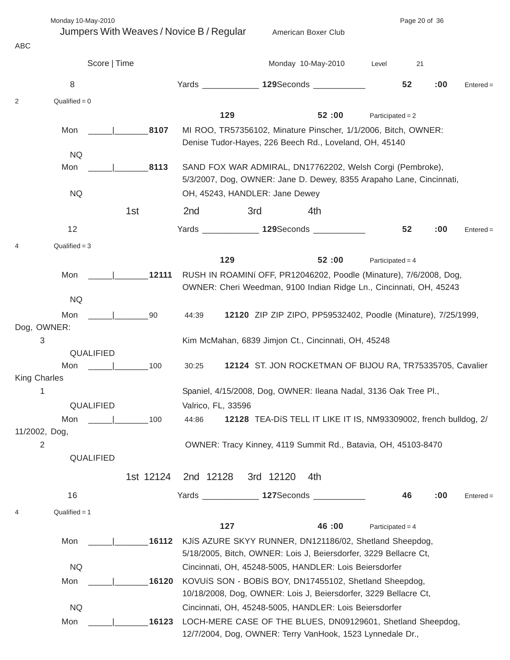|                     | Monday 10-May-2010<br>Jumpers With Weaves / Novice B / Regular |           |                    |                                | American Boxer Club                                                                                                                      |                    | Page 20 of 36 |     |             |
|---------------------|----------------------------------------------------------------|-----------|--------------------|--------------------------------|------------------------------------------------------------------------------------------------------------------------------------------|--------------------|---------------|-----|-------------|
| ABC                 |                                                                |           |                    |                                |                                                                                                                                          |                    |               |     |             |
|                     | Score   Time                                                   |           |                    |                                | Monday 10-May-2010                                                                                                                       | Level              | 21            |     |             |
|                     | 8                                                              |           |                    |                                | Yards _______________ 129Seconds ____________                                                                                            |                    | 52            | :00 | $Entered =$ |
| 2                   | $Qualified = 0$                                                |           |                    |                                |                                                                                                                                          |                    |               |     |             |
|                     |                                                                |           | 129                |                                | 52:00                                                                                                                                    | Participated = $2$ |               |     |             |
|                     | Mon                                                            | 8107      |                    |                                | MI ROO, TR57356102, Minature Pinscher, 1/1/2006, Bitch, OWNER:<br>Denise Tudor-Hayes, 226 Beech Rd., Loveland, OH, 45140                 |                    |               |     |             |
|                     | <b>NQ</b><br>Mon                                               | 8113      |                    |                                | SAND FOX WAR ADMIRAL, DN17762202, Welsh Corgi (Pembroke),<br>5/3/2007, Dog, OWNER: Jane D. Dewey, 8355 Arapaho Lane, Cincinnati,         |                    |               |     |             |
|                     | <b>NQ</b>                                                      |           |                    | OH, 45243, HANDLER: Jane Dewey |                                                                                                                                          |                    |               |     |             |
|                     |                                                                | 1st       | 2nd                | 3rd                            | 4th                                                                                                                                      |                    |               |     |             |
|                     | 12                                                             |           |                    |                                | Yards ______________ 129Seconds ___________                                                                                              |                    | 52            | :00 | $Entered =$ |
| 4                   | $Qualified = 3$                                                |           |                    |                                |                                                                                                                                          |                    |               |     |             |
|                     |                                                                |           | 129                |                                | 52:00                                                                                                                                    | Participated = $4$ |               |     |             |
|                     | Mon                                                            | 12111     |                    |                                | RUSH IN ROAMINI OFF, PR12046202, Poodle (Minature), 7/6/2008, Dog,<br>OWNER: Cheri Weedman, 9100 Indian Ridge Ln., Cincinnati, OH, 45243 |                    |               |     |             |
|                     | <b>NQ</b>                                                      |           |                    |                                |                                                                                                                                          |                    |               |     |             |
| Dog, OWNER:         | Mon                                                            | 90        | 44:39              |                                | 12120 ZIP ZIP ZIPO, PP59532402, Poodle (Minature), 7/25/1999,                                                                            |                    |               |     |             |
| 3                   |                                                                |           |                    |                                | Kim McMahan, 6839 Jimjon Ct., Cincinnati, OH, 45248                                                                                      |                    |               |     |             |
|                     | <b>QUALIFIED</b><br>Mon                                        | 100       | 30:25              |                                | 12124 ST. JON ROCKETMAN OF BIJOU RA, TR75335705, Cavalier                                                                                |                    |               |     |             |
| <b>King Charles</b> |                                                                |           |                    |                                |                                                                                                                                          |                    |               |     |             |
| 1                   | QUALIFIED                                                      |           | Valrico, FL, 33596 |                                | Spaniel, 4/15/2008, Dog, OWNER: Ileana Nadal, 3136 Oak Tree Pl.,                                                                         |                    |               |     |             |
|                     | Mon                                                            | 100       | 44:86              |                                | 12128 TEA-DIS TELL IT LIKE IT IS, NM93309002, french bulldog, 2/                                                                         |                    |               |     |             |
| 11/2002, Dog,       |                                                                |           |                    |                                |                                                                                                                                          |                    |               |     |             |
| 2                   | QUALIFIED                                                      |           |                    |                                | OWNER: Tracy Kinney, 4119 Summit Rd., Batavia, OH, 45103-8470                                                                            |                    |               |     |             |
|                     |                                                                | 1st 12124 | 2nd 12128          | 3rd 12120                      | 4th                                                                                                                                      |                    |               |     |             |
|                     | 16                                                             |           |                    |                                | Yards _______________ 127Seconds ____________                                                                                            |                    | 46            | :00 | $Entered =$ |
| $\overline{4}$      | Qualified $= 1$                                                |           |                    |                                |                                                                                                                                          |                    |               |     |             |
|                     |                                                                |           | 127                |                                | 46:00                                                                                                                                    | Participated = $4$ |               |     |             |
|                     | Mon                                                            | 16112     |                    |                                | KJIS AZURE SKYY RUNNER, DN121186/02, Shetland Sheepdog,<br>5/18/2005, Bitch, OWNER: Lois J, Beiersdorfer, 3229 Bellacre Ct,              |                    |               |     |             |
|                     | <b>NQ</b>                                                      |           |                    |                                | Cincinnati, OH, 45248-5005, HANDLER: Lois Beiersdorfer                                                                                   |                    |               |     |             |
|                     | Mon                                                            | 16120     |                    |                                | KOVUÍS SON - BOBÍS BOY, DN17455102, Shetland Sheepdog,<br>10/18/2008, Dog, OWNER: Lois J, Beiersdorfer, 3229 Bellacre Ct,                |                    |               |     |             |
|                     | <b>NQ</b>                                                      |           |                    |                                | Cincinnati, OH, 45248-5005, HANDLER: Lois Beiersdorfer                                                                                   |                    |               |     |             |
|                     | Mon                                                            | 16123     |                    |                                | LOCH-MERE CASE OF THE BLUES, DN09129601, Shetland Sheepdog,<br>12/7/2004, Dog, OWNER: Terry VanHook, 1523 Lynnedale Dr.,                 |                    |               |     |             |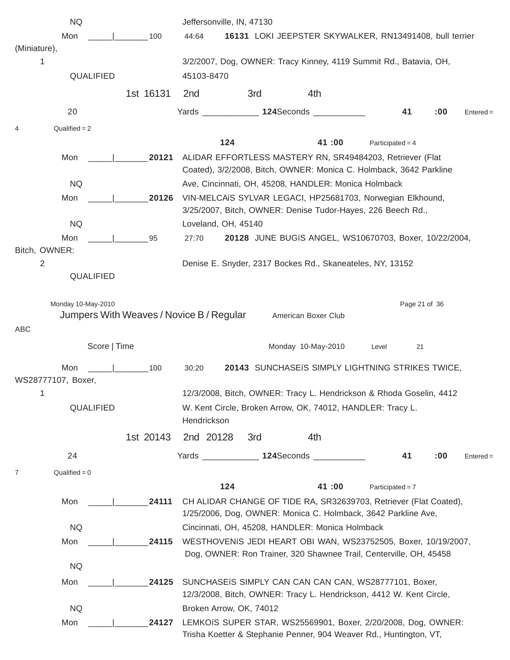|                    | <b>NQ</b>          |                                          |                      | Jeffersonville, IN, 47130 |                                                                                                                                      |                    |               |     |             |
|--------------------|--------------------|------------------------------------------|----------------------|---------------------------|--------------------------------------------------------------------------------------------------------------------------------------|--------------------|---------------|-----|-------------|
|                    | Mon                | 100                                      | 44:64                |                           | 16131 LOKI JEEPSTER SKYWALKER, RN13491408, bull terrier                                                                              |                    |               |     |             |
| (Miniature),       |                    |                                          |                      |                           |                                                                                                                                      |                    |               |     |             |
| 1                  | QUALIFIED          |                                          | 45103-8470           |                           | 3/2/2007, Dog, OWNER: Tracy Kinney, 4119 Summit Rd., Batavia, OH,                                                                    |                    |               |     |             |
|                    |                    |                                          |                      |                           |                                                                                                                                      |                    |               |     |             |
|                    |                    | 1st 16131                                | 2 <sub>nd</sub>      | 3rd                       | 4th                                                                                                                                  |                    |               |     |             |
|                    | 20                 |                                          |                      |                           | Yards _______________ 124Seconds __________                                                                                          |                    | 41            | :00 | $Entered =$ |
| $\overline{4}$     | $Qualified = 2$    |                                          |                      |                           |                                                                                                                                      |                    |               |     |             |
|                    |                    |                                          |                      | 124                       | 41:00                                                                                                                                | Participated = $4$ |               |     |             |
|                    | Mon                | 20121                                    |                      |                           | ALIDAR EFFORTLESS MASTERY RN, SR49484203, Retriever (Flat<br>Coated), 3/2/2008, Bitch, OWNER: Monica C. Holmback, 3642 Parkline      |                    |               |     |             |
|                    | <b>NQ</b>          |                                          |                      |                           | Ave, Cincinnati, OH, 45208, HANDLER: Monica Holmback                                                                                 |                    |               |     |             |
|                    | Mon                | 20126                                    |                      |                           | VIN-MELCAIS SYLVAR LEGACI, HP25681703, Norwegian Elkhound,<br>3/25/2007, Bitch, OWNER: Denise Tudor-Hayes, 226 Beech Rd.,            |                    |               |     |             |
|                    | <b>NQ</b>          |                                          | Loveland, OH, 45140  |                           |                                                                                                                                      |                    |               |     |             |
|                    | Mon                | 95                                       | 27:70                |                           | 20128 JUNE BUGÍS ANGEL, WS10670703, Boxer, 10/22/2004,                                                                               |                    |               |     |             |
| Bitch, OWNER:      |                    |                                          |                      |                           |                                                                                                                                      |                    |               |     |             |
| $\overline{2}$     | QUALIFIED          |                                          |                      |                           | Denise E. Snyder, 2317 Bockes Rd., Skaneateles, NY, 13152                                                                            |                    |               |     |             |
|                    | Monday 10-May-2010 | Jumpers With Weaves / Novice B / Regular |                      |                           | American Boxer Club                                                                                                                  |                    | Page 21 of 36 |     |             |
| ABC                |                    |                                          |                      |                           |                                                                                                                                      |                    |               |     |             |
|                    | Score   Time       |                                          |                      |                           | Monday 10-May-2010                                                                                                                   | Level              | 21            |     |             |
|                    | Mon                | 100                                      | 30:20                |                           | 20143 SUNCHASEIS SIMPLY LIGHTNING STRIKES TWICE,                                                                                     |                    |               |     |             |
| WS28777107, Boxer, |                    |                                          |                      |                           |                                                                                                                                      |                    |               |     |             |
| 1                  | QUALIFIED          |                                          | Hendrickson          |                           | 12/3/2008, Bitch, OWNER: Tracy L. Hendrickson & Rhoda Goselin, 4412<br>W. Kent Circle, Broken Arrow, OK, 74012, HANDLER: Tracy L.    |                    |               |     |             |
|                    |                    | 1st 20143                                | 2nd 20128            | 3rd                       | 4th                                                                                                                                  |                    |               |     |             |
|                    | 24                 |                                          | Yards ______________ |                           | 124Seconds ___________                                                                                                               |                    | 41            | :00 | $Entered =$ |
| 7                  | $Qualified = 0$    |                                          |                      |                           |                                                                                                                                      |                    |               |     |             |
|                    |                    |                                          |                      | 124                       | 41:00                                                                                                                                | Participated = $7$ |               |     |             |
|                    | Mon                | 24111                                    |                      |                           | CH ALIDAR CHANGE OF TIDE RA, SR32639703, Retriever (Flat Coated),                                                                    |                    |               |     |             |
|                    |                    |                                          |                      |                           | 1/25/2006, Dog, OWNER: Monica C. Holmback, 3642 Parkline Ave,                                                                        |                    |               |     |             |
|                    | <b>NQ</b>          |                                          |                      |                           | Cincinnati, OH, 45208, HANDLER: Monica Holmback                                                                                      |                    |               |     |             |
|                    | Mon                | 24115                                    |                      |                           | WESTHOVENIS JEDI HEART OBI WAN, WS23752505, Boxer, 10/19/2007,<br>Dog, OWNER: Ron Trainer, 320 Shawnee Trail, Centerville, OH, 45458 |                    |               |     |             |
|                    | <b>NQ</b>          |                                          |                      |                           |                                                                                                                                      |                    |               |     |             |
|                    | Mon                | 24125                                    |                      |                           | SUNCHASEIS SIMPLY CAN CAN CAN CAN, WS28777101, Boxer,                                                                                |                    |               |     |             |
|                    | <b>NQ</b>          |                                          |                      | Broken Arrow, OK, 74012   | 12/3/2008, Bitch, OWNER: Tracy L. Hendrickson, 4412 W. Kent Circle,                                                                  |                    |               |     |             |
|                    | Mon                | 24127                                    |                      |                           | LEMKOIS SUPER STAR, WS25569901, Boxer, 2/20/2008, Dog, OWNER:                                                                        |                    |               |     |             |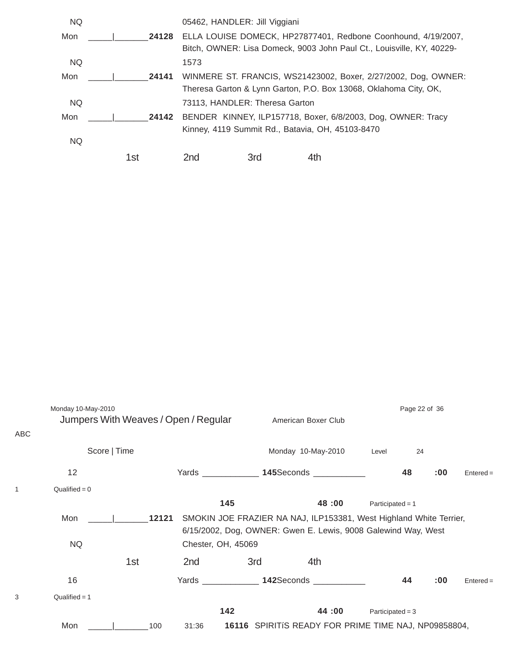| <b>NQ</b> |       | 05462, HANDLER: Jill Viggiani  |                                                                  |                                                                       |  |  |  |  |  |  |
|-----------|-------|--------------------------------|------------------------------------------------------------------|-----------------------------------------------------------------------|--|--|--|--|--|--|
| Mon       | 24128 |                                |                                                                  | ELLA LOUISE DOMECK, HP27877401, Redbone Coonhound, 4/19/2007,         |  |  |  |  |  |  |
|           |       |                                |                                                                  | Bitch, OWNER: Lisa Domeck, 9003 John Paul Ct., Louisville, KY, 40229- |  |  |  |  |  |  |
| <b>NQ</b> |       | 1573                           |                                                                  |                                                                       |  |  |  |  |  |  |
| Mon       | 24141 |                                |                                                                  | WINMERE ST. FRANCIS, WS21423002, Boxer, 2/27/2002, Dog, OWNER:        |  |  |  |  |  |  |
|           |       |                                | Theresa Garton & Lynn Garton, P.O. Box 13068, Oklahoma City, OK, |                                                                       |  |  |  |  |  |  |
| <b>NQ</b> |       | 73113, HANDLER: Theresa Garton |                                                                  |                                                                       |  |  |  |  |  |  |
| Mon       | 24142 |                                |                                                                  | BENDER KINNEY, ILP157718, Boxer, 6/8/2003, Dog, OWNER: Tracy          |  |  |  |  |  |  |
|           |       |                                |                                                                  | Kinney, 4119 Summit Rd., Batavia, OH, 45103-8470                      |  |  |  |  |  |  |
| <b>NQ</b> |       |                                |                                                                  |                                                                       |  |  |  |  |  |  |
|           | 1st   | 2nd                            | 3rd                                                              |                                                                       |  |  |  |  |  |  |

| ABC | Monday 10-May-2010<br>Jumpers With Weaves / Open / Regular |       |                    | American Boxer Club |                                                                                                                                     | Page 22 of 36      |     |             |
|-----|------------------------------------------------------------|-------|--------------------|---------------------|-------------------------------------------------------------------------------------------------------------------------------------|--------------------|-----|-------------|
|     | Score   Time                                               |       | Monday 10-May-2010 |                     |                                                                                                                                     | Level              | 24  |             |
|     | 12                                                         |       |                    |                     | Yards ______________ 145Seconds ____________                                                                                        | 48                 | :00 | $Entered =$ |
|     | $Qualified = 0$                                            |       |                    |                     |                                                                                                                                     |                    |     |             |
|     |                                                            |       | 145                |                     | 48:00                                                                                                                               | Participated = $1$ |     |             |
|     | Mon                                                        | 12121 |                    |                     | SMOKIN JOE FRAZIER NA NAJ, ILP153381, West Highland White Terrier,<br>6/15/2002, Dog, OWNER: Gwen E. Lewis, 9008 Galewind Way, West |                    |     |             |
|     | <b>NQ</b>                                                  |       | Chester, OH, 45069 |                     |                                                                                                                                     |                    |     |             |
|     |                                                            | 1st   | 2nd                | 3rd                 | 4th                                                                                                                                 |                    |     |             |
|     | 16                                                         |       |                    |                     | Yards ______________ 142Seconds ___________                                                                                         | 44                 | :00 | $Entered =$ |
| 3   | $Qualified = 1$                                            |       |                    |                     |                                                                                                                                     |                    |     |             |
|     |                                                            |       | 142                |                     | 44:00                                                                                                                               | Participated = $3$ |     |             |
|     | Mon                                                        | 100   | 31:36              |                     | 16116 SPIRITIS READY FOR PRIME TIME NAJ, NP09858804,                                                                                |                    |     |             |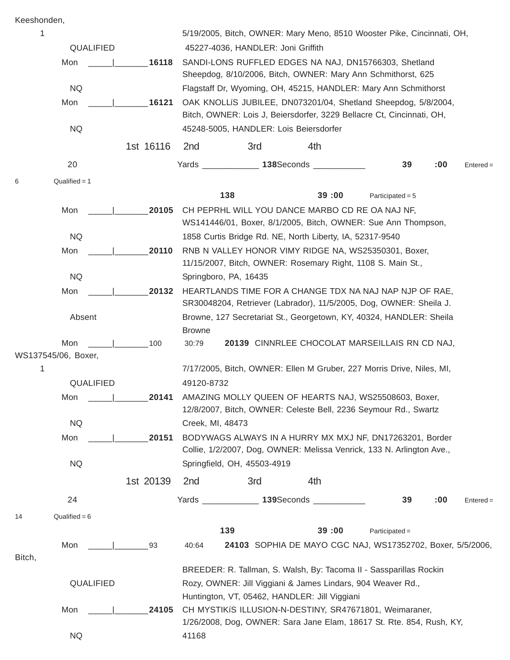Keeshonden,

| 1                        |           | 5/19/2005, Bitch, OWNER: Mary Meno, 8510 Wooster Pike, Cincinnati, OH,           |                                        |                                                 |                                                                                                                                         |     |             |  |  |  |  |
|--------------------------|-----------|----------------------------------------------------------------------------------|----------------------------------------|-------------------------------------------------|-----------------------------------------------------------------------------------------------------------------------------------------|-----|-------------|--|--|--|--|
| QUALIFIED                |           |                                                                                  | 45227-4036, HANDLER: Joni Griffith     |                                                 |                                                                                                                                         |     |             |  |  |  |  |
| Mon                      | 16118     |                                                                                  |                                        |                                                 | SANDI-LONS RUFFLED EDGES NA NAJ, DN15766303, Shetland<br>Sheepdog, 8/10/2006, Bitch, OWNER: Mary Ann Schmithorst, 625                   |     |             |  |  |  |  |
| <b>NQ</b>                |           |                                                                                  |                                        |                                                 | Flagstaff Dr, Wyoming, OH, 45215, HANDLER: Mary Ann Schmithorst                                                                         |     |             |  |  |  |  |
| Mon                      | 16121     |                                                                                  |                                        |                                                 | OAK KNOLLIS JUBILEE, DN073201/04, Shetland Sheepdog, 5/8/2004,<br>Bitch, OWNER: Lois J, Beiersdorfer, 3229 Bellacre Ct, Cincinnati, OH, |     |             |  |  |  |  |
| <b>NQ</b>                |           |                                                                                  | 45248-5005, HANDLER: Lois Beiersdorfer |                                                 |                                                                                                                                         |     |             |  |  |  |  |
|                          | 1st 16116 | 2nd                                                                              | 3rd                                    | 4th                                             |                                                                                                                                         |     |             |  |  |  |  |
| 20                       |           |                                                                                  |                                        | Yards _______________ 138Seconds ____________   | 39                                                                                                                                      | :00 | $Entered =$ |  |  |  |  |
| Qualified = $1$<br>6     |           |                                                                                  |                                        |                                                 |                                                                                                                                         |     |             |  |  |  |  |
|                          |           |                                                                                  | 138<br>39:00<br>Participated = $5$     |                                                 |                                                                                                                                         |     |             |  |  |  |  |
| Mon                      | 20105     |                                                                                  |                                        | CH PEPRHL WILL YOU DANCE MARBO CD RE OA NAJ NF. |                                                                                                                                         |     |             |  |  |  |  |
|                          |           | WS141446/01, Boxer, 8/1/2005, Bitch, OWNER: Sue Ann Thompson,                    |                                        |                                                 |                                                                                                                                         |     |             |  |  |  |  |
| <b>NQ</b>                |           | 1858 Curtis Bridge Rd. NE, North Liberty, IA, 52317-9540                         |                                        |                                                 |                                                                                                                                         |     |             |  |  |  |  |
| Mon                      | 20110     | RNB N VALLEY HONOR VIMY RIDGE NA, WS25350301, Boxer,                             |                                        |                                                 |                                                                                                                                         |     |             |  |  |  |  |
|                          |           | 11/15/2007, Bitch, OWNER: Rosemary Right, 1108 S. Main St.,                      |                                        |                                                 |                                                                                                                                         |     |             |  |  |  |  |
| <b>NQ</b>                |           | Springboro, PA, 16435<br>HEARTLANDS TIME FOR A CHANGE TDX NA NAJ NAP NJP OF RAE, |                                        |                                                 |                                                                                                                                         |     |             |  |  |  |  |
| Mon                      | 20132     |                                                                                  |                                        |                                                 |                                                                                                                                         |     |             |  |  |  |  |
|                          |           |                                                                                  |                                        |                                                 | SR30048204, Retriever (Labrador), 11/5/2005, Dog, OWNER: Sheila J.                                                                      |     |             |  |  |  |  |
| Absent                   |           | <b>Browne</b>                                                                    |                                        |                                                 | Browne, 127 Secretariat St., Georgetown, KY, 40324, HANDLER: Sheila                                                                     |     |             |  |  |  |  |
| Mon                      | 100       | 30:79                                                                            |                                        |                                                 | 20139 CINNRLEE CHOCOLAT MARSEILLAIS RN CD NAJ,                                                                                          |     |             |  |  |  |  |
| WS137545/06, Boxer,<br>1 |           |                                                                                  |                                        |                                                 | 7/17/2005, Bitch, OWNER: Ellen M Gruber, 227 Morris Drive, Niles, MI,                                                                   |     |             |  |  |  |  |
| QUALIFIED                |           | 49120-8732                                                                       |                                        |                                                 |                                                                                                                                         |     |             |  |  |  |  |
|                          |           |                                                                                  |                                        |                                                 | AMAZING MOLLY QUEEN OF HEARTS NAJ, WS25508603, Boxer,                                                                                   |     |             |  |  |  |  |
| Mon $\frac{1}{2}$        | 20141     |                                                                                  |                                        |                                                 | 12/8/2007, Bitch, OWNER: Celeste Bell, 2236 Seymour Rd., Swartz                                                                         |     |             |  |  |  |  |
| <b>NQ</b>                |           | Creek, MI, 48473                                                                 |                                        |                                                 |                                                                                                                                         |     |             |  |  |  |  |
| Mon                      | 20151     |                                                                                  |                                        |                                                 | BODYWAGS ALWAYS IN A HURRY MX MXJ NF, DN17263201, Border                                                                                |     |             |  |  |  |  |
|                          |           |                                                                                  |                                        |                                                 | Collie, 1/2/2007, Dog, OWNER: Melissa Venrick, 133 N. Arlington Ave.,                                                                   |     |             |  |  |  |  |
| <b>NQ</b>                |           |                                                                                  | Springfield, OH, 45503-4919            |                                                 |                                                                                                                                         |     |             |  |  |  |  |
|                          | 1st 20139 | 2nd                                                                              | 3rd                                    | 4th                                             |                                                                                                                                         |     |             |  |  |  |  |
| 24                       |           |                                                                                  |                                        | Yards _______________ 139Seconds ____________   | 39                                                                                                                                      | :00 | $Entered =$ |  |  |  |  |
| Qualified = $6$<br>14    |           |                                                                                  |                                        |                                                 |                                                                                                                                         |     |             |  |  |  |  |
|                          |           |                                                                                  | 139                                    | 39:00                                           | $Participated =$                                                                                                                        |     |             |  |  |  |  |
| Mon                      | 93        | 40:64                                                                            |                                        |                                                 | 24103 SOPHIA DE MAYO CGC NAJ, WS17352702, Boxer, 5/5/2006,                                                                              |     |             |  |  |  |  |
| Bitch,                   |           |                                                                                  |                                        |                                                 |                                                                                                                                         |     |             |  |  |  |  |
|                          |           |                                                                                  |                                        |                                                 | BREEDER: R. Tallman, S. Walsh, By: Tacoma II - Sassparillas Rockin                                                                      |     |             |  |  |  |  |
| QUALIFIED                |           |                                                                                  |                                        |                                                 | Rozy, OWNER: Jill Viggiani & James Lindars, 904 Weaver Rd.,                                                                             |     |             |  |  |  |  |
|                          |           |                                                                                  |                                        | Huntington, VT, 05462, HANDLER: Jill Viggiani   |                                                                                                                                         |     |             |  |  |  |  |
| Mon                      | 24105     |                                                                                  |                                        |                                                 | CH MYSTIKIS ILLUSION-N-DESTINY, SR47671801, Weimaraner,                                                                                 |     |             |  |  |  |  |
| <b>NQ</b>                |           |                                                                                  |                                        |                                                 | 1/26/2008, Dog, OWNER: Sara Jane Elam, 18617 St. Rte. 854, Rush, KY,                                                                    |     |             |  |  |  |  |
|                          |           | 41168                                                                            |                                        |                                                 |                                                                                                                                         |     |             |  |  |  |  |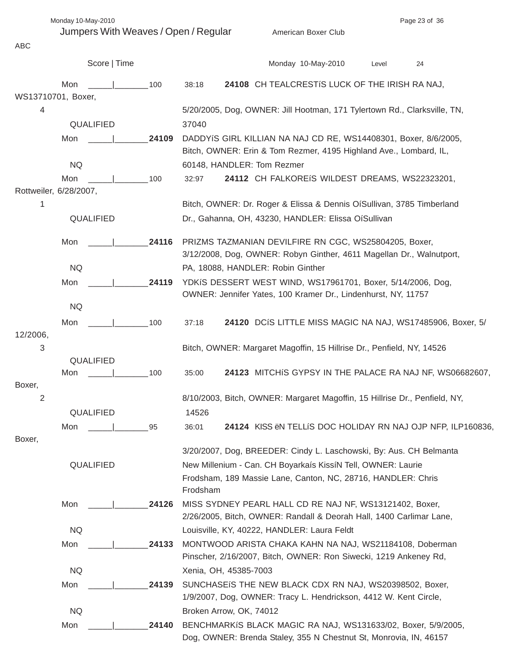Monday 10-May-2010 **Page 23 of 36** 

ABC

Jumpers With Weaves / Open / Regular American Boxer Club

|                          |           | Score   Time |       |                         |                                             | Monday 10-May-2010                                                    | Level | 24                                                                         |  |
|--------------------------|-----------|--------------|-------|-------------------------|---------------------------------------------|-----------------------------------------------------------------------|-------|----------------------------------------------------------------------------|--|
|                          | Mon       |              | 100   | 38:18                   |                                             | 24108 CH TEALCRESTIS LUCK OF THE IRISH RA NAJ,                        |       |                                                                            |  |
| WS13710701, Boxer,       |           |              |       |                         |                                             |                                                                       |       |                                                                            |  |
| 4                        |           |              |       |                         |                                             |                                                                       |       | 5/20/2005, Dog, OWNER: Jill Hootman, 171 Tylertown Rd., Clarksville, TN,   |  |
|                          | QUALIFIED |              |       | 37040                   |                                             |                                                                       |       |                                                                            |  |
|                          | Mon       |              | 24109 |                         |                                             |                                                                       |       | DADDYÍS GIRL KILLIAN NA NAJ CD RE, WS14408301, Boxer, 8/6/2005,            |  |
|                          |           |              |       |                         |                                             | Bitch, OWNER: Erin & Tom Rezmer, 4195 Highland Ave., Lombard, IL,     |       |                                                                            |  |
|                          | <b>NQ</b> |              |       |                         | 60148, HANDLER: Tom Rezmer                  |                                                                       |       |                                                                            |  |
|                          | Mon       |              | 100   | 32:97                   |                                             | 24112 CH FALKOREIS WILDEST DREAMS, WS22323201,                        |       |                                                                            |  |
| Rottweiler, 6/28/2007,   |           |              |       |                         |                                             |                                                                       |       |                                                                            |  |
| 1                        |           |              |       |                         |                                             |                                                                       |       | Bitch, OWNER: Dr. Roger & Elissa & Dennis OíSullivan, 3785 Timberland      |  |
|                          | QUALIFIED |              |       |                         |                                             | Dr., Gahanna, OH, 43230, HANDLER: Elissa OíSullivan                   |       |                                                                            |  |
|                          | Mon       |              | 24116 |                         |                                             | PRIZMS TAZMANIAN DEVILFIRE RN CGC, WS25804205, Boxer,                 |       |                                                                            |  |
|                          |           |              |       |                         |                                             |                                                                       |       | 3/12/2008, Dog, OWNER: Robyn Ginther, 4611 Magellan Dr., Walnutport,       |  |
|                          | <b>NQ</b> |              |       |                         | PA, 18088, HANDLER: Robin Ginther           |                                                                       |       |                                                                            |  |
|                          | Mon       |              | 24119 |                         |                                             | YDKIS DESSERT WEST WIND, WS17961701, Boxer, 5/14/2006, Dog,           |       |                                                                            |  |
|                          |           |              |       |                         |                                             | OWNER: Jennifer Yates, 100 Kramer Dr., Lindenhurst, NY, 11757         |       |                                                                            |  |
|                          | <b>NQ</b> |              |       |                         |                                             |                                                                       |       |                                                                            |  |
|                          | Mon       |              | 100   | 37:18                   |                                             |                                                                       |       | 24120 DCIS LITTLE MISS MAGIC NA NAJ, WS17485906, Boxer, 5/                 |  |
| 12/2006,                 |           |              |       |                         |                                             |                                                                       |       |                                                                            |  |
| 3                        |           |              |       |                         |                                             | Bitch, OWNER: Margaret Magoffin, 15 Hillrise Dr., Penfield, NY, 14526 |       |                                                                            |  |
|                          | QUALIFIED |              |       |                         |                                             |                                                                       |       |                                                                            |  |
|                          | Mon       |              | 100   | 35:00                   |                                             |                                                                       |       | 24123 MITCHIS GYPSY IN THE PALACE RA NAJ NF, WS06682607,                   |  |
| Boxer,<br>$\overline{2}$ |           |              |       |                         |                                             |                                                                       |       | 8/10/2003, Bitch, OWNER: Margaret Magoffin, 15 Hillrise Dr., Penfield, NY, |  |
|                          | QUALIFIED |              |       | 14526                   |                                             |                                                                       |       |                                                                            |  |
|                          |           |              |       |                         |                                             |                                                                       |       |                                                                            |  |
| Boxer,                   | Mon       |              | 95    | 36:01                   |                                             |                                                                       |       | 24124 KISS ÖN TELLIS DOC HOLIDAY RN NAJ OJP NFP, ILP160836,                |  |
|                          |           |              |       |                         |                                             |                                                                       |       | 3/20/2007, Dog, BREEDER: Cindy L. Laschowski, By: Aus. CH Belmanta         |  |
|                          | QUALIFIED |              |       |                         |                                             | New Millenium - Can. CH Boyarkaís KissíN Tell, OWNER: Laurie          |       |                                                                            |  |
|                          |           |              |       | Frodsham                |                                             | Frodsham, 189 Massie Lane, Canton, NC, 28716, HANDLER: Chris          |       |                                                                            |  |
|                          | Mon       |              | 24126 |                         |                                             | MISS SYDNEY PEARL HALL CD RE NAJ NF, WS13121402, Boxer,               |       |                                                                            |  |
|                          |           |              |       |                         |                                             | 2/26/2005, Bitch, OWNER: Randall & Deorah Hall, 1400 Carlimar Lane,   |       |                                                                            |  |
|                          | <b>NQ</b> |              |       |                         | Louisville, KY, 40222, HANDLER: Laura Feldt |                                                                       |       |                                                                            |  |
|                          | Mon       |              | 24133 |                         |                                             |                                                                       |       | MONTWOOD ARISTA CHAKA KAHN NA NAJ, WS21184108, Doberman                    |  |
|                          |           |              |       |                         |                                             | Pinscher, 2/16/2007, Bitch, OWNER: Ron Siwecki, 1219 Ankeney Rd,      |       |                                                                            |  |
|                          | <b>NQ</b> |              |       | Xenia, OH, 45385-7003   |                                             |                                                                       |       |                                                                            |  |
|                          | Mon       |              | 24139 |                         |                                             | SUNCHASEIS THE NEW BLACK CDX RN NAJ, WS20398502, Boxer,               |       |                                                                            |  |
|                          |           |              |       |                         |                                             | 1/9/2007, Dog, OWNER: Tracy L. Hendrickson, 4412 W. Kent Circle,      |       |                                                                            |  |
|                          | <b>NQ</b> |              |       | Broken Arrow, OK, 74012 |                                             |                                                                       |       |                                                                            |  |
|                          | Mon       |              | 24140 |                         |                                             |                                                                       |       | BENCHMARKIS BLACK MAGIC RA NAJ, WS131633/02, Boxer, 5/9/2005,              |  |
|                          |           |              |       |                         |                                             | Dog, OWNER: Brenda Staley, 355 N Chestnut St, Monrovia, IN, 46157     |       |                                                                            |  |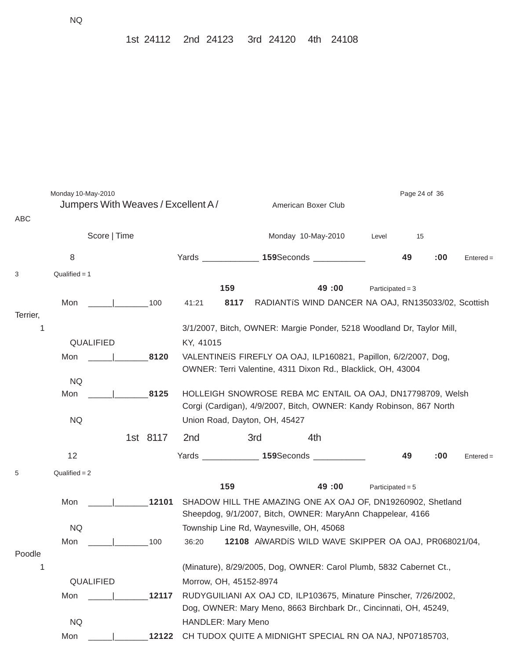| ABC      | Monday 10-May-2010<br>Jumpers With Weaves / Excellent A/ |                                 |          |                        |                                                                                                                                   | Page 24 of 36                                                     |                                                                                                                           |                    |    |     |             |  |  |  |
|----------|----------------------------------------------------------|---------------------------------|----------|------------------------|-----------------------------------------------------------------------------------------------------------------------------------|-------------------------------------------------------------------|---------------------------------------------------------------------------------------------------------------------------|--------------------|----|-----|-------------|--|--|--|
|          | Score   Time                                             |                                 |          |                        |                                                                                                                                   |                                                                   | Monday 10-May-2010                                                                                                        | Level              | 15 |     |             |  |  |  |
|          | 8                                                        |                                 |          |                        |                                                                                                                                   |                                                                   | Yards _______________ 159Seconds ____________                                                                             |                    | 49 | :00 | $Entered =$ |  |  |  |
| 3        | Qualified $= 1$                                          |                                 |          |                        |                                                                                                                                   |                                                                   |                                                                                                                           |                    |    |     |             |  |  |  |
|          |                                                          |                                 |          |                        | 159                                                                                                                               |                                                                   | 49:00                                                                                                                     | Participated = $3$ |    |     |             |  |  |  |
|          | Mon                                                      | the contract of the contract of | 100      | 41:21                  | 8117                                                                                                                              |                                                                   | RADIANTIS WIND DANCER NA OAJ, RN135033/02, Scottish                                                                       |                    |    |     |             |  |  |  |
| Terrier, |                                                          |                                 |          |                        |                                                                                                                                   |                                                                   |                                                                                                                           |                    |    |     |             |  |  |  |
| 1        |                                                          |                                 |          |                        |                                                                                                                                   |                                                                   | 3/1/2007, Bitch, OWNER: Margie Ponder, 5218 Woodland Dr, Taylor Mill,                                                     |                    |    |     |             |  |  |  |
|          | QUALIFIED                                                |                                 |          | KY, 41015              |                                                                                                                                   |                                                                   |                                                                                                                           |                    |    |     |             |  |  |  |
|          | Mon                                                      |                                 | 8120     |                        |                                                                                                                                   |                                                                   | VALENTINEIS FIREFLY OA OAJ, ILP160821, Papillon, 6/2/2007, Dog,                                                           |                    |    |     |             |  |  |  |
|          |                                                          |                                 |          |                        |                                                                                                                                   |                                                                   | OWNER: Terri Valentine, 4311 Dixon Rd., Blacklick, OH, 43004                                                              |                    |    |     |             |  |  |  |
|          | <b>NQ</b><br>Mon                                         |                                 | 8125     |                        |                                                                                                                                   |                                                                   |                                                                                                                           |                    |    |     |             |  |  |  |
|          |                                                          |                                 |          |                        | HOLLEIGH SNOWROSE REBA MC ENTAIL OA OAJ, DN17798709, Welsh<br>Corgi (Cardigan), 4/9/2007, Bitch, OWNER: Kandy Robinson, 867 North |                                                                   |                                                                                                                           |                    |    |     |             |  |  |  |
|          | <b>NQ</b>                                                |                                 |          |                        | Union Road, Dayton, OH, 45427                                                                                                     |                                                                   |                                                                                                                           |                    |    |     |             |  |  |  |
|          |                                                          |                                 | 1st 8117 | 2 <sub>nd</sub>        |                                                                                                                                   | 3rd                                                               | 4th                                                                                                                       |                    |    |     |             |  |  |  |
|          |                                                          |                                 |          |                        |                                                                                                                                   |                                                                   |                                                                                                                           |                    |    |     |             |  |  |  |
|          | 12                                                       |                                 |          |                        |                                                                                                                                   |                                                                   | Yards _______________ 159Seconds ____________                                                                             |                    | 49 | :00 | $Entered =$ |  |  |  |
| 5        | $Qualified = 2$                                          |                                 |          |                        |                                                                                                                                   |                                                                   |                                                                                                                           |                    |    |     |             |  |  |  |
|          |                                                          |                                 |          |                        | 159                                                                                                                               |                                                                   | 49:00                                                                                                                     | Participated = $5$ |    |     |             |  |  |  |
|          | Mon                                                      |                                 | 12101    |                        |                                                                                                                                   |                                                                   | SHADOW HILL THE AMAZING ONE AX OAJ OF, DN19260902, Shetland<br>Sheepdog, 9/1/2007, Bitch, OWNER: MaryAnn Chappelear, 4166 |                    |    |     |             |  |  |  |
|          | <b>NQ</b>                                                |                                 |          |                        |                                                                                                                                   |                                                                   | Township Line Rd, Waynesville, OH, 45068                                                                                  |                    |    |     |             |  |  |  |
|          | Mon                                                      |                                 | 100      | 36:20                  |                                                                                                                                   |                                                                   | 12108 AIWARDIS WILD WAVE SKIPPER OA OAJ, PR068021/04,                                                                     |                    |    |     |             |  |  |  |
| Poodle   |                                                          |                                 |          |                        |                                                                                                                                   |                                                                   |                                                                                                                           |                    |    |     |             |  |  |  |
| 1        |                                                          |                                 |          |                        |                                                                                                                                   |                                                                   | (Minature), 8/29/2005, Dog, OWNER: Carol Plumb, 5832 Cabernet Ct.,                                                        |                    |    |     |             |  |  |  |
|          | QUALIFIED                                                |                                 |          | Morrow, OH, 45152-8974 |                                                                                                                                   |                                                                   |                                                                                                                           |                    |    |     |             |  |  |  |
|          | Mon                                                      |                                 | 12117    |                        |                                                                                                                                   |                                                                   | RUDYGUILIANI AX OAJ CD, ILP103675, Minature Pinscher, 7/26/2002,                                                          |                    |    |     |             |  |  |  |
|          |                                                          |                                 |          |                        |                                                                                                                                   | Dog, OWNER: Mary Meno, 8663 Birchbark Dr., Cincinnati, OH, 45249, |                                                                                                                           |                    |    |     |             |  |  |  |
|          | <b>NQ</b>                                                |                                 |          |                        | <b>HANDLER: Mary Meno</b>                                                                                                         |                                                                   |                                                                                                                           |                    |    |     |             |  |  |  |
|          | Mon                                                      |                                 | 12122    |                        |                                                                                                                                   | CH TUDOX QUITE A MIDNIGHT SPECIAL RN OA NAJ, NP07185703,          |                                                                                                                           |                    |    |     |             |  |  |  |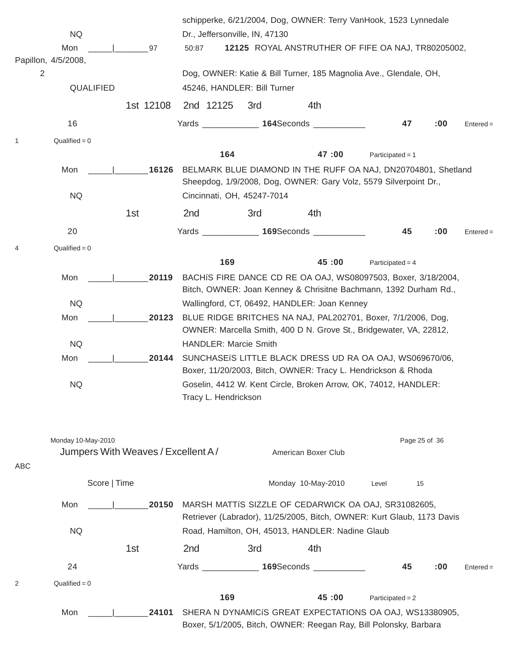|              |                     |              |                                    |                      |     |                                |                                                  | schipperke, 6/21/2004, Dog, OWNER: Terry VanHook, 1523 Lynnedale                                                                   |                    |     |             |
|--------------|---------------------|--------------|------------------------------------|----------------------|-----|--------------------------------|--------------------------------------------------|------------------------------------------------------------------------------------------------------------------------------------|--------------------|-----|-------------|
|              | <b>NQ</b>           |              |                                    |                      |     | Dr., Jeffersonville, IN, 47130 |                                                  |                                                                                                                                    |                    |     |             |
|              | Mon                 |              | 97                                 | 50:87                |     |                                |                                                  | 12125 ROYAL ANSTRUTHER OF FIFE OA NAJ, TR80205002,                                                                                 |                    |     |             |
| 2            | Papillon, 4/5/2008, |              |                                    |                      |     |                                |                                                  | Dog, OWNER: Katie & Bill Turner, 185 Magnolia Ave., Glendale, OH,                                                                  |                    |     |             |
|              | QUALIFIED           |              |                                    |                      |     | 45246, HANDLER: Bill Turner    |                                                  |                                                                                                                                    |                    |     |             |
|              |                     |              |                                    |                      |     |                                |                                                  |                                                                                                                                    |                    |     |             |
|              |                     |              | 1st 12108                          | 2nd 12125            |     | 3rd                            | 4th                                              |                                                                                                                                    |                    |     |             |
|              | 16                  |              |                                    |                      |     |                                | Yards <b>164</b> Seconds                         |                                                                                                                                    | 47                 | :00 | $Entered =$ |
| $\mathbf{1}$ | $Qualified = 0$     |              |                                    |                      |     |                                |                                                  |                                                                                                                                    |                    |     |             |
|              |                     |              |                                    |                      | 164 |                                | 47:00                                            | Participated = $1$                                                                                                                 |                    |     |             |
|              | Mon                 |              | 16126                              |                      |     |                                |                                                  | BELMARK BLUE DIAMOND IN THE RUFF OA NAJ, DN20704801, Shetland<br>Sheepdog, 1/9/2008, Dog, OWNER: Gary Volz, 5579 Silverpoint Dr.,  |                    |     |             |
|              | <b>NQ</b>           |              |                                    |                      |     | Cincinnati, OH, 45247-7014     |                                                  |                                                                                                                                    |                    |     |             |
|              |                     |              | 1st                                | 2nd                  |     | 3rd                            | 4th                                              |                                                                                                                                    |                    |     |             |
|              | 20                  |              |                                    |                      |     |                                | Yards _______________ 169Seconds __________      |                                                                                                                                    | 45                 | :00 | $Entered =$ |
| 4            | Qualified = $0$     |              |                                    |                      |     |                                |                                                  |                                                                                                                                    |                    |     |             |
|              |                     |              |                                    |                      | 169 |                                | 45:00                                            |                                                                                                                                    | Participated = $4$ |     |             |
|              | Mon                 |              | 20119                              |                      |     |                                |                                                  | BACHIS FIRE DANCE CD RE OA OAJ, WS08097503, Boxer, 3/18/2004,<br>Bitch, OWNER: Joan Kenney & Chrisitne Bachmann, 1392 Durham Rd.,  |                    |     |             |
|              | <b>NQ</b>           |              |                                    |                      |     |                                | Wallingford, CT, 06492, HANDLER: Joan Kenney     |                                                                                                                                    |                    |     |             |
|              | Mon                 |              | 20123                              |                      |     |                                |                                                  | BLUE RIDGE BRITCHES NA NAJ, PAL202701, Boxer, 7/1/2006, Dog,<br>OWNER: Marcella Smith, 400 D N. Grove St., Bridgewater, VA, 22812, |                    |     |             |
|              | <b>NQ</b>           |              |                                    |                      |     | <b>HANDLER: Marcie Smith</b>   |                                                  |                                                                                                                                    |                    |     |             |
|              | Mon                 |              | 20144                              |                      |     |                                |                                                  | SUNCHASEIS LITTLE BLACK DRESS UD RA OA OAJ, WS069670/06,<br>Boxer, 11/20/2003, Bitch, OWNER: Tracy L. Hendrickson & Rhoda          |                    |     |             |
|              | <b>NQ</b>           |              |                                    |                      |     |                                |                                                  | Goselin, 4412 W. Kent Circle, Broken Arrow, OK, 74012, HANDLER:                                                                    |                    |     |             |
|              |                     |              |                                    | Tracy L. Hendrickson |     |                                |                                                  |                                                                                                                                    |                    |     |             |
|              |                     |              |                                    |                      |     |                                |                                                  |                                                                                                                                    |                    |     |             |
|              | Monday 10-May-2010  |              |                                    |                      |     |                                |                                                  |                                                                                                                                    | Page 25 of 36      |     |             |
|              |                     |              | Jumpers With Weaves / Excellent A/ |                      |     |                                | American Boxer Club                              |                                                                                                                                    |                    |     |             |
| ABC          |                     |              |                                    |                      |     |                                |                                                  |                                                                                                                                    |                    |     |             |
|              |                     | Score   Time |                                    |                      |     |                                | Monday 10-May-2010                               | Level                                                                                                                              | 15                 |     |             |
|              | Mon                 |              | 20150                              |                      |     |                                |                                                  | MARSH MATTIS SIZZLE OF CEDARWICK OA OAJ, SR31082605,<br>Retriever (Labrador), 11/25/2005, Bitch, OWNER: Kurt Glaub, 1173 Davis     |                    |     |             |
|              | <b>NQ</b>           |              |                                    |                      |     |                                | Road, Hamilton, OH, 45013, HANDLER: Nadine Glaub |                                                                                                                                    |                    |     |             |
|              |                     |              | 1st                                | 2nd                  |     | 3rd                            | 4th                                              |                                                                                                                                    |                    |     |             |
|              | 24                  |              |                                    |                      |     |                                | Yards _______________ 169Seconds ____________    |                                                                                                                                    | 45                 | :00 | $Entered =$ |
| 2            | Qualified = $0$     |              |                                    |                      |     |                                |                                                  |                                                                                                                                    |                    |     |             |
|              |                     |              |                                    |                      | 169 |                                | 45:00                                            |                                                                                                                                    | Participated = $2$ |     |             |
|              | Mon                 |              | 24101                              |                      |     |                                |                                                  | SHERA N DYNAMICIS GREAT EXPECTATIONS OA OAJ, WS13380905,<br>Boxer, 5/1/2005, Bitch, OWNER: Reegan Ray, Bill Polonsky, Barbara      |                    |     |             |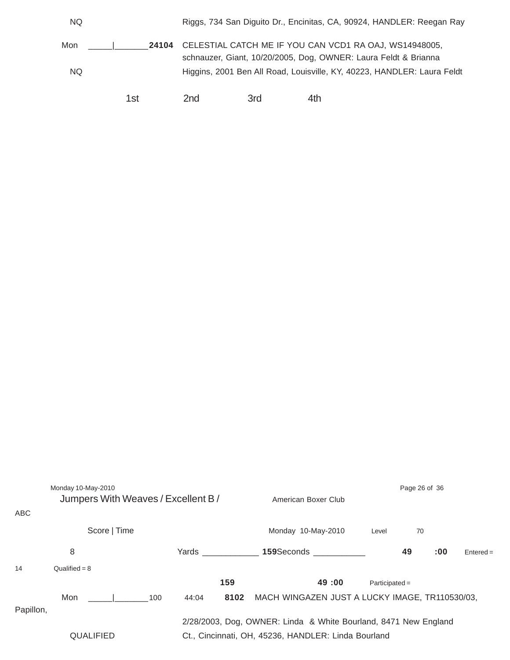| NQ. |       |                                                        |     | Riggs, 734 San Diguito Dr., Encinitas, CA, 90924, HANDLER: Reegan Ray   |  |  |
|-----|-------|--------------------------------------------------------|-----|-------------------------------------------------------------------------|--|--|
| Mon | 24104 | CELESTIAL CATCH ME IF YOU CAN VCD1 RA OAJ, WS14948005, |     | schnauzer, Giant, 10/20/2005, Dog, OWNER: Laura Feldt & Brianna         |  |  |
| NQ. |       |                                                        |     | Higgins, 2001 Ben All Road, Louisville, KY, 40223, HANDLER: Laura Feldt |  |  |
|     | 1st   | 2nd                                                    | 3rd | 4th                                                                     |  |  |

| <b>ABC</b> | Monday 10-May-2010<br>Jumpers With Weaves / Excellent B / |              |                                                                                                                        | American Boxer Club                            |                  | Page 26 of 36 |     |             |  |
|------------|-----------------------------------------------------------|--------------|------------------------------------------------------------------------------------------------------------------------|------------------------------------------------|------------------|---------------|-----|-------------|--|
|            | Score   Time                                              |              |                                                                                                                        | Monday 10-May-2010                             | Level            | 70            |     |             |  |
|            | 8                                                         |              | Yards                                                                                                                  | 159Seconds _____________                       |                  | 49            | :00 | $Entered =$ |  |
| 14         | Qualified = $8$                                           |              |                                                                                                                        |                                                |                  |               |     |             |  |
|            |                                                           |              | 159                                                                                                                    | 49:00                                          | $Participated =$ |               |     |             |  |
| Papillon,  | Mon                                                       | 100<br>44:04 | 8102                                                                                                                   | MACH WINGAZEN JUST A LUCKY IMAGE, TR110530/03, |                  |               |     |             |  |
|            | <b>QUALIFIED</b>                                          |              | 2/28/2003, Dog, OWNER: Linda & White Bourland, 8471 New England<br>Ct., Cincinnati, OH, 45236, HANDLER: Linda Bourland |                                                |                  |               |     |             |  |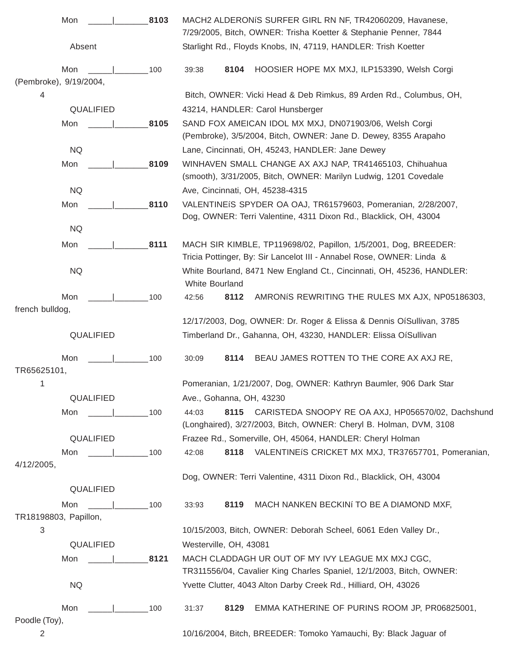| Mon                      | 8103 |                                                                 |                                                                                                | MACH2 ALDERONIS SURFER GIRL RN NF, TR42060209, Havanese,<br>7/29/2005, Bitch, OWNER: Trisha Koetter & Stephanie Penner, 7844             |  |  |  |  |  |  |  |
|--------------------------|------|-----------------------------------------------------------------|------------------------------------------------------------------------------------------------|------------------------------------------------------------------------------------------------------------------------------------------|--|--|--|--|--|--|--|
| Absent                   |      |                                                                 |                                                                                                | Starlight Rd., Floyds Knobs, IN, 47119, HANDLER: Trish Koetter                                                                           |  |  |  |  |  |  |  |
| Mon                      | 100  | 39:38                                                           | 8104                                                                                           | HOOSIER HOPE MX MXJ, ILP153390, Welsh Corgi                                                                                              |  |  |  |  |  |  |  |
| (Pembroke), 9/19/2004,   |      |                                                                 |                                                                                                |                                                                                                                                          |  |  |  |  |  |  |  |
| 4                        |      |                                                                 |                                                                                                | Bitch, OWNER: Vicki Head & Deb Rimkus, 89 Arden Rd., Columbus, OH,                                                                       |  |  |  |  |  |  |  |
| QUALIFIED                |      |                                                                 |                                                                                                | 43214, HANDLER: Carol Hunsberger                                                                                                         |  |  |  |  |  |  |  |
| Mon                      | 8105 |                                                                 |                                                                                                | SAND FOX AMEICAN IDOL MX MXJ, DN071903/06, Welsh Corgi<br>(Pembroke), 3/5/2004, Bitch, OWNER: Jane D. Dewey, 8355 Arapaho                |  |  |  |  |  |  |  |
| <b>NQ</b>                |      |                                                                 |                                                                                                | Lane, Cincinnati, OH, 45243, HANDLER: Jane Dewey                                                                                         |  |  |  |  |  |  |  |
| Mon                      | 8109 |                                                                 |                                                                                                | WINHAVEN SMALL CHANGE AX AXJ NAP, TR41465103, Chihuahua<br>(smooth), 3/31/2005, Bitch, OWNER: Marilyn Ludwig, 1201 Covedale              |  |  |  |  |  |  |  |
| <b>NQ</b>                |      |                                                                 |                                                                                                | Ave, Cincinnati, OH, 45238-4315                                                                                                          |  |  |  |  |  |  |  |
| Mon                      | 8110 |                                                                 |                                                                                                | VALENTINEIS SPYDER OA OAJ, TR61579603, Pomeranian, 2/28/2007,<br>Dog, OWNER: Terri Valentine, 4311 Dixon Rd., Blacklick, OH, 43004       |  |  |  |  |  |  |  |
| <b>NQ</b>                |      |                                                                 |                                                                                                |                                                                                                                                          |  |  |  |  |  |  |  |
| Mon                      | 8111 |                                                                 |                                                                                                | MACH SIR KIMBLE, TP119698/02, Papillon, 1/5/2001, Dog, BREEDER:<br>Tricia Pottinger, By: Sir Lancelot III - Annabel Rose, OWNER: Linda & |  |  |  |  |  |  |  |
| <b>NQ</b>                |      |                                                                 | White Bourland, 8471 New England Ct., Cincinnati, OH, 45236, HANDLER:<br><b>White Bourland</b> |                                                                                                                                          |  |  |  |  |  |  |  |
| Mon                      | 100  | 42:56                                                           | 8112                                                                                           | AMRONIS REWRITING THE RULES MX AJX, NP05186303,                                                                                          |  |  |  |  |  |  |  |
| french bulldog,          |      |                                                                 |                                                                                                |                                                                                                                                          |  |  |  |  |  |  |  |
|                          |      |                                                                 |                                                                                                | 12/17/2003, Dog, OWNER: Dr. Roger & Elissa & Dennis OíSullivan, 3785                                                                     |  |  |  |  |  |  |  |
| QUALIFIED                |      |                                                                 |                                                                                                | Timberland Dr., Gahanna, OH, 43230, HANDLER: Elissa OíSullivan                                                                           |  |  |  |  |  |  |  |
| Mon                      | 100  | 30:09                                                           | 8114                                                                                           | BEAU JAMES ROTTEN TO THE CORE AX AXJ RE,                                                                                                 |  |  |  |  |  |  |  |
| TR65625101,              |      |                                                                 |                                                                                                |                                                                                                                                          |  |  |  |  |  |  |  |
| 1                        |      |                                                                 |                                                                                                | Pomeranian, 1/21/2007, Dog, OWNER: Kathryn Baumler, 906 Dark Star                                                                        |  |  |  |  |  |  |  |
| QUALIFIED                |      |                                                                 |                                                                                                | Ave., Gohanna, OH, 43230                                                                                                                 |  |  |  |  |  |  |  |
| $\sim$ 100<br>Mon        |      | 44:03                                                           | 8115                                                                                           | CARISTEDA SNOOPY RE OA AXJ, HP056570/02, Dachshund<br>(Longhaired), 3/27/2003, Bitch, OWNER: Cheryl B. Holman, DVM, 3108                 |  |  |  |  |  |  |  |
| QUALIFIED                |      |                                                                 |                                                                                                | Frazee Rd., Somerville, OH, 45064, HANDLER: Cheryl Holman                                                                                |  |  |  |  |  |  |  |
| $\sim$ 100<br>Mon        |      | 42:08                                                           |                                                                                                | 8118 VALENTINEIS CRICKET MX MXJ, TR37657701, Pomeranian,                                                                                 |  |  |  |  |  |  |  |
| 4/12/2005,               |      |                                                                 |                                                                                                | Dog, OWNER: Terri Valentine, 4311 Dixon Rd., Blacklick, OH, 43004                                                                        |  |  |  |  |  |  |  |
| QUALIFIED                |      |                                                                 |                                                                                                |                                                                                                                                          |  |  |  |  |  |  |  |
| Mon<br>$\frac{1}{2}$ 100 |      | 33:93                                                           | 8119                                                                                           | MACH NANKEN BECKINI TO BE A DIAMOND MXF,                                                                                                 |  |  |  |  |  |  |  |
| TR18198803, Papillon,    |      |                                                                 |                                                                                                |                                                                                                                                          |  |  |  |  |  |  |  |
| $\sqrt{3}$               |      |                                                                 |                                                                                                | 10/15/2003, Bitch, OWNER: Deborah Scheel, 6061 Eden Valley Dr.,                                                                          |  |  |  |  |  |  |  |
| QUALIFIED                |      | Westerville, OH, 43081                                          |                                                                                                |                                                                                                                                          |  |  |  |  |  |  |  |
| Mon                      | 8121 |                                                                 |                                                                                                | MACH CLADDAGH UR OUT OF MY IVY LEAGUE MX MXJ CGC,<br>TR311556/04, Cavalier King Charles Spaniel, 12/1/2003, Bitch, OWNER:                |  |  |  |  |  |  |  |
| NQ.                      |      | Yvette Clutter, 4043 Alton Darby Creek Rd., Hilliard, OH, 43026 |                                                                                                |                                                                                                                                          |  |  |  |  |  |  |  |
| Mon<br>Poodle (Toy),     | 100  | 31:37                                                           | 8129                                                                                           | EMMA KATHERINE OF PURINS ROOM JP, PR06825001,                                                                                            |  |  |  |  |  |  |  |
| $\overline{2}$           |      |                                                                 |                                                                                                | 10/16/2004, Bitch, BREEDER: Tomoko Yamauchi, By: Black Jaguar of                                                                         |  |  |  |  |  |  |  |
|                          |      |                                                                 |                                                                                                |                                                                                                                                          |  |  |  |  |  |  |  |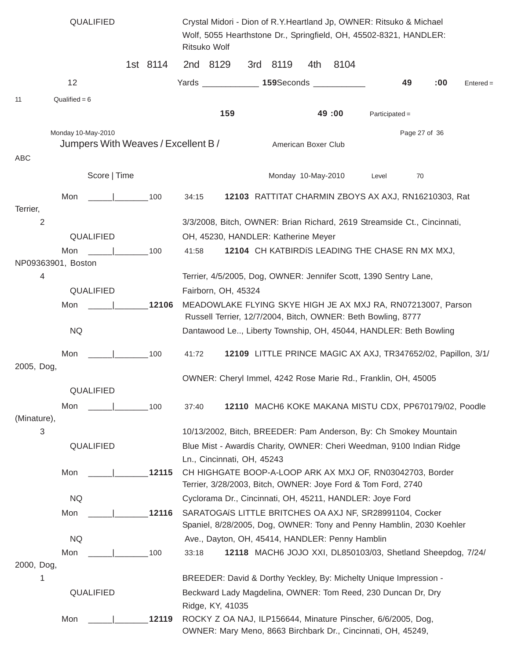|                    | QUALIFIED                              |          | Crystal Midori - Dion of R.Y. Heartland Jp, OWNER: Ritsuko & Michael<br>Wolf, 5055 Hearthstone Dr., Springfield, OH, 45502-8321, HANDLER:<br>Ritsuko Wolf |                            |  |                                     |                     |                                                 |                                                                                                                              |               |     |             |
|--------------------|----------------------------------------|----------|-----------------------------------------------------------------------------------------------------------------------------------------------------------|----------------------------|--|-------------------------------------|---------------------|-------------------------------------------------|------------------------------------------------------------------------------------------------------------------------------|---------------|-----|-------------|
|                    |                                        | 1st 8114 |                                                                                                                                                           | 2nd 8129                   |  | 3rd 8119                            | 4th                 | 8104                                            |                                                                                                                              |               |     |             |
|                    | 12                                     |          |                                                                                                                                                           |                            |  |                                     |                     | Yards _______________ 159Seconds ____________   |                                                                                                                              | 49            | :00 | $Entered =$ |
| 11                 | Qualified = $6$                        |          |                                                                                                                                                           |                            |  |                                     |                     |                                                 |                                                                                                                              |               |     |             |
|                    |                                        |          |                                                                                                                                                           | 159                        |  |                                     |                     | 49:00                                           | $Participated =$                                                                                                             |               |     |             |
|                    | Monday 10-May-2010                     |          |                                                                                                                                                           |                            |  |                                     |                     |                                                 |                                                                                                                              | Page 27 of 36 |     |             |
|                    | Jumpers With Weaves / Excellent B /    |          |                                                                                                                                                           |                            |  |                                     | American Boxer Club |                                                 |                                                                                                                              |               |     |             |
| ABC                |                                        |          |                                                                                                                                                           |                            |  |                                     |                     |                                                 |                                                                                                                              |               |     |             |
|                    | Score   Time                           |          |                                                                                                                                                           |                            |  | Monday 10-May-2010                  |                     |                                                 | Level                                                                                                                        | 70            |     |             |
|                    | Mon                                    | 100      | 34:15                                                                                                                                                     |                            |  |                                     |                     |                                                 | 12103 RATTITAT CHARMIN ZBOYS AX AXJ, RN16210303, Rat                                                                         |               |     |             |
| Terrier,           |                                        |          |                                                                                                                                                           |                            |  |                                     |                     |                                                 |                                                                                                                              |               |     |             |
| 2                  |                                        |          |                                                                                                                                                           |                            |  |                                     |                     |                                                 | 3/3/2008, Bitch, OWNER: Brian Richard, 2619 Streamside Ct., Cincinnati,                                                      |               |     |             |
|                    | QUALIFIED                              |          |                                                                                                                                                           |                            |  | OH, 45230, HANDLER: Katherine Meyer |                     |                                                 |                                                                                                                              |               |     |             |
| NP09363901, Boston | Mon<br>$\sim$ 100                      |          | 41:58                                                                                                                                                     |                            |  |                                     |                     |                                                 | 12104 CH KATBIRDIS LEADING THE CHASE RN MX MXJ,                                                                              |               |     |             |
| 4                  |                                        |          |                                                                                                                                                           |                            |  |                                     |                     |                                                 | Terrier, 4/5/2005, Dog, OWNER: Jennifer Scott, 1390 Sentry Lane,                                                             |               |     |             |
|                    | QUALIFIED                              |          |                                                                                                                                                           | Fairborn, OH, 45324        |  |                                     |                     |                                                 |                                                                                                                              |               |     |             |
|                    | Mon                                    | 12106    |                                                                                                                                                           |                            |  |                                     |                     |                                                 | MEADOWLAKE FLYING SKYE HIGH JE AX MXJ RA, RN07213007, Parson                                                                 |               |     |             |
|                    |                                        |          |                                                                                                                                                           |                            |  |                                     |                     |                                                 | Russell Terrier, 12/7/2004, Bitch, OWNER: Beth Bowling, 8777                                                                 |               |     |             |
|                    | <b>NQ</b>                              |          |                                                                                                                                                           |                            |  |                                     |                     |                                                 | Dantawood Le, Liberty Township, OH, 45044, HANDLER: Beth Bowling                                                             |               |     |             |
|                    | Mon<br>the contract of the contract of | 100      | 41:72                                                                                                                                                     |                            |  |                                     |                     |                                                 | 12109 LITTLE PRINCE MAGIC AX AXJ, TR347652/02, Papillon, 3/1/                                                                |               |     |             |
| 2005, Dog,         |                                        |          |                                                                                                                                                           |                            |  |                                     |                     |                                                 |                                                                                                                              |               |     |             |
|                    |                                        |          |                                                                                                                                                           |                            |  |                                     |                     |                                                 | OWNER: Cheryl Immel, 4242 Rose Marie Rd., Franklin, OH, 45005                                                                |               |     |             |
|                    | QUALIFIED                              |          |                                                                                                                                                           |                            |  |                                     |                     |                                                 |                                                                                                                              |               |     |             |
|                    | Mon                                    | 100      | 37:40                                                                                                                                                     |                            |  |                                     |                     |                                                 | 12110 MACH6 KOKE MAKANA MISTU CDX, PP670179/02, Poodle                                                                       |               |     |             |
| (Minature),        |                                        |          |                                                                                                                                                           |                            |  |                                     |                     |                                                 |                                                                                                                              |               |     |             |
| 3                  |                                        |          |                                                                                                                                                           |                            |  |                                     |                     |                                                 | 10/13/2002, Bitch, BREEDER: Pam Anderson, By: Ch Smokey Mountain                                                             |               |     |             |
|                    | QUALIFIED                              |          |                                                                                                                                                           | Ln., Cincinnati, OH, 45243 |  |                                     |                     |                                                 | Blue Mist - Awardís Charity, OWNER: Cheri Weedman, 9100 Indian Ridge                                                         |               |     |             |
|                    | Mon                                    | 12115    |                                                                                                                                                           |                            |  |                                     |                     |                                                 | CH HIGHGATE BOOP-A-LOOP ARK AX MXJ OF, RN03042703, Border                                                                    |               |     |             |
|                    |                                        |          |                                                                                                                                                           |                            |  |                                     |                     |                                                 | Terrier, 3/28/2003, Bitch, OWNER: Joye Ford & Tom Ford, 2740                                                                 |               |     |             |
|                    | <b>NQ</b>                              |          |                                                                                                                                                           |                            |  |                                     |                     |                                                 | Cyclorama Dr., Cincinnati, OH, 45211, HANDLER: Joye Ford                                                                     |               |     |             |
|                    | Mon                                    | 12116    |                                                                                                                                                           |                            |  |                                     |                     |                                                 | SARATOGAÍS LITTLE BRITCHES OA AXJ NF, SR28991104, Cocker                                                                     |               |     |             |
|                    |                                        |          |                                                                                                                                                           |                            |  |                                     |                     |                                                 | Spaniel, 8/28/2005, Dog, OWNER: Tony and Penny Hamblin, 2030 Koehler                                                         |               |     |             |
|                    | <b>NQ</b>                              |          |                                                                                                                                                           |                            |  |                                     |                     | Ave., Dayton, OH, 45414, HANDLER: Penny Hamblin |                                                                                                                              |               |     |             |
|                    | Mon                                    | 100      | 33:18                                                                                                                                                     |                            |  |                                     |                     |                                                 | 12118 MACH6 JOJO XXI, DL850103/03, Shetland Sheepdog, 7/24/                                                                  |               |     |             |
| 2000, Dog,         |                                        |          |                                                                                                                                                           |                            |  |                                     |                     |                                                 |                                                                                                                              |               |     |             |
| 1                  |                                        |          |                                                                                                                                                           |                            |  |                                     |                     |                                                 | BREEDER: David & Dorthy Yeckley, By: Michelty Unique Impression -                                                            |               |     |             |
|                    | QUALIFIED                              |          |                                                                                                                                                           |                            |  |                                     |                     |                                                 | Beckward Lady Magdelina, OWNER: Tom Reed, 230 Duncan Dr, Dry                                                                 |               |     |             |
|                    |                                        |          |                                                                                                                                                           | Ridge, KY, 41035           |  |                                     |                     |                                                 |                                                                                                                              |               |     |             |
|                    | Mon                                    | 12119    |                                                                                                                                                           |                            |  |                                     |                     |                                                 | ROCKY Z OA NAJ, ILP156644, Minature Pinscher, 6/6/2005, Dog,<br>OWNER: Mary Meno, 8663 Birchbark Dr., Cincinnati, OH, 45249, |               |     |             |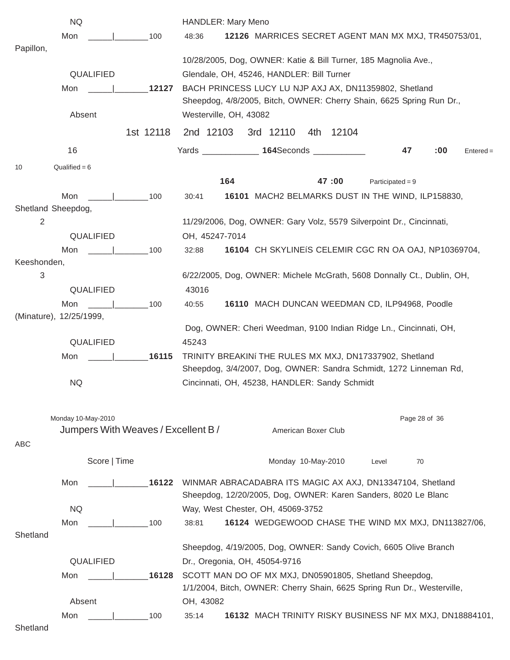| <b>NQ</b>                           | <b>HANDLER: Mary Meno</b>                                                                                                   |
|-------------------------------------|-----------------------------------------------------------------------------------------------------------------------------|
| Mon<br>100                          | 12126 MARRICES SECRET AGENT MAN MX MXJ, TR450753/01,<br>48:36                                                               |
| Papillon,                           |                                                                                                                             |
|                                     | 10/28/2005, Dog, OWNER: Katie & Bill Turner, 185 Magnolia Ave.,                                                             |
| QUALIFIED                           | Glendale, OH, 45246, HANDLER: Bill Turner                                                                                   |
| 12127<br>Mon                        | BACH PRINCESS LUCY LU NJP AXJ AX, DN11359802, Shetland                                                                      |
|                                     | Sheepdog, 4/8/2005, Bitch, OWNER: Cherry Shain, 6625 Spring Run Dr.,                                                        |
| Absent                              | Westerville, OH, 43082                                                                                                      |
| 1st 12118                           | 3rd 12110<br>2nd 12103<br>4th 12104                                                                                         |
| 16                                  | Yards ________________ 164Seconds ____________<br>47<br>:00<br>$Entered =$                                                  |
| Qualified = $6$<br>10               |                                                                                                                             |
|                                     | 164<br>47:00<br>Participated = $9$                                                                                          |
| Mon<br>100                          | 16101 MACH2 BELMARKS DUST IN THE WIND, ILP158830,<br>30:41                                                                  |
| Shetland Sheepdog,                  |                                                                                                                             |
| 2                                   | 11/29/2006, Dog, OWNER: Gary Volz, 5579 Silverpoint Dr., Cincinnati,                                                        |
| QUALIFIED                           | OH, 45247-7014                                                                                                              |
| Mon<br>$\sim$ 100                   | 16104 CH SKYLINEIS CELEMIR CGC RN OA OAJ, NP10369704,<br>32:88                                                              |
| Keeshonden,                         |                                                                                                                             |
| 3                                   | 6/22/2005, Dog, OWNER: Michele McGrath, 5608 Donnally Ct., Dublin, OH,                                                      |
| QUALIFIED                           | 43016                                                                                                                       |
| $\vert$ 100<br>Mon                  | 16110 MACH DUNCAN WEEDMAN CD, ILP94968, Poodle<br>40:55                                                                     |
| (Minature), 12/25/1999,             |                                                                                                                             |
|                                     | Dog, OWNER: Cheri Weedman, 9100 Indian Ridge Ln., Cincinnati, OH,                                                           |
| QUALIFIED                           | 45243                                                                                                                       |
| 16115<br>Mon                        | TRINITY BREAKINI THE RULES MX MXJ, DN17337902, Shetland                                                                     |
|                                     | Sheepdog, 3/4/2007, Dog, OWNER: Sandra Schmidt, 1272 Linneman Rd,                                                           |
| <b>NQ</b>                           | Cincinnati, OH, 45238, HANDLER: Sandy Schmidt                                                                               |
|                                     |                                                                                                                             |
| Monday 10-May-2010                  | Page 28 of 36                                                                                                               |
| Jumpers With Weaves / Excellent B / | American Boxer Club                                                                                                         |
| ABC                                 |                                                                                                                             |
| Score   Time                        | Monday 10-May-2010<br>70<br>Level                                                                                           |
| 16122                               |                                                                                                                             |
| Mon                                 | WINMAR ABRACADABRA ITS MAGIC AX AXJ, DN13347104, Shetland<br>Sheepdog, 12/20/2005, Dog, OWNER: Karen Sanders, 8020 Le Blanc |
| <b>NQ</b>                           | Way, West Chester, OH, 45069-3752                                                                                           |
| Mon<br>100                          | 16124 WEDGEWOOD CHASE THE WIND MX MXJ, DN113827/06,<br>38:81                                                                |
| Shetland                            |                                                                                                                             |
|                                     | Sheepdog, 4/19/2005, Dog, OWNER: Sandy Covich, 6605 Olive Branch                                                            |
| QUALIFIED                           | Dr., Oregonia, OH, 45054-9716                                                                                               |
| 16128<br>Mon                        | SCOTT MAN DO OF MX MXJ, DN05901805, Shetland Sheepdog,                                                                      |
|                                     | 1/1/2004, Bitch, OWNER: Cherry Shain, 6625 Spring Run Dr., Westerville,                                                     |
| Absent                              | OH, 43082                                                                                                                   |
| Mon<br>100                          | 16132 MACH TRINITY RISKY BUSINESS NF MX MXJ, DN18884101,<br>35:14                                                           |
| Shetland                            |                                                                                                                             |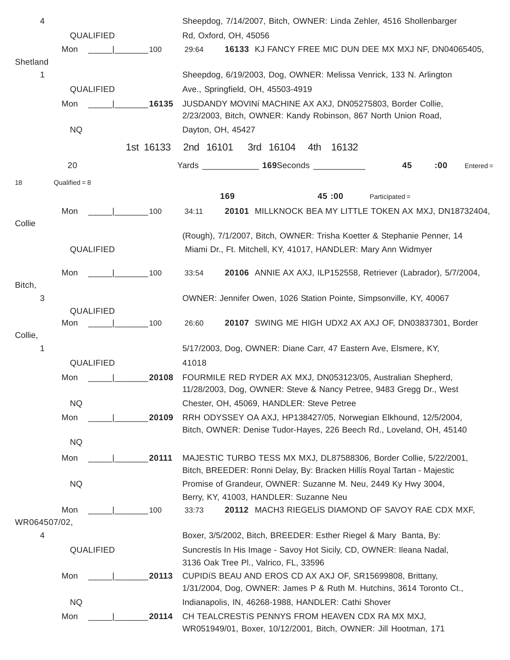| 4            |                                             |           | Sheepdog, 7/14/2007, Bitch, OWNER: Linda Zehler, 4516 Shollenbarger                                                                          |
|--------------|---------------------------------------------|-----------|----------------------------------------------------------------------------------------------------------------------------------------------|
|              | QUALIFIED                                   |           | Rd, Oxford, OH, 45056                                                                                                                        |
|              | Mon                                         | 100       | 16133 KJ FANCY FREE MIC DUN DEE MX MXJ NF, DN04065405,<br>29:64                                                                              |
| Shetland     |                                             |           |                                                                                                                                              |
| 1            |                                             |           | Sheepdog, 6/19/2003, Dog, OWNER: Melissa Venrick, 133 N. Arlington                                                                           |
|              | QUALIFIED                                   |           | Ave., Springfield, OH, 45503-4919                                                                                                            |
|              | Mon                                         | 16135     | JUSDANDY MOVINÍ MACHINE AX AXJ, DN05275803, Border Collie,<br>2/23/2003, Bitch, OWNER: Kandy Robinson, 867 North Union Road,                 |
|              | <b>NQ</b>                                   |           | Dayton, OH, 45427                                                                                                                            |
|              |                                             |           |                                                                                                                                              |
|              |                                             | 1st 16133 | 2nd 16101<br>3rd 16104<br>4th<br>16132                                                                                                       |
|              | 20                                          |           | Yards _______________ 169Seconds ____________<br>45<br>:00<br>$Entered =$                                                                    |
| 18           | $Qualified = 8$                             |           |                                                                                                                                              |
|              |                                             |           | 169<br>45:00<br>$Participated =$                                                                                                             |
|              | Mon                                         | 100       | 20101 MILLKNOCK BEA MY LITTLE TOKEN AX MXJ, DN18732404,<br>34:11                                                                             |
| Collie       |                                             |           |                                                                                                                                              |
|              | QUALIFIED                                   |           | (Rough), 7/1/2007, Bitch, OWNER: Trisha Koetter & Stephanie Penner, 14<br>Miami Dr., Ft. Mitchell, KY, 41017, HANDLER: Mary Ann Widmyer      |
|              |                                             |           |                                                                                                                                              |
|              | Mon<br>the contract of the contract of      | 100       | 20106 ANNIE AX AXJ, ILP152558, Retriever (Labrador), 5/7/2004,<br>33:54                                                                      |
| Bitch,       |                                             |           |                                                                                                                                              |
| 3            |                                             |           | OWNER: Jennifer Owen, 1026 Station Pointe, Simpsonville, KY, 40067                                                                           |
|              | QUALIFIED<br>Mon<br>the control of the con- | 100       | 20107 SWING ME HIGH UDX2 AX AXJ OF, DN03837301, Border<br>26:60                                                                              |
| Collie,      |                                             |           |                                                                                                                                              |
| 1            |                                             |           | 5/17/2003, Dog, OWNER: Diane Carr, 47 Eastern Ave, Elsmere, KY,                                                                              |
|              | QUALIFIED                                   |           | 41018                                                                                                                                        |
|              | Mon                                         | 20108     | FOURMILE RED RYDER AX MXJ, DN053123/05, Australian Shepherd,                                                                                 |
|              |                                             |           | 11/28/2003, Dog, OWNER: Steve & Nancy Petree, 9483 Gregg Dr., West                                                                           |
|              | <b>NQ</b>                                   |           | Chester, OH, 45069, HANDLER: Steve Petree                                                                                                    |
|              | Mon                                         | 20109     | RRH ODYSSEY OA AXJ, HP138427/05, Norwegian Elkhound, 12/5/2004,                                                                              |
|              | <b>NQ</b>                                   |           | Bitch, OWNER: Denise Tudor-Hayes, 226 Beech Rd., Loveland, OH, 45140                                                                         |
|              |                                             |           |                                                                                                                                              |
|              | Mon                                         | 20111     | MAJESTIC TURBO TESS MX MXJ, DL87588306, Border Collie, 5/22/2001,<br>Bitch, BREEDER: Ronni Delay, By: Bracken Hillís Royal Tartan - Majestic |
|              | <b>NQ</b>                                   |           | Promise of Grandeur, OWNER: Suzanne M. Neu, 2449 Ky Hwy 3004,                                                                                |
|              |                                             |           | Berry, KY, 41003, HANDLER: Suzanne Neu                                                                                                       |
|              | Mon                                         | 100       | 20112 MACH3 RIEGELIS DIAMOND OF SAVOY RAE CDX MXF,<br>33:73                                                                                  |
| WR064507/02, |                                             |           |                                                                                                                                              |
| 4            |                                             |           | Boxer, 3/5/2002, Bitch, BREEDER: Esther Riegel & Mary Banta, By:                                                                             |
|              | QUALIFIED                                   |           | Suncrestís In His Image - Savoy Hot Sicily, CD, OWNER: Ileana Nadal,                                                                         |
|              |                                             |           | 3136 Oak Tree Pl., Valrico, FL, 33596                                                                                                        |
|              | Mon                                         | 20113     | CUPIDIS BEAU AND EROS CD AX AXJ OF, SR15699808, Brittany,<br>1/31/2004, Dog, OWNER: James P & Ruth M. Hutchins, 3614 Toronto Ct.,            |
|              | <b>NQ</b>                                   |           | Indianapolis, IN, 46268-1988, HANDLER: Cathi Shover                                                                                          |
|              | Mon                                         | 20114     | CH TEALCRESTIS PENNYS FROM HEAVEN CDX RA MX MXJ,                                                                                             |
|              |                                             |           | WR051949/01, Boxer, 10/12/2001, Bitch, OWNER: Jill Hootman, 171                                                                              |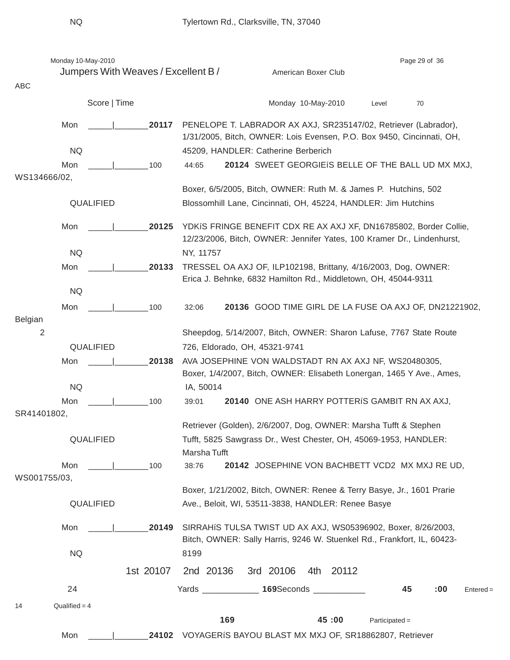|                       | Monday 10-May-2010              |                                     |                                                                  |                                                                                                                                             |                     |                  | Page 29 of 36 |             |  |  |  |  |
|-----------------------|---------------------------------|-------------------------------------|------------------------------------------------------------------|---------------------------------------------------------------------------------------------------------------------------------------------|---------------------|------------------|---------------|-------------|--|--|--|--|
|                       |                                 | Jumpers With Weaves / Excellent B / |                                                                  |                                                                                                                                             | American Boxer Club |                  |               |             |  |  |  |  |
| ABC                   |                                 |                                     |                                                                  |                                                                                                                                             |                     |                  |               |             |  |  |  |  |
|                       | Score   Time                    |                                     |                                                                  |                                                                                                                                             | Monday 10-May-2010  | Level            | 70            |             |  |  |  |  |
| Mon                   |                                 | 20117                               |                                                                  | PENELOPE T. LABRADOR AX AXJ, SR235147/02, Retriever (Labrador),<br>1/31/2005, Bitch, OWNER: Lois Evensen, P.O. Box 9450, Cincinnati, OH,    |                     |                  |               |             |  |  |  |  |
| <b>NQ</b>             |                                 |                                     |                                                                  | 45209, HANDLER: Catherine Berberich                                                                                                         |                     |                  |               |             |  |  |  |  |
| Mon                   |                                 | 100                                 | 44:65                                                            | 20124 SWEET GEORGIEIS BELLE OF THE BALL UD MX MXJ,                                                                                          |                     |                  |               |             |  |  |  |  |
| WS134666/02,          |                                 |                                     |                                                                  |                                                                                                                                             |                     |                  |               |             |  |  |  |  |
|                       | QUALIFIED                       |                                     |                                                                  | Boxer, 6/5/2005, Bitch, OWNER: Ruth M. & James P. Hutchins, 502<br>Blossomhill Lane, Cincinnati, OH, 45224, HANDLER: Jim Hutchins           |                     |                  |               |             |  |  |  |  |
|                       |                                 |                                     |                                                                  |                                                                                                                                             |                     |                  |               |             |  |  |  |  |
| Mon                   |                                 | 20125                               |                                                                  | YDKIS FRINGE BENEFIT CDX RE AX AXJ XF, DN16785802, Border Collie,<br>12/23/2006, Bitch, OWNER: Jennifer Yates, 100 Kramer Dr., Lindenhurst, |                     |                  |               |             |  |  |  |  |
| <b>NQ</b>             |                                 |                                     | NY, 11757                                                        |                                                                                                                                             |                     |                  |               |             |  |  |  |  |
| Mon                   |                                 | 20133                               |                                                                  | TRESSEL OA AXJ OF, ILP102198, Brittany, 4/16/2003, Dog, OWNER:                                                                              |                     |                  |               |             |  |  |  |  |
|                       |                                 |                                     | Erica J. Behnke, 6832 Hamilton Rd., Middletown, OH, 45044-9311   |                                                                                                                                             |                     |                  |               |             |  |  |  |  |
| <b>NQ</b>             |                                 |                                     |                                                                  |                                                                                                                                             |                     |                  |               |             |  |  |  |  |
| Mon<br>Belgian        |                                 | 100                                 | 32:06                                                            | 20136 GOOD TIME GIRL DE LA FUSE OA AXJ OF, DN21221902,                                                                                      |                     |                  |               |             |  |  |  |  |
| $\overline{2}$        |                                 |                                     |                                                                  | Sheepdog, 5/14/2007, Bitch, OWNER: Sharon Lafuse, 7767 State Route                                                                          |                     |                  |               |             |  |  |  |  |
|                       | QUALIFIED                       |                                     |                                                                  | 726, Eldorado, OH, 45321-9741                                                                                                               |                     |                  |               |             |  |  |  |  |
| Mon                   |                                 | 20138                               |                                                                  | AVA JOSEPHINE VON WALDSTADT RN AX AXJ NF, WS20480305,                                                                                       |                     |                  |               |             |  |  |  |  |
|                       |                                 |                                     |                                                                  | Boxer, 1/4/2007, Bitch, OWNER: Elisabeth Lonergan, 1465 Y Ave., Ames,                                                                       |                     |                  |               |             |  |  |  |  |
| <b>NQ</b>             |                                 |                                     | IA, 50014                                                        |                                                                                                                                             |                     |                  |               |             |  |  |  |  |
| Mon                   |                                 | 100                                 | 20140 ONE ASH HARRY POTTERIS GAMBIT RN AX AXJ,<br>39:01          |                                                                                                                                             |                     |                  |               |             |  |  |  |  |
| SR41401802,           |                                 |                                     | Retriever (Golden), 2/6/2007, Dog, OWNER: Marsha Tufft & Stephen |                                                                                                                                             |                     |                  |               |             |  |  |  |  |
|                       | QUALIFIED                       |                                     |                                                                  | Tufft, 5825 Sawgrass Dr., West Chester, OH, 45069-1953, HANDLER:                                                                            |                     |                  |               |             |  |  |  |  |
|                       |                                 |                                     | Marsha Tufft                                                     |                                                                                                                                             |                     |                  |               |             |  |  |  |  |
| Mon                   | the contract of the contract of | 100                                 | 38:76                                                            | 20142 JOSEPHINE VON BACHBETT VCD2 MX MXJ RE UD,                                                                                             |                     |                  |               |             |  |  |  |  |
| WS001755/03,          |                                 |                                     |                                                                  |                                                                                                                                             |                     |                  |               |             |  |  |  |  |
|                       |                                 |                                     |                                                                  | Boxer, 1/21/2002, Bitch, OWNER: Renee & Terry Basye, Jr., 1601 Prarie                                                                       |                     |                  |               |             |  |  |  |  |
|                       | QUALIFIED                       |                                     |                                                                  | Ave., Beloit, WI, 53511-3838, HANDLER: Renee Basye                                                                                          |                     |                  |               |             |  |  |  |  |
| Mon                   |                                 | 20149                               |                                                                  | SIRRAHIS TULSA TWIST UD AX AXJ, WS05396902, Boxer, 8/26/2003,                                                                               |                     |                  |               |             |  |  |  |  |
|                       |                                 |                                     |                                                                  | Bitch, OWNER: Sally Harris, 9246 W. Stuenkel Rd., Frankfort, IL, 60423-                                                                     |                     |                  |               |             |  |  |  |  |
| <b>NQ</b>             |                                 |                                     | 8199                                                             |                                                                                                                                             |                     |                  |               |             |  |  |  |  |
|                       |                                 | 1st 20107                           | 2nd 20136                                                        | 3rd 20106                                                                                                                                   | 4th 20112           |                  |               |             |  |  |  |  |
| 24                    |                                 |                                     |                                                                  | Yards ________________ 169Seconds _____________                                                                                             |                     | 45               | :00           | $Entered =$ |  |  |  |  |
| Qualified $=$ 4<br>14 |                                 |                                     |                                                                  |                                                                                                                                             |                     |                  |               |             |  |  |  |  |
|                       |                                 |                                     | 169                                                              |                                                                                                                                             | 45:00               | $Participated =$ |               |             |  |  |  |  |
| Mon                   |                                 |                                     |                                                                  | 24102 VOYAGERIS BAYOU BLAST MX MXJ OF, SR18862807, Retriever                                                                                |                     |                  |               |             |  |  |  |  |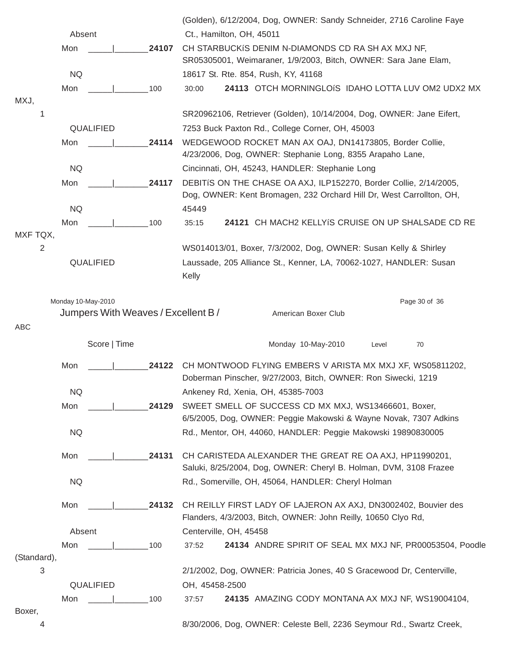|                  |                                     |       | (Golden), 6/12/2004, Dog, OWNER: Sandy Schneider, 2716 Caroline Faye                    |
|------------------|-------------------------------------|-------|-----------------------------------------------------------------------------------------|
|                  | Absent                              |       | Ct., Hamilton, OH, 45011                                                                |
|                  | Mon                                 | 24107 | CH STARBUCKIS DENIM N-DIAMONDS CD RA SH AX MXJ NF,                                      |
|                  |                                     |       | SR05305001, Weimaraner, 1/9/2003, Bitch, OWNER: Sara Jane Elam,                         |
|                  | <b>NQ</b>                           |       | 18617 St. Rte. 854, Rush, KY, 41168                                                     |
| MXJ,             | Mon                                 | 100   | 24113 OTCH MORNINGLOIS IDAHO LOTTA LUV OM2 UDX2 MX<br>30:00                             |
| 1                |                                     |       | SR20962106, Retriever (Golden), 10/14/2004, Dog, OWNER: Jane Eifert,                    |
|                  | QUALIFIED                           |       | 7253 Buck Paxton Rd., College Corner, OH, 45003                                         |
|                  | Mon                                 | 24114 | WEDGEWOOD ROCKET MAN AX OAJ, DN14173805, Border Collie,                                 |
|                  |                                     |       | 4/23/2006, Dog, OWNER: Stephanie Long, 8355 Arapaho Lane,                               |
|                  | <b>NQ</b>                           |       | Cincinnati, OH, 45243, HANDLER: Stephanie Long                                          |
|                  | Mon                                 | 24117 | DEBITIS ON THE CHASE OA AXJ, ILP152270, Border Collie, 2/14/2005,                       |
|                  |                                     |       | Dog, OWNER: Kent Bromagen, 232 Orchard Hill Dr, West Carrollton, OH,                    |
|                  | <b>NQ</b>                           |       | 45449                                                                                   |
| MXF TQX,         | Mon                                 | 100   | 24121 CH MACH2 KELLYIS CRUISE ON UP SHALSADE CD RE<br>35:15                             |
| 2                |                                     |       | WS014013/01, Boxer, 7/3/2002, Dog, OWNER: Susan Kelly & Shirley                         |
|                  | QUALIFIED                           |       | Laussade, 205 Alliance St., Kenner, LA, 70062-1027, HANDLER: Susan                      |
|                  |                                     |       | Kelly                                                                                   |
|                  |                                     |       |                                                                                         |
|                  | Monday 10-May-2010                  |       | Page 30 of 36                                                                           |
|                  | Jumpers With Weaves / Excellent B / |       | American Boxer Club                                                                     |
| ABC              |                                     |       |                                                                                         |
|                  | Score   Time                        |       | Monday 10-May-2010<br>70<br>Level                                                       |
|                  | Mon                                 | 24122 | CH MONTWOOD FLYING EMBERS V ARISTA MX MXJ XF, WS05811202,                               |
|                  |                                     |       | Doberman Pinscher, 9/27/2003, Bitch, OWNER: Ron Siwecki, 1219                           |
|                  | <b>NQ</b>                           |       | Ankeney Rd, Xenia, OH, 45385-7003                                                       |
|                  | Mon                                 | 24129 | SWEET SMELL OF SUCCESS CD MX MXJ, WS13466601, Boxer,                                    |
|                  |                                     |       | 6/5/2005, Dog, OWNER: Peggie Makowski & Wayne Novak, 7307 Adkins                        |
|                  | <b>NQ</b>                           |       | Rd., Mentor, OH, 44060, HANDLER: Peggie Makowski 19890830005                            |
|                  | Mon                                 | 24131 | CH CARISTEDA ALEXANDER THE GREAT RE OA AXJ, HP11990201,                                 |
|                  |                                     |       | Saluki, 8/25/2004, Dog, OWNER: Cheryl B. Holman, DVM, 3108 Frazee                       |
|                  | <b>NQ</b>                           |       | Rd., Somerville, OH, 45064, HANDLER: Cheryl Holman                                      |
|                  |                                     |       |                                                                                         |
|                  | Mon                                 | 24132 | CH REILLY FIRST LADY OF LAJERON AX AXJ, DN3002402, Bouvier des                          |
|                  |                                     |       | Flanders, 4/3/2003, Bitch, OWNER: John Reilly, 10650 Clyo Rd,                           |
|                  | Absent                              |       | Centerville, OH, 45458                                                                  |
|                  | Mon                                 | 100   | 24134 ANDRE SPIRIT OF SEAL MX MXJ NF, PR00053504, Poodle<br>37:52                       |
| (Standard),<br>3 |                                     |       |                                                                                         |
|                  | QUALIFIED                           |       | 2/1/2002, Dog, OWNER: Patricia Jones, 40 S Gracewood Dr, Centerville,<br>OH, 45458-2500 |
|                  | Mon                                 | 100   | 24135 AMAZING CODY MONTANA AX MXJ NF, WS19004104,<br>37:57                              |
| Boxer,           |                                     |       |                                                                                         |
| 4                |                                     |       | 8/30/2006, Dog, OWNER: Celeste Bell, 2236 Seymour Rd., Swartz Creek,                    |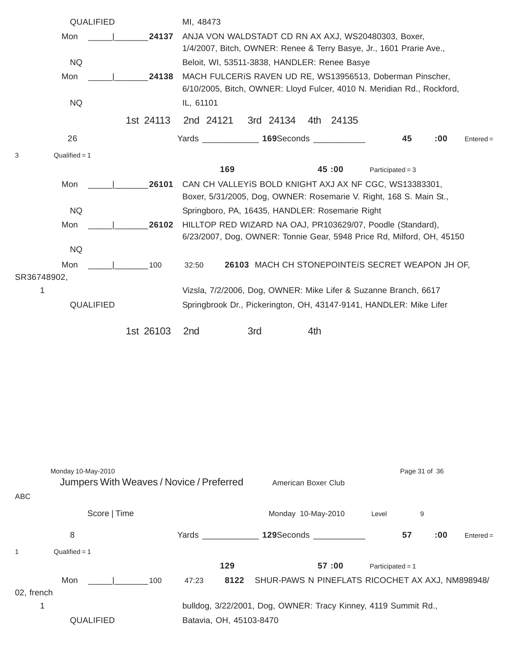|             |                    | QUALIFIED    |                                          | MI, 48473                                                                                                                           |                                                  |                     |           |                    |               |     |             |
|-------------|--------------------|--------------|------------------------------------------|-------------------------------------------------------------------------------------------------------------------------------------|--------------------------------------------------|---------------------|-----------|--------------------|---------------|-----|-------------|
|             | Mon                |              | 24137                                    | ANJA VON WALDSTADT CD RN AX AXJ, WS20480303, Boxer,                                                                                 |                                                  |                     |           |                    |               |     |             |
|             |                    |              |                                          | 1/4/2007, Bitch, OWNER: Renee & Terry Basye, Jr., 1601 Prarie Ave.,                                                                 |                                                  |                     |           |                    |               |     |             |
|             | <b>NQ</b>          |              |                                          | Beloit, WI, 53511-3838, HANDLER: Renee Basye                                                                                        |                                                  |                     |           |                    |               |     |             |
|             | Mon                |              | 24138                                    | MACH FULCERIS RAVEN UD RE, WS13956513, Doberman Pinscher,                                                                           |                                                  |                     |           |                    |               |     |             |
|             |                    |              |                                          | 6/10/2005, Bitch, OWNER: Lloyd Fulcer, 4010 N. Meridian Rd., Rockford,                                                              |                                                  |                     |           |                    |               |     |             |
|             | <b>NQ</b>          |              |                                          | IL, 61101                                                                                                                           |                                                  |                     |           |                    |               |     |             |
|             |                    |              | 1st 24113                                | 2nd 24121                                                                                                                           | 3rd 24134                                        |                     | 4th 24135 |                    |               |     |             |
|             | 26                 |              |                                          | Yards ______________ 169Seconds ___________                                                                                         |                                                  |                     |           |                    | 45            | :00 | $Entered =$ |
| 3           | $Qualified = 1$    |              |                                          |                                                                                                                                     |                                                  |                     |           |                    |               |     |             |
|             |                    |              |                                          | 169                                                                                                                                 |                                                  |                     | 45:00     | Participated = $3$ |               |     |             |
|             | Mon                |              | 26101                                    | CAN CH VALLEYIS BOLD KNIGHT AXJ AX NF CGC, WS13383301,                                                                              |                                                  |                     |           |                    |               |     |             |
|             |                    |              |                                          | Boxer, 5/31/2005, Dog, OWNER: Rosemarie V. Right, 168 S. Main St.,                                                                  |                                                  |                     |           |                    |               |     |             |
|             | <b>NQ</b>          |              |                                          | Springboro, PA, 16435, HANDLER: Rosemarie Right                                                                                     |                                                  |                     |           |                    |               |     |             |
|             | Mon                |              | 26102                                    | HILLTOP RED WIZARD NA OAJ, PR103629/07, Poodle (Standard),<br>6/23/2007, Dog, OWNER: Tonnie Gear, 5948 Price Rd, Milford, OH, 45150 |                                                  |                     |           |                    |               |     |             |
|             | <b>NQ</b>          |              |                                          |                                                                                                                                     |                                                  |                     |           |                    |               |     |             |
|             | Mon                |              | 100                                      | 32:50                                                                                                                               | 26103 MACH CH STONEPOINTEIS SECRET WEAPON JH OF, |                     |           |                    |               |     |             |
| SR36748902, |                    |              |                                          |                                                                                                                                     |                                                  |                     |           |                    |               |     |             |
| 1           |                    |              |                                          | Vizsla, 7/2/2006, Dog, OWNER: Mike Lifer & Suzanne Branch, 6617                                                                     |                                                  |                     |           |                    |               |     |             |
|             |                    | QUALIFIED    |                                          | Springbrook Dr., Pickerington, OH, 43147-9141, HANDLER: Mike Lifer                                                                  |                                                  |                     |           |                    |               |     |             |
|             |                    |              | 1st 26103                                | 2 <sub>nd</sub>                                                                                                                     | 3rd                                              | 4th                 |           |                    |               |     |             |
|             |                    |              |                                          |                                                                                                                                     |                                                  |                     |           |                    |               |     |             |
|             |                    |              |                                          |                                                                                                                                     |                                                  |                     |           |                    |               |     |             |
|             |                    |              |                                          |                                                                                                                                     |                                                  |                     |           |                    |               |     |             |
|             |                    |              |                                          |                                                                                                                                     |                                                  |                     |           |                    |               |     |             |
|             |                    |              |                                          |                                                                                                                                     |                                                  |                     |           |                    |               |     |             |
|             |                    |              |                                          |                                                                                                                                     |                                                  |                     |           |                    |               |     |             |
|             |                    |              |                                          |                                                                                                                                     |                                                  |                     |           |                    |               |     |             |
|             |                    |              |                                          |                                                                                                                                     |                                                  |                     |           |                    |               |     |             |
|             | Monday 10-May-2010 |              |                                          |                                                                                                                                     |                                                  |                     |           |                    | Page 31 of 36 |     |             |
|             |                    |              | Jumpers With Weaves / Novice / Preferred |                                                                                                                                     |                                                  | American Boxer Club |           |                    |               |     |             |
| ABC         |                    |              |                                          |                                                                                                                                     |                                                  |                     |           |                    |               |     |             |
|             |                    | Score   Time |                                          |                                                                                                                                     |                                                  | Monday 10-May-2010  |           | Level              | 9             |     |             |
|             | 8                  |              |                                          | Yards ______________                                                                                                                |                                                  | 129Seconds ____     |           |                    | 57            | :00 | $Entered =$ |

1 Qualified = 1

**129 57 :00** Participated = 1 Mon \_\_\_\_\_|\_\_\_\_\_\_\_100 47:23 **8122** SHUR-PAWS N PINEFLATS RICOCHET AX AXJ, NM898948/ 02, french 1 bulldog, 3/22/2001, Dog, OWNER: Tracy Kinney, 4119 Summit Rd., QUALIFIED Batavia, OH, 45103-8470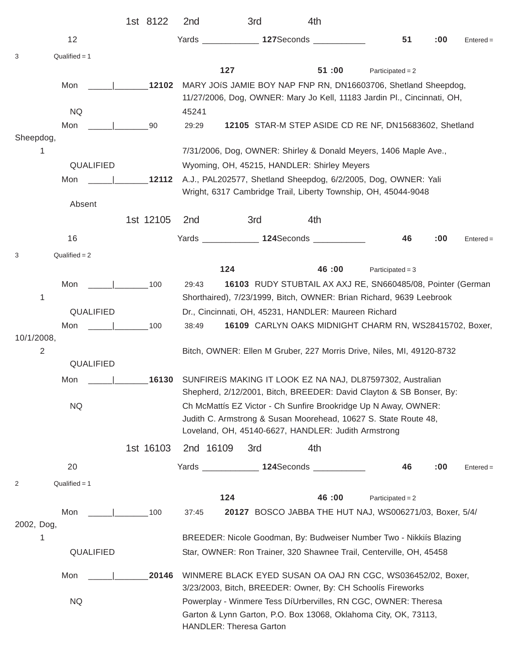|                |                    |     | 1st 8122  | 2nd                                                            | 3rd                                                  | 4th   |                                                                                                                                        |     |             |
|----------------|--------------------|-----|-----------|----------------------------------------------------------------|------------------------------------------------------|-------|----------------------------------------------------------------------------------------------------------------------------------------|-----|-------------|
|                | 12                 |     |           |                                                                | Yards <b>127</b> Seconds <b>1278</b>                 |       | 51                                                                                                                                     | :00 | $Entered =$ |
| 3              | $Qualified = 1$    |     |           |                                                                |                                                      |       |                                                                                                                                        |     |             |
|                |                    |     |           |                                                                | 127                                                  | 51:00 | Participated = $2$                                                                                                                     |     |             |
|                | Mon                |     | 12102     |                                                                |                                                      |       | MARY JOIS JAMIE BOY NAP FNP RN, DN16603706, Shetland Sheepdog,                                                                         |     |             |
|                |                    |     |           |                                                                |                                                      |       | 11/27/2006, Dog, OWNER: Mary Jo Kell, 11183 Jardin Pl., Cincinnati, OH,                                                                |     |             |
|                | <b>NQ</b><br>Mon   |     |           | 45241                                                          |                                                      |       | 12105 STAR-M STEP ASIDE CD RE NF, DN15683602, Shetland                                                                                 |     |             |
| Sheepdog,      |                    |     | 90        | 29:29                                                          |                                                      |       |                                                                                                                                        |     |             |
| 1              |                    |     |           |                                                                |                                                      |       | 7/31/2006, Dog, OWNER: Shirley & Donald Meyers, 1406 Maple Ave.,                                                                       |     |             |
|                | QUALIFIED          |     |           |                                                                | Wyoming, OH, 45215, HANDLER: Shirley Meyers          |       |                                                                                                                                        |     |             |
|                | Mon                |     | 12112     |                                                                |                                                      |       | A.J., PAL202577, Shetland Sheepdog, 6/2/2005, Dog, OWNER: Yali                                                                         |     |             |
|                |                    |     |           |                                                                |                                                      |       | Wright, 6317 Cambridge Trail, Liberty Township, OH, 45044-9048                                                                         |     |             |
|                | Absent             |     |           |                                                                |                                                      |       |                                                                                                                                        |     |             |
|                |                    |     | 1st 12105 | 2 <sub>nd</sub>                                                | 3rd                                                  | 4th   |                                                                                                                                        |     |             |
|                | 16                 |     |           |                                                                | Yards 124Seconds 1997                                |       | 46                                                                                                                                     | :00 | $Entered =$ |
| 3              | $Qualified = 2$    |     |           |                                                                |                                                      |       |                                                                                                                                        |     |             |
|                |                    |     |           |                                                                | 124                                                  | 46:00 | Participated = $3$                                                                                                                     |     |             |
|                | Mon                | 100 |           | 29:43                                                          |                                                      |       | 16103 RUDY STUBTAIL AX AXJ RE, SN660485/08, Pointer (German                                                                            |     |             |
| 1              | QUALIFIED          |     |           |                                                                | Dr., Cincinnati, OH, 45231, HANDLER: Maureen Richard |       | Shorthaired), 7/23/1999, Bitch, OWNER: Brian Richard, 9639 Leebrook                                                                    |     |             |
|                | Mon<br>$\vert$ 100 |     |           | 38:49                                                          |                                                      |       | 16109 CARLYN OAKS MIDNIGHT CHARM RN, WS28415702, Boxer,                                                                                |     |             |
| 10/1/2008,     |                    |     |           |                                                                |                                                      |       |                                                                                                                                        |     |             |
| $\overline{2}$ |                    |     |           |                                                                |                                                      |       | Bitch, OWNER: Ellen M Gruber, 227 Morris Drive, Niles, MI, 49120-8732                                                                  |     |             |
|                | QUALIFIED          |     |           |                                                                |                                                      |       |                                                                                                                                        |     |             |
|                | Mon                |     |           |                                                                |                                                      |       | 16130 SUNFIREIS MAKING IT LOOK EZ NA NAJ, DL87597302, Australian                                                                       |     |             |
|                | <b>NQ</b>          |     |           |                                                                |                                                      |       | Shepherd, 2/12/2001, Bitch, BREEDER: David Clayton & SB Bonser, By:<br>Ch McMattís EZ Victor - Ch Sunfire Brookridge Up N Away, OWNER: |     |             |
|                |                    |     |           |                                                                |                                                      |       | Judith C. Armstrong & Susan Moorehead, 10627 S. State Route 48,                                                                        |     |             |
|                |                    |     |           |                                                                | Loveland, OH, 45140-6627, HANDLER: Judith Armstrong  |       |                                                                                                                                        |     |             |
|                |                    |     | 1st 16103 | 2nd 16109                                                      | 3rd                                                  | 4th   |                                                                                                                                        |     |             |
|                | 20                 |     |           |                                                                | Yards _______________ 124Seconds __________          |       | 46                                                                                                                                     | :00 | $Entered =$ |
| 2              | $Qualified = 1$    |     |           |                                                                |                                                      |       |                                                                                                                                        |     |             |
|                |                    |     |           |                                                                | 124                                                  | 46:00 | Participated = $2$                                                                                                                     |     |             |
|                | Mon                |     | 100       | 37:45                                                          |                                                      |       | 20127 BOSCO JABBA THE HUT NAJ, WS006271/03, Boxer, 5/4/                                                                                |     |             |
| 2002, Dog,     |                    |     |           |                                                                |                                                      |       |                                                                                                                                        |     |             |
| 1              |                    |     |           |                                                                |                                                      |       | BREEDER: Nicole Goodman, By: Budweiser Number Two - Nikkiís Blazing                                                                    |     |             |
|                | QUALIFIED          |     |           |                                                                |                                                      |       | Star, OWNER: Ron Trainer, 320 Shawnee Trail, Centerville, OH, 45458                                                                    |     |             |
|                | Mon                |     | 20146     |                                                                |                                                      |       | WINMERE BLACK EYED SUSAN OA OAJ RN CGC, WS036452/02, Boxer,                                                                            |     |             |
|                |                    |     |           |                                                                |                                                      |       | 3/23/2003, Bitch, BREEDER: Owner, By: CH Schoolís Fireworks                                                                            |     |             |
|                | <b>NQ</b>          |     |           | Powerplay - Winmere Tess DíUrbervilles, RN CGC, OWNER: Theresa |                                                      |       |                                                                                                                                        |     |             |
|                |                    |     |           |                                                                | <b>HANDLER: Theresa Garton</b>                       |       | Garton & Lynn Garton, P.O. Box 13068, Oklahoma City, OK, 73113,                                                                        |     |             |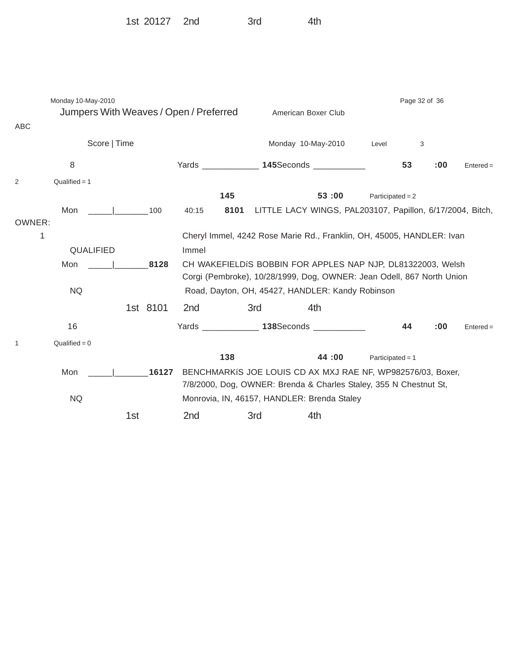1st 20127 2nd 3rd 4th

Monday 10-May-2010 **Page 32 of 36** Page 32 of 36 Jumpers With Weaves / Open / Preferred American Boxer Club ABC Score | Time Monday 10-May-2010 Level 3 8 Yards \_\_\_\_\_\_\_\_\_\_\_\_ **145**Seconds \_\_\_\_\_\_\_\_\_\_\_ **53 :00** Entered =  $2$  Qualified = 1 **145 53 :00** Participated = 2 Mon \_\_\_\_\_|\_\_\_\_\_\_\_100 40:15 **8101** LITTLE LACY WINGS, PAL203107, Papillon, 6/17/2004, Bitch, OWNER: 1 Cheryl Immel, 4242 Rose Marie Rd., Franklin, OH, 45005, HANDLER: Ivan QUALIFIED Immel Mon \_\_\_\_\_|\_\_\_\_\_\_\_**8128** CH WAKEFIELDíS BOBBIN FOR APPLES NAP NJP, DL81322003, Welsh Corgi (Pembroke), 10/28/1999, Dog, OWNER: Jean Odell, 867 North Union NQ Road, Dayton, OH, 45427, HANDLER: Kandy Robinson 1st 8101 2nd 3rd 4th 16 Yards \_\_\_\_\_\_\_\_\_\_\_\_ **138**Seconds \_\_\_\_\_\_\_\_\_\_\_ **44 :00** Entered =  $1$  Qualified = 0 **138 44 :00** Participated = 1 Mon  $\vert$  16127 BENCHMARKIS JOE LOUIS CD AX MXJ RAE NF, WP982576/03, Boxer, 7/8/2000, Dog, OWNER: Brenda & Charles Staley, 355 N Chestnut St, NQ Monrovia, IN, 46157, HANDLER: Brenda Staley 1st 2nd 3rd 4th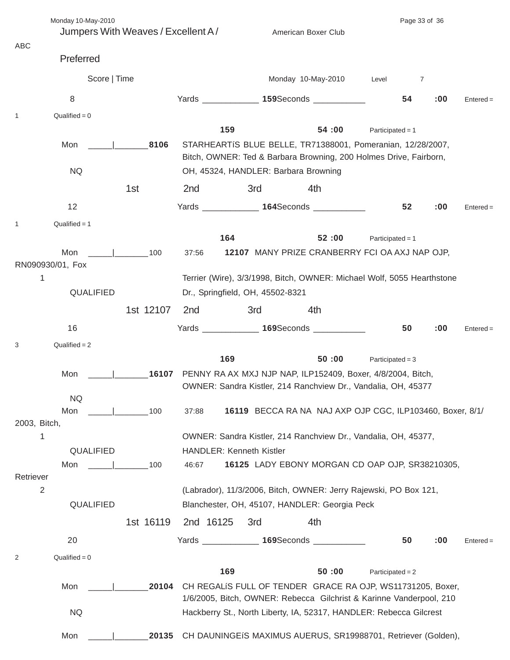|              | Monday 10-May-2010                 |            |           |                                  |                                                                                                                                  |                    | Page 33 of 36 |             |  |  |
|--------------|------------------------------------|------------|-----------|----------------------------------|----------------------------------------------------------------------------------------------------------------------------------|--------------------|---------------|-------------|--|--|
|              | Jumpers With Weaves / Excellent A/ |            |           |                                  | American Boxer Club                                                                                                              |                    |               |             |  |  |
| ABC          |                                    |            |           |                                  |                                                                                                                                  |                    |               |             |  |  |
|              | Preferred                          |            |           |                                  |                                                                                                                                  |                    |               |             |  |  |
|              | Score   Time                       |            |           |                                  | Monday 10-May-2010                                                                                                               | Level              | 7             |             |  |  |
|              | 8                                  |            |           |                                  | Yards _______________ 159Seconds ____________                                                                                    | 54                 | :00           | $Entered =$ |  |  |
| $\mathbf{1}$ | $Qualified = 0$                    |            |           |                                  |                                                                                                                                  |                    |               |             |  |  |
|              |                                    |            |           | 159                              | 54:00                                                                                                                            | Participated = $1$ |               |             |  |  |
|              | Mon                                | 8106       |           |                                  | STARHEARTIS BLUE BELLE, TR71388001, Pomeranian, 12/28/2007,<br>Bitch, OWNER: Ted & Barbara Browning, 200 Holmes Drive, Fairborn, |                    |               |             |  |  |
|              | <b>NQ</b>                          |            |           |                                  | OH, 45324, HANDLER: Barbara Browning                                                                                             |                    |               |             |  |  |
|              |                                    | 1st        | 2nd       | 3rd                              | 4th                                                                                                                              |                    |               |             |  |  |
|              | 12                                 |            |           |                                  | Yards ______________ 164Seconds ____________                                                                                     | 52                 | :00           | $Entered =$ |  |  |
| 1            | $Qualified = 1$                    |            |           |                                  |                                                                                                                                  |                    |               |             |  |  |
|              |                                    |            |           | 164                              | 52:00                                                                                                                            | Participated = $1$ |               |             |  |  |
|              | Mon                                | 100        | 37:56     |                                  | 12107 MANY PRIZE CRANBERRY FCI OA AXJ NAP OJP,                                                                                   |                    |               |             |  |  |
|              | RN090930/01, Fox                   |            |           |                                  |                                                                                                                                  |                    |               |             |  |  |
| 1            |                                    |            |           |                                  | Terrier (Wire), 3/3/1998, Bitch, OWNER: Michael Wolf, 5055 Hearthstone                                                           |                    |               |             |  |  |
|              | QUALIFIED                          |            |           | Dr., Springfield, OH, 45502-8321 |                                                                                                                                  |                    |               |             |  |  |
|              |                                    | 1st 12107  | 2nd       | 3rd                              | 4th                                                                                                                              |                    |               |             |  |  |
|              | 16                                 |            |           |                                  | Yards _______________ 169Seconds ____________                                                                                    | 50                 | :00           | $Entered =$ |  |  |
| 3            | $Qualified = 2$                    |            |           |                                  |                                                                                                                                  |                    |               |             |  |  |
|              |                                    |            |           | 169                              | 50:00                                                                                                                            | Participated = $3$ |               |             |  |  |
|              | Mon                                | 16107      |           |                                  | PENNY RA AX MXJ NJP NAP, ILP152409, Boxer, 4/8/2004, Bitch,                                                                      |                    |               |             |  |  |
|              |                                    |            |           |                                  | OWNER: Sandra Kistler, 214 Ranchview Dr., Vandalia, OH, 45377                                                                    |                    |               |             |  |  |
|              | <b>NQ</b>                          |            |           |                                  |                                                                                                                                  |                    |               |             |  |  |
| 2003, Bitch, | Mon                                | 100        | 37:88     |                                  | 16119 BECCA RA NA NAJ AXP OJP CGC, ILP103460, Boxer, 8/1/                                                                        |                    |               |             |  |  |
| 1            |                                    |            |           |                                  | OWNER: Sandra Kistler, 214 Ranchview Dr., Vandalia, OH, 45377,                                                                   |                    |               |             |  |  |
|              | QUALIFIED                          |            |           | <b>HANDLER: Kenneth Kistler</b>  |                                                                                                                                  |                    |               |             |  |  |
|              | Mon                                | $\sim$ 100 | 46:67     |                                  | 16125 LADY EBONY MORGAN CD OAP OJP, SR38210305,                                                                                  |                    |               |             |  |  |
| Retriever    |                                    |            |           |                                  |                                                                                                                                  |                    |               |             |  |  |
| $\mathbf{2}$ |                                    |            |           |                                  | (Labrador), 11/3/2006, Bitch, OWNER: Jerry Rajewski, PO Box 121,                                                                 |                    |               |             |  |  |
|              | QUALIFIED                          |            |           |                                  | Blanchester, OH, 45107, HANDLER: Georgia Peck                                                                                    |                    |               |             |  |  |
|              |                                    | 1st 16119  | 2nd 16125 | 3rd                              | 4th                                                                                                                              |                    |               |             |  |  |
|              | 20                                 |            |           |                                  | Yards _______________ 169Seconds ____________                                                                                    | 50                 | :00           | $Entered =$ |  |  |
| 2            | $Qualified = 0$                    |            |           |                                  |                                                                                                                                  |                    |               |             |  |  |
|              |                                    |            |           | 169                              | 50:00                                                                                                                            | Participated = $2$ |               |             |  |  |
|              | Mon                                | 20104      |           |                                  | CH REGALIS FULL OF TENDER GRACE RA OJP, WS11731205, Boxer,                                                                       |                    |               |             |  |  |
|              |                                    |            |           |                                  | 1/6/2005, Bitch, OWNER: Rebecca Gilchrist & Karinne Vanderpool, 210                                                              |                    |               |             |  |  |
|              | <b>NQ</b>                          |            |           |                                  | Hackberry St., North Liberty, IA, 52317, HANDLER: Rebecca Gilcrest                                                               |                    |               |             |  |  |
|              | Mon                                | 20135      |           |                                  | CH DAUNINGEIS MAXIMUS AUERUS, SR19988701, Retriever (Golden),                                                                    |                    |               |             |  |  |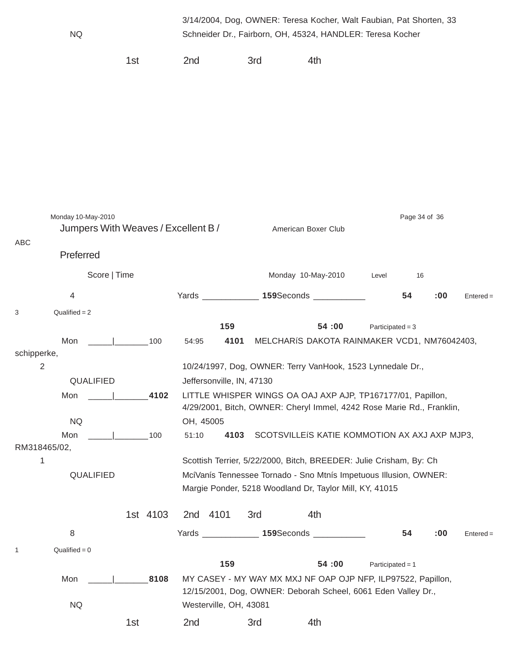|                               | <b>NQ</b>                           |              |     |          |           |                        |                           | 3/14/2004, Dog, OWNER: Teresa Kocher, Walt Faubian, Pat Shorten, 33<br>Schneider Dr., Fairborn, OH, 45324, HANDLER: Teresa Kocher |                    |               |     |             |
|-------------------------------|-------------------------------------|--------------|-----|----------|-----------|------------------------|---------------------------|-----------------------------------------------------------------------------------------------------------------------------------|--------------------|---------------|-----|-------------|
|                               |                                     |              | 1st |          | 2nd       |                        | 3rd                       | 4th                                                                                                                               |                    |               |     |             |
|                               |                                     |              |     |          |           |                        |                           |                                                                                                                                   |                    |               |     |             |
|                               |                                     |              |     |          |           |                        |                           |                                                                                                                                   |                    |               |     |             |
|                               |                                     |              |     |          |           |                        |                           |                                                                                                                                   |                    |               |     |             |
|                               |                                     |              |     |          |           |                        |                           |                                                                                                                                   |                    |               |     |             |
|                               |                                     |              |     |          |           |                        |                           |                                                                                                                                   |                    |               |     |             |
|                               |                                     |              |     |          |           |                        |                           |                                                                                                                                   |                    |               |     |             |
|                               |                                     |              |     |          |           |                        |                           |                                                                                                                                   |                    |               |     |             |
|                               |                                     |              |     |          |           |                        |                           |                                                                                                                                   |                    |               |     |             |
|                               | Monday 10-May-2010                  |              |     |          |           |                        |                           |                                                                                                                                   |                    | Page 34 of 36 |     |             |
|                               | Jumpers With Weaves / Excellent B / |              |     |          |           |                        |                           | American Boxer Club                                                                                                               |                    |               |     |             |
| ABC                           |                                     |              |     |          |           |                        |                           |                                                                                                                                   |                    |               |     |             |
|                               | Preferred                           |              |     |          |           |                        |                           |                                                                                                                                   |                    |               |     |             |
|                               |                                     | Score   Time |     |          |           |                        |                           | Monday 10-May-2010                                                                                                                | Level              | 16            |     |             |
|                               | $\overline{4}$                      |              |     |          |           |                        |                           | Yards ______________ 159Seconds ______                                                                                            |                    | 54            | :00 | $Entered =$ |
| 3                             | $Qualified = 2$                     |              |     |          |           |                        |                           |                                                                                                                                   |                    |               |     |             |
|                               |                                     |              |     |          |           | 159                    |                           | 54:00                                                                                                                             | Participated = $3$ |               |     |             |
|                               | Mon                                 |              |     | 100      | 54:95     | 4101                   |                           | MELCHARIS DAKOTA RAINMAKER VCD1, NM76042403,                                                                                      |                    |               |     |             |
| schipperke,<br>$\overline{2}$ |                                     |              |     |          |           |                        |                           | 10/24/1997, Dog, OWNER: Terry VanHook, 1523 Lynnedale Dr.,                                                                        |                    |               |     |             |
|                               | <b>QUALIFIED</b>                    |              |     |          |           |                        | Jeffersonville, IN, 47130 |                                                                                                                                   |                    |               |     |             |
|                               | Mon                                 |              |     | 4102     |           |                        |                           | LITTLE WHISPER WINGS OA OAJ AXP AJP, TP167177/01, Papillon,                                                                       |                    |               |     |             |
|                               |                                     |              |     |          |           |                        |                           | 4/29/2001, Bitch, OWNER: Cheryl Immel, 4242 Rose Marie Rd., Franklin,                                                             |                    |               |     |             |
|                               | <b>NQ</b>                           |              |     |          | OH, 45005 |                        |                           |                                                                                                                                   |                    |               |     |             |
| RM318465/02,                  | Mon                                 |              |     | 100      | 51:10     | 4103                   |                           | SCOTSVILLEIS KATIE KOMMOTION AX AXJ AXP MJP3,                                                                                     |                    |               |     |             |
| 1                             |                                     |              |     |          |           |                        |                           | Scottish Terrier, 5/22/2000, Bitch, BREEDER: Julie Crisham, By: Ch                                                                |                    |               |     |             |
|                               | QUALIFIED                           |              |     |          |           |                        |                           | McíVanís Tennessee Tornado - Sno Mtnís Impetuous Illusion, OWNER:                                                                 |                    |               |     |             |
|                               |                                     |              |     |          |           |                        |                           | Margie Ponder, 5218 Woodland Dr, Taylor Mill, KY, 41015                                                                           |                    |               |     |             |
|                               |                                     |              |     | 1st 4103 |           | 2nd 4101               | 3rd                       | 4th                                                                                                                               |                    |               |     |             |
|                               | 8                                   |              |     |          |           | Yards ______________   |                           | 159Seconds ____________                                                                                                           |                    | 54            | :00 |             |
|                               |                                     |              |     |          |           |                        |                           |                                                                                                                                   |                    |               |     | $Entered =$ |
| 1                             | $Qualified = 0$                     |              |     |          |           | 159                    |                           | 54:00                                                                                                                             | Participated = $1$ |               |     |             |
|                               | Mon                                 |              |     | 8108     |           |                        |                           | MY CASEY - MY WAY MX MXJ NF OAP OJP NFP, ILP97522, Papillon,                                                                      |                    |               |     |             |
|                               |                                     |              |     |          |           |                        |                           | 12/15/2001, Dog, OWNER: Deborah Scheel, 6061 Eden Valley Dr.,                                                                     |                    |               |     |             |
|                               | <b>NQ</b>                           |              |     |          |           | Westerville, OH, 43081 |                           |                                                                                                                                   |                    |               |     |             |
|                               |                                     |              | 1st |          | 2nd       |                        | 3rd                       | 4th                                                                                                                               |                    |               |     |             |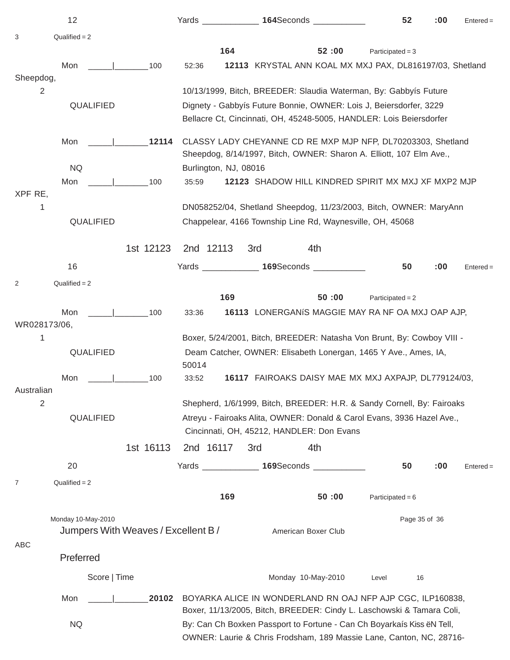|                              | 12                                                        |                                     |                                                                                                                                                                                               |     | Yards _______________ 164Seconds ____________                                                                                             | 52                 | :00 | $Entered =$ |  |
|------------------------------|-----------------------------------------------------------|-------------------------------------|-----------------------------------------------------------------------------------------------------------------------------------------------------------------------------------------------|-----|-------------------------------------------------------------------------------------------------------------------------------------------|--------------------|-----|-------------|--|
| 3                            | $Qualified = 2$                                           |                                     |                                                                                                                                                                                               |     |                                                                                                                                           |                    |     |             |  |
|                              |                                                           |                                     | 164                                                                                                                                                                                           |     | 52:00                                                                                                                                     | Participated = $3$ |     |             |  |
| Sheepdog,                    | Mon                                                       | $\frac{1}{1}$ 100                   | 52:36                                                                                                                                                                                         |     | 12113 KRYSTAL ANN KOAL MX MXJ PAX, DL816197/03, Shetland                                                                                  |                    |     |             |  |
| 2                            |                                                           |                                     |                                                                                                                                                                                               |     | 10/13/1999, Bitch, BREEDER: Slaudia Waterman, By: Gabbyís Future                                                                          |                    |     |             |  |
|                              | QUALIFIED                                                 |                                     |                                                                                                                                                                                               |     | Dignety - Gabbyís Future Bonnie, OWNER: Lois J, Beiersdorfer, 3229<br>Bellacre Ct, Cincinnati, OH, 45248-5005, HANDLER: Lois Beiersdorfer |                    |     |             |  |
|                              | Mon                                                       | 12114                               |                                                                                                                                                                                               |     | CLASSY LADY CHEYANNE CD RE MXP MJP NFP, DL70203303, Shetland<br>Sheepdog, 8/14/1997, Bitch, OWNER: Sharon A. Elliott, 107 Elm Ave.,       |                    |     |             |  |
|                              | <b>NQ</b>                                                 |                                     | Burlington, NJ, 08016                                                                                                                                                                         |     |                                                                                                                                           |                    |     |             |  |
|                              | Mon                                                       | 100                                 | 35:59                                                                                                                                                                                         |     | 12123 SHADOW HILL KINDRED SPIRIT MX MXJ XF MXP2 MJP                                                                                       |                    |     |             |  |
| XPF RE,<br>1                 | QUALIFIED                                                 | 1st 12123                           | 2nd 12113                                                                                                                                                                                     | 3rd | DN058252/04, Shetland Sheepdog, 11/23/2003, Bitch, OWNER: MaryAnn<br>Chappelear, 4166 Township Line Rd, Waynesville, OH, 45068<br>4th     |                    |     |             |  |
|                              | 16                                                        |                                     |                                                                                                                                                                                               |     | Yards _______________ 169Seconds ____________                                                                                             | 50                 | :00 | $Entered =$ |  |
| 2                            | $Qualified = 2$                                           |                                     |                                                                                                                                                                                               |     |                                                                                                                                           |                    |     |             |  |
|                              |                                                           |                                     | 169                                                                                                                                                                                           |     | 50:00                                                                                                                                     | Participated = $2$ |     |             |  |
| WR028173/06,                 | Mon                                                       | $\vert$ 100                         | 33:36                                                                                                                                                                                         |     | 16113 LONERGANIS MAGGIE MAY RA NF OA MXJ OAP AJP,                                                                                         |                    |     |             |  |
| 1                            | QUALIFIED                                                 |                                     |                                                                                                                                                                                               |     | Boxer, 5/24/2001, Bitch, BREEDER: Natasha Von Brunt, By: Cowboy VIII -<br>Deam Catcher, OWNER: Elisabeth Lonergan, 1465 Y Ave., Ames, IA, |                    |     |             |  |
|                              |                                                           |                                     | 50014                                                                                                                                                                                         |     |                                                                                                                                           |                    |     |             |  |
|                              | Mon                                                       | and the contract of the con-<br>100 | 33:52                                                                                                                                                                                         |     | 16117 FAIROAKS DAISY MAE MX MXJ AXPAJP, DL779124/03,                                                                                      |                    |     |             |  |
| Australian<br>2<br>QUALIFIED |                                                           |                                     | Shepherd, 1/6/1999, Bitch, BREEDER: H.R. & Sandy Cornell, By: Fairoaks<br>Atreyu - Fairoaks Alita, OWNER: Donald & Carol Evans, 3936 Hazel Ave.,<br>Cincinnati, OH, 45212, HANDLER: Don Evans |     |                                                                                                                                           |                    |     |             |  |
|                              |                                                           | 1st 16113                           | 2nd 16117                                                                                                                                                                                     | 3rd | 4th                                                                                                                                       |                    |     |             |  |
|                              | 20                                                        |                                     |                                                                                                                                                                                               |     | Yards ________________ 169Seconds _____________                                                                                           | 50                 | :00 | $Entered =$ |  |
| 7                            | Qualified $= 2$                                           |                                     |                                                                                                                                                                                               |     |                                                                                                                                           |                    |     |             |  |
|                              |                                                           |                                     | 169                                                                                                                                                                                           |     | 50:00                                                                                                                                     | Participated = $6$ |     |             |  |
| ABC                          | Monday 10-May-2010<br>Jumpers With Weaves / Excellent B / |                                     |                                                                                                                                                                                               |     | American Boxer Club                                                                                                                       | Page 35 of 36      |     |             |  |
|                              | Preferred                                                 |                                     |                                                                                                                                                                                               |     |                                                                                                                                           |                    |     |             |  |
|                              | Score   Time                                              |                                     |                                                                                                                                                                                               |     | Monday 10-May-2010                                                                                                                        | Level<br>16        |     |             |  |
|                              | Mon                                                       | 20102                               |                                                                                                                                                                                               |     | BOYARKA ALICE IN WONDERLAND RN OAJ NFP AJP CGC, ILP160838,<br>Boxer, 11/13/2005, Bitch, BREEDER: Cindy L. Laschowski & Tamara Coli,       |                    |     |             |  |
| <b>NQ</b>                    |                                                           |                                     | By: Can Ch Boxken Passport to Fortune - Can Ch Boyarkaís Kiss ëN Tell,<br>OWNER: Laurie & Chris Frodsham, 189 Massie Lane, Canton, NC, 28716-                                                 |     |                                                                                                                                           |                    |     |             |  |